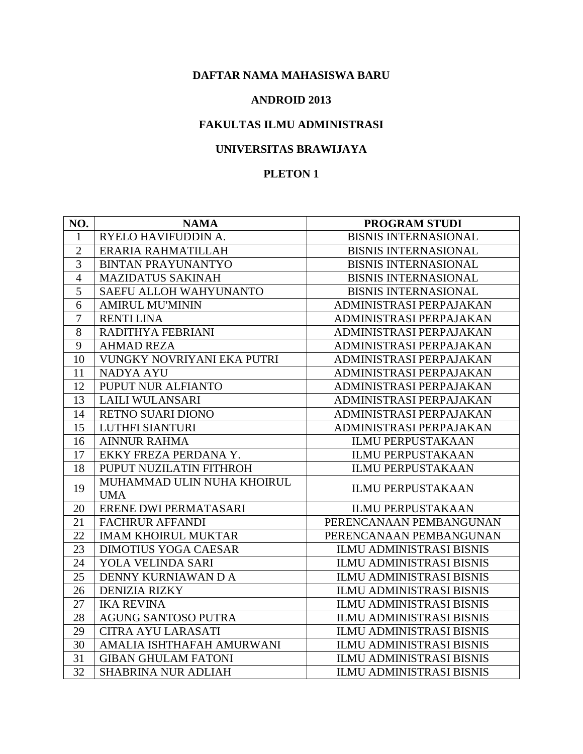#### **ANDROID 2013**

# **FAKULTAS ILMU ADMINISTRASI**

## **UNIVERSITAS BRAWIJAYA**

| NO.            | <b>NAMA</b>                 | <b>PROGRAM STUDI</b>            |
|----------------|-----------------------------|---------------------------------|
| 1              | RYELO HAVIFUDDIN A.         | <b>BISNIS INTERNASIONAL</b>     |
| $\overline{2}$ | ERARIA RAHMATILLAH          | <b>BISNIS INTERNASIONAL</b>     |
| 3              | <b>BINTAN PRAYUNANTYO</b>   | <b>BISNIS INTERNASIONAL</b>     |
| $\overline{4}$ | <b>MAZIDATUS SAKINAH</b>    | <b>BISNIS INTERNASIONAL</b>     |
| 5              | SAEFU ALLOH WAHYUNANTO      | <b>BISNIS INTERNASIONAL</b>     |
| 6              | <b>AMIRUL MU'MININ</b>      | ADMINISTRASI PERPAJAKAN         |
| $\overline{7}$ | <b>RENTI LINA</b>           | ADMINISTRASI PERPAJAKAN         |
| 8              | RADITHYA FEBRIANI           | ADMINISTRASI PERPAJAKAN         |
| 9              | <b>AHMAD REZA</b>           | ADMINISTRASI PERPAJAKAN         |
| 10             | VUNGKY NOVRIYANI EKA PUTRI  | ADMINISTRASI PERPAJAKAN         |
| 11             | <b>NADYA AYU</b>            | ADMINISTRASI PERPAJAKAN         |
| 12             | PUPUT NUR ALFIANTO          | ADMINISTRASI PERPAJAKAN         |
| 13             | LAILI WULANSARI             | ADMINISTRASI PERPAJAKAN         |
| 14             | RETNO SUARI DIONO           | ADMINISTRASI PERPAJAKAN         |
| 15             | LUTHFI SIANTURI             | ADMINISTRASI PERPAJAKAN         |
| 16             | <b>AINNUR RAHMA</b>         | <b>ILMU PERPUSTAKAAN</b>        |
| 17             | EKKY FREZA PERDANA Y.       | <b>ILMU PERPUSTAKAAN</b>        |
| 18             | PUPUT NUZILATIN FITHROH     | <b>ILMU PERPUSTAKAAN</b>        |
| 19             | MUHAMMAD ULIN NUHA KHOIRUL  | <b>ILMU PERPUSTAKAAN</b>        |
|                | <b>UMA</b>                  |                                 |
| 20             | ERENE DWI PERMATASARI       | <b>ILMU PERPUSTAKAAN</b>        |
| 21             | <b>FACHRUR AFFANDI</b>      | PERENCANAAN PEMBANGUNAN         |
| 22             | <b>IMAM KHOIRUL MUKTAR</b>  | PERENCANAAN PEMBANGUNAN         |
| 23             | <b>DIMOTIUS YOGA CAESAR</b> | <b>ILMU ADMINISTRASI BISNIS</b> |
| 24             | YOLA VELINDA SARI           | <b>ILMU ADMINISTRASI BISNIS</b> |
| 25             | DENNY KURNIAWAN D A         | <b>ILMU ADMINISTRASI BISNIS</b> |
| 26             | <b>DENIZIA RIZKY</b>        | <b>ILMU ADMINISTRASI BISNIS</b> |
| 27             | <b>IKA REVINA</b>           | <b>ILMU ADMINISTRASI BISNIS</b> |
| 28             | AGUNG SANTOSO PUTRA         | <b>ILMU ADMINISTRASI BISNIS</b> |
| 29             | CITRA AYU LARASATI          | <b>ILMU ADMINISTRASI BISNIS</b> |
| 30             | AMALIA ISHTHAFAH AMURWANI   | <b>ILMU ADMINISTRASI BISNIS</b> |
| 31             | <b>GIBAN GHULAM FATONI</b>  | <b>ILMU ADMINISTRASI BISNIS</b> |
| 32             | <b>SHABRINA NUR ADLIAH</b>  | <b>ILMU ADMINISTRASI BISNIS</b> |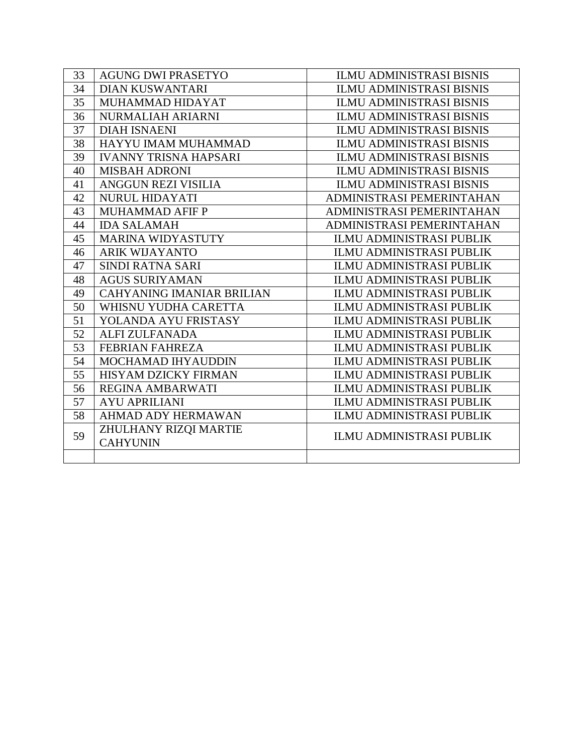| 33 | <b>AGUNG DWI PRASETYO</b>                | <b>ILMU ADMINISTRASI BISNIS</b> |
|----|------------------------------------------|---------------------------------|
| 34 | <b>DIAN KUSWANTARI</b>                   | <b>ILMU ADMINISTRASI BISNIS</b> |
| 35 | MUHAMMAD HIDAYAT                         | <b>ILMU ADMINISTRASI BISNIS</b> |
| 36 | NURMALIAH ARIARNI                        | <b>ILMU ADMINISTRASI BISNIS</b> |
| 37 | <b>DIAH ISNAENI</b>                      | <b>ILMU ADMINISTRASI BISNIS</b> |
| 38 | HAYYU IMAM MUHAMMAD                      | <b>ILMU ADMINISTRASI BISNIS</b> |
| 39 | <b>IVANNY TRISNA HAPSARI</b>             | <b>ILMU ADMINISTRASI BISNIS</b> |
| 40 | <b>MISBAH ADRONI</b>                     | <b>ILMU ADMINISTRASI BISNIS</b> |
| 41 | ANGGUN REZI VISILIA                      | <b>ILMU ADMINISTRASI BISNIS</b> |
| 42 | <b>NURUL HIDAYATI</b>                    | ADMINISTRASI PEMERINTAHAN       |
| 43 | <b>MUHAMMAD AFIF P</b>                   | ADMINISTRASI PEMERINTAHAN       |
| 44 | <b>IDA SALAMAH</b>                       | ADMINISTRASI PEMERINTAHAN       |
| 45 | <b>MARINA WIDYASTUTY</b>                 | <b>ILMU ADMINISTRASI PUBLIK</b> |
| 46 | <b>ARIK WIJAYANTO</b>                    | <b>ILMU ADMINISTRASI PUBLIK</b> |
| 47 | SINDI RATNA SARI                         | <b>ILMU ADMINISTRASI PUBLIK</b> |
| 48 | <b>AGUS SURIYAMAN</b>                    | <b>ILMU ADMINISTRASI PUBLIK</b> |
| 49 | <b>CAHYANING IMANIAR BRILIAN</b>         | <b>ILMU ADMINISTRASI PUBLIK</b> |
| 50 | WHISNU YUDHA CARETTA                     | <b>ILMU ADMINISTRASI PUBLIK</b> |
| 51 | YOLANDA AYU FRISTASY                     | <b>ILMU ADMINISTRASI PUBLIK</b> |
| 52 | <b>ALFI ZULFANADA</b>                    | <b>ILMU ADMINISTRASI PUBLIK</b> |
| 53 | <b>FEBRIAN FAHREZA</b>                   | <b>ILMU ADMINISTRASI PUBLIK</b> |
| 54 | MOCHAMAD IHYAUDDIN                       | <b>ILMU ADMINISTRASI PUBLIK</b> |
| 55 | HISYAM DZICKY FIRMAN                     | <b>ILMU ADMINISTRASI PUBLIK</b> |
| 56 | <b>REGINA AMBARWATI</b>                  | <b>ILMU ADMINISTRASI PUBLIK</b> |
| 57 | <b>AYU APRILIANI</b>                     | <b>ILMU ADMINISTRASI PUBLIK</b> |
| 58 | AHMAD ADY HERMAWAN                       | <b>ILMU ADMINISTRASI PUBLIK</b> |
| 59 | ZHULHANY RIZQI MARTIE<br><b>CAHYUNIN</b> | <b>ILMU ADMINISTRASI PUBLIK</b> |
|    |                                          |                                 |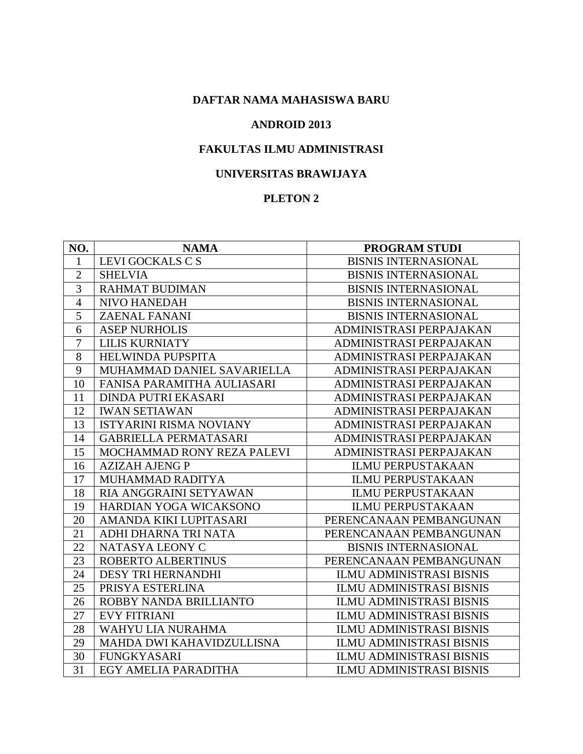#### **ANDROID 2013**

# **FAKULTAS ILMU ADMINISTRASI**

#### **UNIVERSITAS BRAWIJAYA**

| NO.            | <b>NAMA</b>                    | <b>PROGRAM STUDI</b>            |
|----------------|--------------------------------|---------------------------------|
| 1              | LEVI GOCKALS C S               | <b>BISNIS INTERNASIONAL</b>     |
| $\overline{2}$ | <b>SHELVIA</b>                 | <b>BISNIS INTERNASIONAL</b>     |
| 3              | <b>RAHMAT BUDIMAN</b>          | <b>BISNIS INTERNASIONAL</b>     |
| $\overline{4}$ | NIVO HANEDAH                   | <b>BISNIS INTERNASIONAL</b>     |
| 5              | <b>ZAENAL FANANI</b>           | <b>BISNIS INTERNASIONAL</b>     |
| 6              | <b>ASEP NURHOLIS</b>           | ADMINISTRASI PERPAJAKAN         |
| $\overline{7}$ | <b>LILIS KURNIATY</b>          | ADMINISTRASI PERPAJAKAN         |
| 8              | <b>HELWINDA PUPSPITA</b>       | ADMINISTRASI PERPAJAKAN         |
| 9              | MUHAMMAD DANIEL SAVARIELLA     | ADMINISTRASI PERPAJAKAN         |
| 10             | FANISA PARAMITHA AULIASARI     | ADMINISTRASI PERPAJAKAN         |
| 11             | <b>DINDA PUTRI EKASARI</b>     | ADMINISTRASI PERPAJAKAN         |
| 12             | <b>IWAN SETIAWAN</b>           | ADMINISTRASI PERPAJAKAN         |
| 13             | <b>ISTYARINI RISMA NOVIANY</b> | ADMINISTRASI PERPAJAKAN         |
| 14             | <b>GABRIELLA PERMATASARI</b>   | ADMINISTRASI PERPAJAKAN         |
| 15             | MOCHAMMAD RONY REZA PALEVI     | ADMINISTRASI PERPAJAKAN         |
| 16             | <b>AZIZAH AJENG P</b>          | <b>ILMU PERPUSTAKAAN</b>        |
| 17             | MUHAMMAD RADITYA               | <b>ILMU PERPUSTAKAAN</b>        |
| 18             | RIA ANGGRAINI SETYAWAN         | <b>ILMU PERPUSTAKAAN</b>        |
| 19             | HARDIAN YOGA WICAKSONO         | <b>ILMU PERPUSTAKAAN</b>        |
| 20             | AMANDA KIKI LUPITASARI         | PERENCANAAN PEMBANGUNAN         |
| 21             | ADHI DHARNA TRI NATA           | PERENCANAAN PEMBANGUNAN         |
| 22             | NATASYA LEONY C                | <b>BISNIS INTERNASIONAL</b>     |
| 23             | ROBERTO ALBERTINUS             | PERENCANAAN PEMBANGUNAN         |
| 24             | <b>DESY TRI HERNANDHI</b>      | <b>ILMU ADMINISTRASI BISNIS</b> |
| 25             | PRISYA ESTERLINA               | <b>ILMU ADMINISTRASI BISNIS</b> |
| 26             | ROBBY NANDA BRILLIANTO         | <b>ILMU ADMINISTRASI BISNIS</b> |
| 27             | <b>EVY FITRIANI</b>            | <b>ILMU ADMINISTRASI BISNIS</b> |
| 28             | WAHYU LIA NURAHMA              | <b>ILMU ADMINISTRASI BISNIS</b> |
| 29             | MAHDA DWI KAHAVIDZULLISNA      | <b>ILMU ADMINISTRASI BISNIS</b> |
| 30             | <b>FUNGKYASARI</b>             | <b>ILMU ADMINISTRASI BISNIS</b> |
| 31             | EGY AMELIA PARADITHA           | <b>ILMU ADMINISTRASI BISNIS</b> |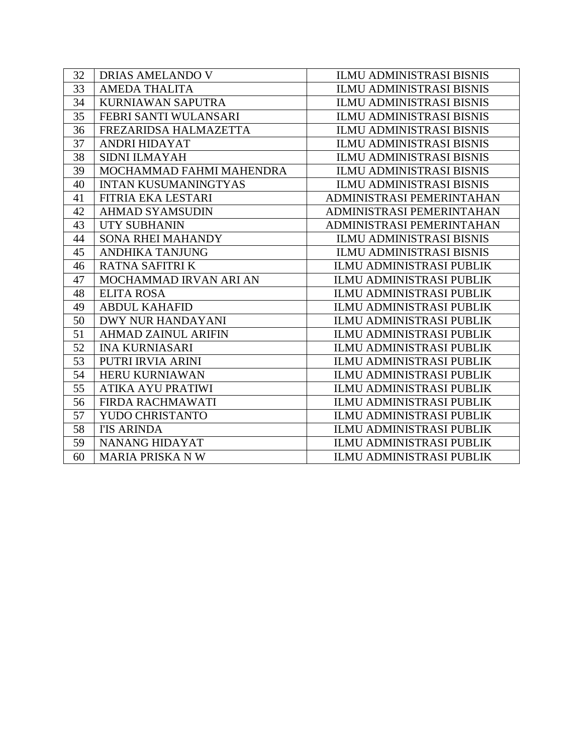| 32 | DRIAS AMELANDO V            | <b>ILMU ADMINISTRASI BISNIS</b> |
|----|-----------------------------|---------------------------------|
| 33 | <b>AMEDA THALITA</b>        | <b>ILMU ADMINISTRASI BISNIS</b> |
| 34 | KURNIAWAN SAPUTRA           | ILMU ADMINISTRASI BISNIS        |
| 35 | FEBRI SANTI WULANSARI       | <b>ILMU ADMINISTRASI BISNIS</b> |
| 36 | FREZARIDSA HALMAZETTA       | <b>ILMU ADMINISTRASI BISNIS</b> |
| 37 | ANDRI HIDAYAT               | <b>ILMU ADMINISTRASI BISNIS</b> |
| 38 | <b>SIDNI ILMAYAH</b>        | <b>ILMU ADMINISTRASI BISNIS</b> |
| 39 | MOCHAMMAD FAHMI MAHENDRA    | <b>ILMU ADMINISTRASI BISNIS</b> |
| 40 | <b>INTAN KUSUMANINGTYAS</b> | <b>ILMU ADMINISTRASI BISNIS</b> |
| 41 | FITRIA EKA LESTARI          | ADMINISTRASI PEMERINTAHAN       |
| 42 | <b>AHMAD SYAMSUDIN</b>      | ADMINISTRASI PEMERINTAHAN       |
| 43 | UTY SUBHANIN                | ADMINISTRASI PEMERINTAHAN       |
| 44 | <b>SONA RHEI MAHANDY</b>    | <b>ILMU ADMINISTRASI BISNIS</b> |
| 45 | <b>ANDHIKA TANJUNG</b>      | <b>ILMU ADMINISTRASI BISNIS</b> |
| 46 | <b>RATNA SAFITRI K</b>      | <b>ILMU ADMINISTRASI PUBLIK</b> |
| 47 | MOCHAMMAD IRVAN ARI AN      | <b>ILMU ADMINISTRASI PUBLIK</b> |
| 48 | <b>ELITA ROSA</b>           | <b>ILMU ADMINISTRASI PUBLIK</b> |
| 49 | <b>ABDUL KAHAFID</b>        | <b>ILMU ADMINISTRASI PUBLIK</b> |
| 50 | <b>DWY NUR HANDAYANI</b>    | <b>ILMU ADMINISTRASI PUBLIK</b> |
| 51 | <b>AHMAD ZAINUL ARIFIN</b>  | <b>ILMU ADMINISTRASI PUBLIK</b> |
| 52 | <b>INA KURNIASARI</b>       | <b>ILMU ADMINISTRASI PUBLIK</b> |
| 53 | PUTRI IRVIA ARINI           | <b>ILMU ADMINISTRASI PUBLIK</b> |
| 54 | <b>HERU KURNIAWAN</b>       | <b>ILMU ADMINISTRASI PUBLIK</b> |
| 55 | ATIKA AYU PRATIWI           | <b>ILMU ADMINISTRASI PUBLIK</b> |
| 56 | FIRDA RACHMAWATI            | <b>ILMU ADMINISTRASI PUBLIK</b> |
| 57 | YUDO CHRISTANTO             | <b>ILMU ADMINISTRASI PUBLIK</b> |
| 58 | <b>I'IS ARINDA</b>          | <b>ILMU ADMINISTRASI PUBLIK</b> |
| 59 | <b>NANANG HIDAYAT</b>       | <b>ILMU ADMINISTRASI PUBLIK</b> |
| 60 | <b>MARIA PRISKA NW</b>      | <b>ILMU ADMINISTRASI PUBLIK</b> |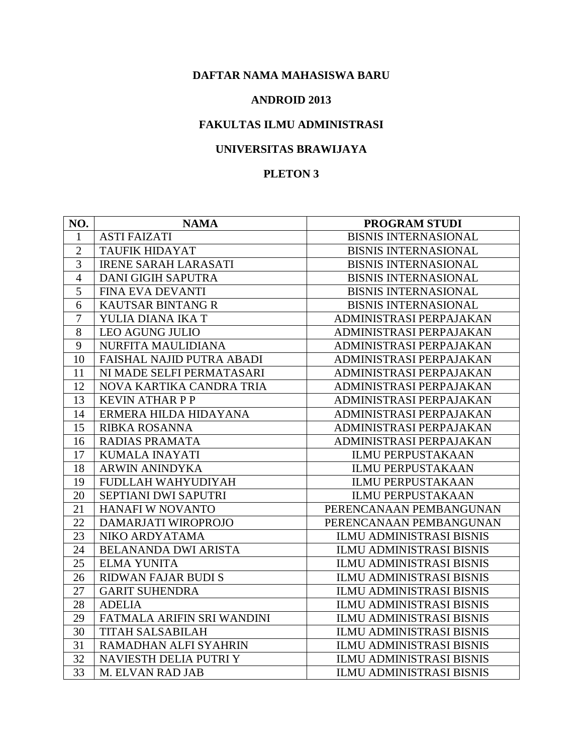#### **ANDROID 2013**

## **FAKULTAS ILMU ADMINISTRASI**

## **UNIVERSITAS BRAWIJAYA**

| NO.            | <b>NAMA</b>                      | <b>PROGRAM STUDI</b>            |
|----------------|----------------------------------|---------------------------------|
| 1              | <b>ASTI FAIZATI</b>              | <b>BISNIS INTERNASIONAL</b>     |
| $\overline{2}$ | <b>TAUFIK HIDAYAT</b>            | <b>BISNIS INTERNASIONAL</b>     |
| 3              | <b>IRENE SARAH LARASATI</b>      | <b>BISNIS INTERNASIONAL</b>     |
| $\overline{4}$ | <b>DANI GIGIH SAPUTRA</b>        | <b>BISNIS INTERNASIONAL</b>     |
| 5              | FINA EVA DEVANTI                 | <b>BISNIS INTERNASIONAL</b>     |
| 6              | <b>KAUTSAR BINTANG R</b>         | <b>BISNIS INTERNASIONAL</b>     |
| $\overline{7}$ | YULIA DIANA IKA T                | ADMINISTRASI PERPAJAKAN         |
| 8              | <b>LEO AGUNG JULIO</b>           | ADMINISTRASI PERPAJAKAN         |
| 9              | NURFITA MAULIDIANA               | ADMINISTRASI PERPAJAKAN         |
| 10             | <b>FAISHAL NAJID PUTRA ABADI</b> | ADMINISTRASI PERPAJAKAN         |
| 11             | NI MADE SELFI PERMATASARI        | ADMINISTRASI PERPAJAKAN         |
| 12             | NOVA KARTIKA CANDRA TRIA         | ADMINISTRASI PERPAJAKAN         |
| 13             | <b>KEVIN ATHARPP</b>             | ADMINISTRASI PERPAJAKAN         |
| 14             | ERMERA HILDA HIDAYANA            | ADMINISTRASI PERPAJAKAN         |
| 15             | <b>RIBKA ROSANNA</b>             | ADMINISTRASI PERPAJAKAN         |
| 16             | <b>RADIAS PRAMATA</b>            | ADMINISTRASI PERPAJAKAN         |
| 17             | <b>KUMALA INAYATI</b>            | <b>ILMU PERPUSTAKAAN</b>        |
| 18             | <b>ARWIN ANINDYKA</b>            | <b>ILMU PERPUSTAKAAN</b>        |
| 19             | FUDLLAH WAHYUDIYAH               | <b>ILMU PERPUSTAKAAN</b>        |
| 20             | SEPTIANI DWI SAPUTRI             | <b>ILMU PERPUSTAKAAN</b>        |
| 21             | HANAFI W NOVANTO                 | PERENCANAAN PEMBANGUNAN         |
| 22             | DAMARJATI WIROPROJO              | PERENCANAAN PEMBANGUNAN         |
| 23             | NIKO ARDYATAMA                   | ILMU ADMINISTRASI BISNIS        |
| 24             | <b>BELANANDA DWI ARISTA</b>      | <b>ILMU ADMINISTRASI BISNIS</b> |
| 25             | <b>ELMA YUNITA</b>               | <b>ILMU ADMINISTRASI BISNIS</b> |
| 26             | <b>RIDWAN FAJAR BUDI S</b>       | <b>ILMU ADMINISTRASI BISNIS</b> |
| 27             | <b>GARIT SUHENDRA</b>            | <b>ILMU ADMINISTRASI BISNIS</b> |
| 28             | <b>ADELIA</b>                    | <b>ILMU ADMINISTRASI BISNIS</b> |
| 29             | FATMALA ARIFIN SRI WANDINI       | <b>ILMU ADMINISTRASI BISNIS</b> |
| 30             | <b>TITAH SALSABILAH</b>          | <b>ILMU ADMINISTRASI BISNIS</b> |
| 31             | RAMADHAN ALFI SYAHRIN            | <b>ILMU ADMINISTRASI BISNIS</b> |
| 32             | NAVIESTH DELIA PUTRI Y           | <b>ILMU ADMINISTRASI BISNIS</b> |
| 33             | M. ELVAN RAD JAB                 | <b>ILMU ADMINISTRASI BISNIS</b> |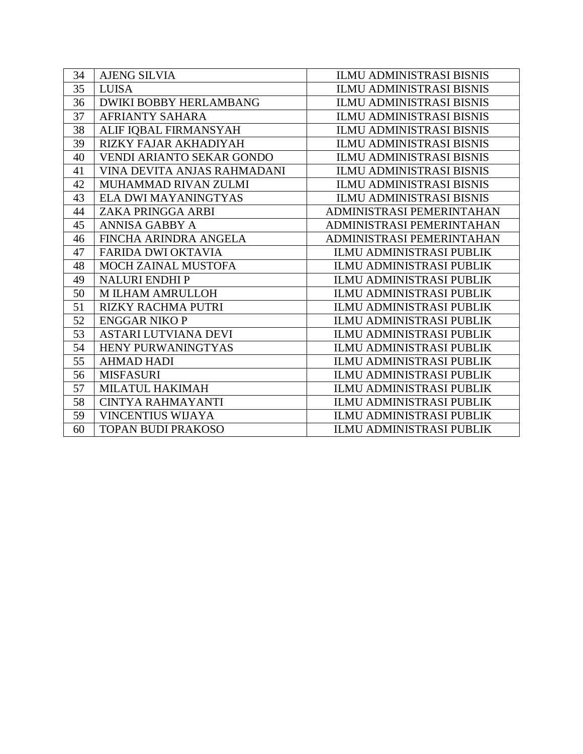| 34 | <b>AJENG SILVIA</b>              | <b>ILMU ADMINISTRASI BISNIS</b> |
|----|----------------------------------|---------------------------------|
| 35 | <b>LUISA</b>                     | <b>ILMU ADMINISTRASI BISNIS</b> |
| 36 | <b>DWIKI BOBBY HERLAMBANG</b>    | <b>ILMU ADMINISTRASI BISNIS</b> |
| 37 | <b>AFRIANTY SAHARA</b>           | <b>ILMU ADMINISTRASI BISNIS</b> |
| 38 | ALIF IQBAL FIRMANSYAH            | <b>ILMU ADMINISTRASI BISNIS</b> |
| 39 | RIZKY FAJAR AKHADIYAH            | <b>ILMU ADMINISTRASI BISNIS</b> |
| 40 | <b>VENDI ARIANTO SEKAR GONDO</b> | <b>ILMU ADMINISTRASI BISNIS</b> |
| 41 | VINA DEVITA ANJAS RAHMADANI      | <b>ILMU ADMINISTRASI BISNIS</b> |
| 42 | MUHAMMAD RIVAN ZULMI             | <b>ILMU ADMINISTRASI BISNIS</b> |
| 43 | ELA DWI MAYANINGTYAS             | <b>ILMU ADMINISTRASI BISNIS</b> |
| 44 | ZAKA PRINGGA ARBI                | ADMINISTRASI PEMERINTAHAN       |
| 45 | <b>ANNISA GABBY A</b>            | ADMINISTRASI PEMERINTAHAN       |
| 46 | FINCHA ARINDRA ANGELA            | ADMINISTRASI PEMERINTAHAN       |
| 47 | <b>FARIDA DWI OKTAVIA</b>        | <b>ILMU ADMINISTRASI PUBLIK</b> |
| 48 | <b>MOCH ZAINAL MUSTOFA</b>       | <b>ILMU ADMINISTRASI PUBLIK</b> |
| 49 | <b>NALURI ENDHIP</b>             | ILMU ADMINISTRASI PUBLIK        |
| 50 | M ILHAM AMRULLOH                 | ILMU ADMINISTRASI PUBLIK        |
| 51 | <b>RIZKY RACHMA PUTRI</b>        | <b>ILMU ADMINISTRASI PUBLIK</b> |
| 52 | <b>ENGGAR NIKO P</b>             | <b>ILMU ADMINISTRASI PUBLIK</b> |
| 53 | <b>ASTARI LUTVIANA DEVI</b>      | <b>ILMU ADMINISTRASI PUBLIK</b> |
| 54 | HENY PURWANINGTYAS               | <b>ILMU ADMINISTRASI PUBLIK</b> |
| 55 | <b>AHMAD HADI</b>                | <b>ILMU ADMINISTRASI PUBLIK</b> |
| 56 | <b>MISFASURI</b>                 | <b>ILMU ADMINISTRASI PUBLIK</b> |
| 57 | <b>MILATUL HAKIMAH</b>           | <b>ILMU ADMINISTRASI PUBLIK</b> |
| 58 | <b>CINTYA RAHMAYANTI</b>         | <b>ILMU ADMINISTRASI PUBLIK</b> |
| 59 | <b>VINCENTIUS WIJAYA</b>         | <b>ILMU ADMINISTRASI PUBLIK</b> |
| 60 | <b>TOPAN BUDI PRAKOSO</b>        | <b>ILMU ADMINISTRASI PUBLIK</b> |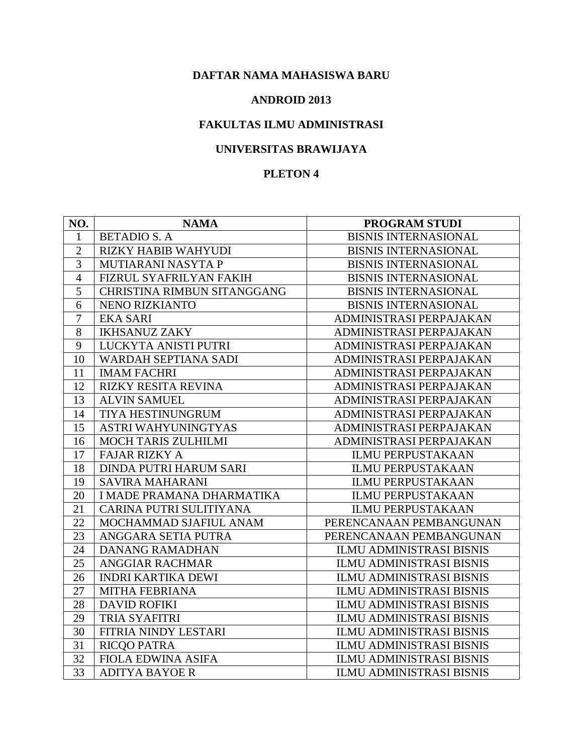#### **ANDROID 2013**

## **FAKULTAS ILMU ADMINISTRASI**

### **UNIVERSITAS BRAWIJAYA**

| NO.            | <b>NAMA</b>                 | PROGRAM STUDI                   |
|----------------|-----------------------------|---------------------------------|
| 1              | <b>BETADIO S. A</b>         | <b>BISNIS INTERNASIONAL</b>     |
| $\overline{2}$ | <b>RIZKY HABIB WAHYUDI</b>  | <b>BISNIS INTERNASIONAL</b>     |
| 3              | MUTIARANI NASYTA P          | <b>BISNIS INTERNASIONAL</b>     |
| $\overline{4}$ | FIZRUL SYAFRILYAN FAKIH     | <b>BISNIS INTERNASIONAL</b>     |
| 5              | CHRISTINA RIMBUN SITANGGANG | <b>BISNIS INTERNASIONAL</b>     |
| 6              | NENO RIZKIANTO              | <b>BISNIS INTERNASIONAL</b>     |
| $\tau$         | <b>EKA SARI</b>             | ADMINISTRASI PERPAJAKAN         |
| 8              | <b>IKHSANUZ ZAKY</b>        | ADMINISTRASI PERPAJAKAN         |
| 9              | LUCKYTA ANISTI PUTRI        | ADMINISTRASI PERPAJAKAN         |
| 10             | <b>WARDAH SEPTIANA SADI</b> | ADMINISTRASI PERPAJAKAN         |
| 11             | <b>IMAM FACHRI</b>          | ADMINISTRASI PERPAJAKAN         |
| 12             | <b>RIZKY RESITA REVINA</b>  | ADMINISTRASI PERPAJAKAN         |
| 13             | <b>ALVIN SAMUEL</b>         | ADMINISTRASI PERPAJAKAN         |
| 14             | TIYA HESTINUNGRUM           | ADMINISTRASI PERPAJAKAN         |
| 15             | ASTRI WAHYUNINGTYAS         | ADMINISTRASI PERPAJAKAN         |
| 16             | <b>MOCH TARIS ZULHILMI</b>  | ADMINISTRASI PERPAJAKAN         |
| 17             | <b>FAJAR RIZKY A</b>        | <b>ILMU PERPUSTAKAAN</b>        |
| 18             | DINDA PUTRI HARUM SARI      | <b>ILMU PERPUSTAKAAN</b>        |
| 19             | <b>SAVIRA MAHARANI</b>      | <b>ILMU PERPUSTAKAAN</b>        |
| 20             | I MADE PRAMANA DHARMATIKA   | <b>ILMU PERPUSTAKAAN</b>        |
| 21             | CARINA PUTRI SULITIYANA     | <b>ILMU PERPUSTAKAAN</b>        |
| 22             | MOCHAMMAD SJAFIUL ANAM      | PERENCANAAN PEMBANGUNAN         |
| 23             | ANGGARA SETIA PUTRA         | PERENCANAAN PEMBANGUNAN         |
| 24             | <b>DANANG RAMADHAN</b>      | <b>ILMU ADMINISTRASI BISNIS</b> |
| 25             | <b>ANGGIAR RACHMAR</b>      | <b>ILMU ADMINISTRASI BISNIS</b> |
| 26             | <b>INDRI KARTIKA DEWI</b>   | <b>ILMU ADMINISTRASI BISNIS</b> |
| 27             | MITHA FEBRIANA              | <b>ILMU ADMINISTRASI BISNIS</b> |
| 28             | <b>DAVID ROFIKI</b>         | <b>ILMU ADMINISTRASI BISNIS</b> |
| 29             | <b>TRIA SYAFITRI</b>        | <b>ILMU ADMINISTRASI BISNIS</b> |
| 30             | FITRIA NINDY LESTARI        | <b>ILMU ADMINISTRASI BISNIS</b> |
| 31             | <b>RICQO PATRA</b>          | <b>ILMU ADMINISTRASI BISNIS</b> |
| 32             | <b>FIOLA EDWINA ASIFA</b>   | <b>ILMU ADMINISTRASI BISNIS</b> |
| 33             | <b>ADITYA BAYOE R</b>       | <b>ILMU ADMINISTRASI BISNIS</b> |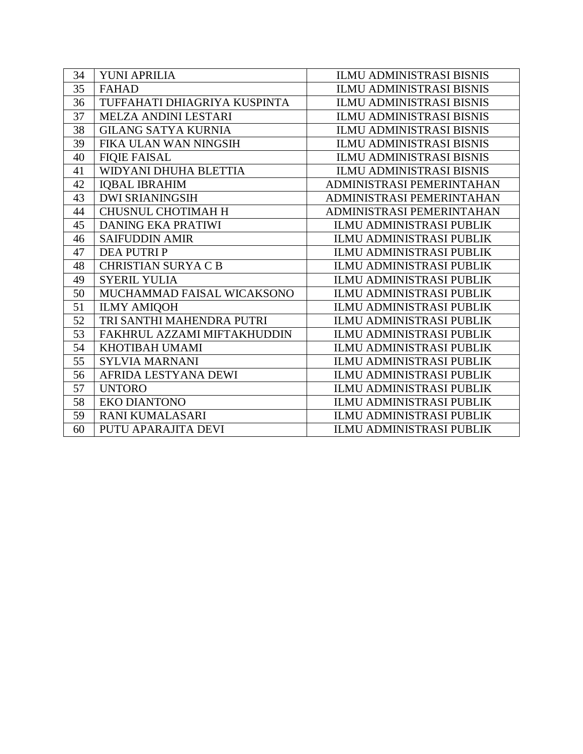| 34 | YUNI APRILIA                 | <b>ILMU ADMINISTRASI BISNIS</b> |
|----|------------------------------|---------------------------------|
| 35 | <b>FAHAD</b>                 | <b>ILMU ADMINISTRASI BISNIS</b> |
| 36 | TUFFAHATI DHIAGRIYA KUSPINTA | <b>ILMU ADMINISTRASI BISNIS</b> |
| 37 | MELZA ANDINI LESTARI         | <b>ILMU ADMINISTRASI BISNIS</b> |
| 38 | <b>GILANG SATYA KURNIA</b>   | <b>ILMU ADMINISTRASI BISNIS</b> |
| 39 | FIKA ULAN WAN NINGSIH        | <b>ILMU ADMINISTRASI BISNIS</b> |
| 40 | <b>FIQIE FAISAL</b>          | <b>ILMU ADMINISTRASI BISNIS</b> |
| 41 | WIDYANI DHUHA BLETTIA        | <b>ILMU ADMINISTRASI BISNIS</b> |
| 42 | <b>IQBAL IBRAHIM</b>         | ADMINISTRASI PEMERINTAHAN       |
| 43 | <b>DWI SRIANINGSIH</b>       | ADMINISTRASI PEMERINTAHAN       |
| 44 | <b>CHUSNUL CHOTIMAH H</b>    | ADMINISTRASI PEMERINTAHAN       |
| 45 | <b>DANING EKA PRATIWI</b>    | <b>ILMU ADMINISTRASI PUBLIK</b> |
| 46 | <b>SAIFUDDIN AMIR</b>        | <b>ILMU ADMINISTRASI PUBLIK</b> |
| 47 | <b>DEA PUTRIP</b>            | <b>ILMU ADMINISTRASI PUBLIK</b> |
| 48 | <b>CHRISTIAN SURYA C B</b>   | <b>ILMU ADMINISTRASI PUBLIK</b> |
| 49 | <b>SYERIL YULIA</b>          | <b>ILMU ADMINISTRASI PUBLIK</b> |
| 50 | MUCHAMMAD FAISAL WICAKSONO   | <b>ILMU ADMINISTRASI PUBLIK</b> |
| 51 | <b>ILMY AMIQOH</b>           | <b>ILMU ADMINISTRASI PUBLIK</b> |
| 52 | TRI SANTHI MAHENDRA PUTRI    | <b>ILMU ADMINISTRASI PUBLIK</b> |
| 53 | FAKHRUL AZZAMI MIFTAKHUDDIN  | <b>ILMU ADMINISTRASI PUBLIK</b> |
| 54 | KHOTIBAH UMAMI               | <b>ILMU ADMINISTRASI PUBLIK</b> |
| 55 | <b>SYLVIA MARNANI</b>        | <b>ILMU ADMINISTRASI PUBLIK</b> |
| 56 | AFRIDA LESTYANA DEWI         | <b>ILMU ADMINISTRASI PUBLIK</b> |
| 57 | <b>UNTORO</b>                | <b>ILMU ADMINISTRASI PUBLIK</b> |
| 58 | <b>EKO DIANTONO</b>          | <b>ILMU ADMINISTRASI PUBLIK</b> |
| 59 | <b>RANI KUMALASARI</b>       | <b>ILMU ADMINISTRASI PUBLIK</b> |
| 60 | PUTU APARAJITA DEVI          | <b>ILMU ADMINISTRASI PUBLIK</b> |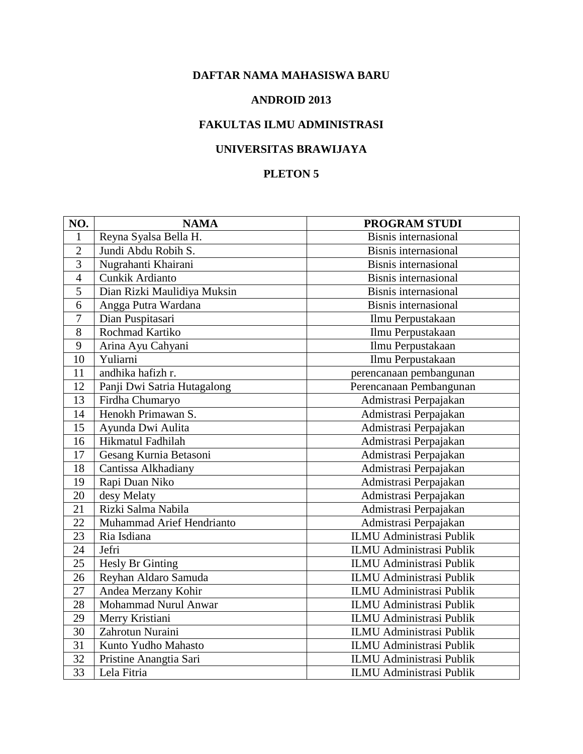#### **ANDROID 2013**

# **FAKULTAS ILMU ADMINISTRASI**

## **UNIVERSITAS BRAWIJAYA**

| NO.             | <b>NAMA</b>                 | <b>PROGRAM STUDI</b>            |
|-----------------|-----------------------------|---------------------------------|
| 1               | Reyna Syalsa Bella H.       | <b>Bisnis internasional</b>     |
| $\overline{2}$  | Jundi Abdu Robih S.         | <b>Bisnis</b> internasional     |
| 3               | Nugrahanti Khairani         | <b>Bisnis</b> internasional     |
| $\overline{4}$  | Cunkik Ardianto             | <b>Bisnis</b> internasional     |
| 5               | Dian Rizki Maulidiya Muksin | <b>Bisnis internasional</b>     |
| 6               | Angga Putra Wardana         | <b>Bisnis</b> internasional     |
| 7               | Dian Puspitasari            | Ilmu Perpustakaan               |
| 8               | Rochmad Kartiko             | Ilmu Perpustakaan               |
| 9               | Arina Ayu Cahyani           | Ilmu Perpustakaan               |
| $\overline{10}$ | Yuliarni                    | Ilmu Perpustakaan               |
| 11              | andhika hafizh r.           | perencanaan pembangunan         |
| 12              | Panji Dwi Satria Hutagalong | Perencanaan Pembangunan         |
| 13              | Firdha Chumaryo             | Admistrasi Perpajakan           |
| 14              | Henokh Primawan S.          | Admistrasi Perpajakan           |
| 15              | Ayunda Dwi Aulita           | Admistrasi Perpajakan           |
| 16              | Hikmatul Fadhilah           | Admistrasi Perpajakan           |
| 17              | Gesang Kurnia Betasoni      | Admistrasi Perpajakan           |
| 18              | Cantissa Alkhadiany         | Admistrasi Perpajakan           |
| 19              | Rapi Duan Niko              | Admistrasi Perpajakan           |
| 20              | desy Melaty                 | Admistrasi Perpajakan           |
| 21              | Rizki Salma Nabila          | Admistrasi Perpajakan           |
| 22              | Muhammad Arief Hendrianto   | Admistrasi Perpajakan           |
| 23              | Ria Isdiana                 | <b>ILMU Administrasi Publik</b> |
| 24              | Jefri                       | <b>ILMU</b> Administrasi Publik |
| 25              | Hesly Br Ginting            | <b>ILMU Administrasi Publik</b> |
| 26              | Reyhan Aldaro Samuda        | <b>ILMU Administrasi Publik</b> |
| 27              | Andea Merzany Kohir         | <b>ILMU Administrasi Publik</b> |
| 28              | Mohammad Nurul Anwar        | <b>ILMU</b> Administrasi Publik |
| 29              | Merry Kristiani             | <b>ILMU Administrasi Publik</b> |
| 30              | Zahrotun Nuraini            | <b>ILMU Administrasi Publik</b> |
| 31              | Kunto Yudho Mahasto         | <b>ILMU Administrasi Publik</b> |
| 32              | Pristine Anangtia Sari      | <b>ILMU Administrasi Publik</b> |
| 33              | Lela Fitria                 | <b>ILMU Administrasi Publik</b> |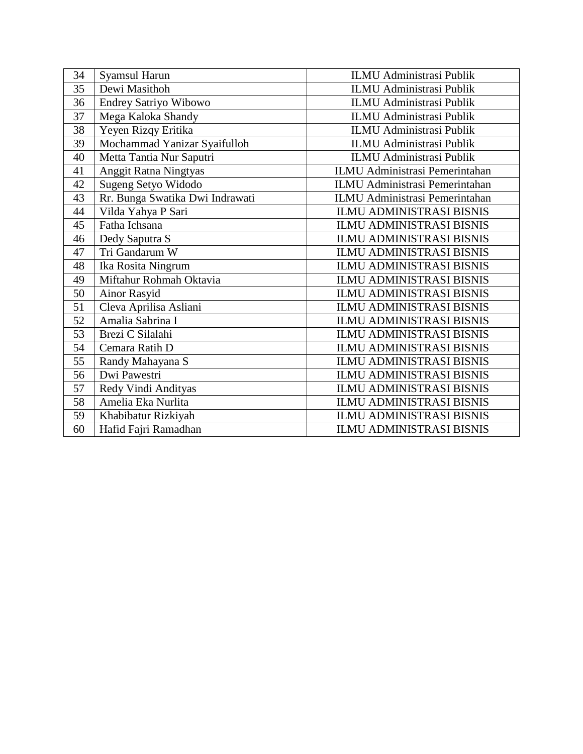| 34 | <b>Syamsul Harun</b>            | <b>ILMU Administrasi Publik</b>       |
|----|---------------------------------|---------------------------------------|
| 35 | Dewi Masithoh                   | <b>ILMU Administrasi Publik</b>       |
| 36 | Endrey Satriyo Wibowo           | <b>ILMU Administrasi Publik</b>       |
| 37 | Mega Kaloka Shandy              | <b>ILMU Administrasi Publik</b>       |
| 38 | Yeyen Rizqy Eritika             | <b>ILMU Administrasi Publik</b>       |
| 39 | Mochammad Yanizar Syaifulloh    | ILMU Administrasi Publik              |
| 40 | Metta Tantia Nur Saputri        | <b>ILMU Administrasi Publik</b>       |
| 41 | Anggit Ratna Ningtyas           | <b>ILMU Administrasi Pemerintahan</b> |
| 42 | Sugeng Setyo Widodo             | <b>ILMU Administrasi Pemerintahan</b> |
| 43 | Rr. Bunga Swatika Dwi Indrawati | <b>ILMU Administrasi Pemerintahan</b> |
| 44 | Vilda Yahya P Sari              | <b>ILMU ADMINISTRASI BISNIS</b>       |
| 45 | Fatha Ichsana                   | <b>ILMU ADMINISTRASI BISNIS</b>       |
| 46 | Dedy Saputra S                  | <b>ILMU ADMINISTRASI BISNIS</b>       |
| 47 | Tri Gandarum W                  | <b>ILMU ADMINISTRASI BISNIS</b>       |
| 48 | Ika Rosita Ningrum              | <b>ILMU ADMINISTRASI BISNIS</b>       |
| 49 | Miftahur Rohmah Oktavia         | <b>ILMU ADMINISTRASI BISNIS</b>       |
| 50 | Ainor Rasyid                    | <b>ILMU ADMINISTRASI BISNIS</b>       |
| 51 | Cleva Aprilisa Asliani          | <b>ILMU ADMINISTRASI BISNIS</b>       |
| 52 | Amalia Sabrina I                | <b>ILMU ADMINISTRASI BISNIS</b>       |
| 53 | Brezi C Silalahi                | <b>ILMU ADMINISTRASI BISNIS</b>       |
| 54 | Cemara Ratih D                  | <b>ILMU ADMINISTRASI BISNIS</b>       |
| 55 | Randy Mahayana S                | <b>ILMU ADMINISTRASI BISNIS</b>       |
| 56 | Dwi Pawestri                    | <b>ILMU ADMINISTRASI BISNIS</b>       |
| 57 | Redy Vindi Andityas             | <b>ILMU ADMINISTRASI BISNIS</b>       |
| 58 | Amelia Eka Nurlita              | ILMU ADMINISTRASI BISNIS              |
| 59 | Khabibatur Rizkiyah             | <b>ILMU ADMINISTRASI BISNIS</b>       |
| 60 | Hafid Fajri Ramadhan            | <b>ILMU ADMINISTRASI BISNIS</b>       |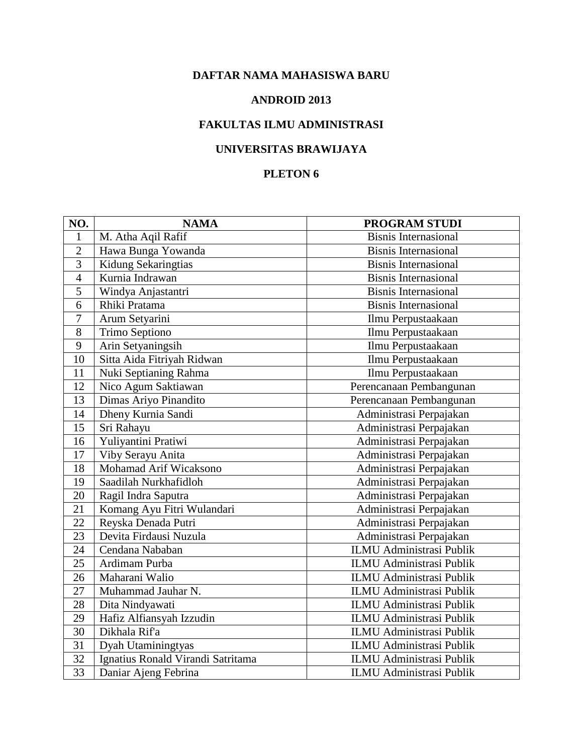#### **ANDROID 2013**

## **FAKULTAS ILMU ADMINISTRASI**

# **UNIVERSITAS BRAWIJAYA**

| NO.            | <b>NAMA</b>                       | PROGRAM STUDI                   |
|----------------|-----------------------------------|---------------------------------|
| 1              | M. Atha Aqil Rafif                | <b>Bisnis Internasional</b>     |
| $\overline{2}$ | Hawa Bunga Yowanda                | <b>Bisnis Internasional</b>     |
| $\overline{3}$ | Kidung Sekaringtias               | <b>Bisnis Internasional</b>     |
| $\overline{4}$ | Kurnia Indrawan                   | <b>Bisnis Internasional</b>     |
| $\overline{5}$ | Windya Anjastantri                | <b>Bisnis Internasional</b>     |
| 6              | Rhiki Pratama                     | <b>Bisnis Internasional</b>     |
| $\overline{7}$ | Arum Setyarini                    | Ilmu Perpustaakaan              |
| 8              | Trimo Septiono                    | Ilmu Perpustaakaan              |
| 9              | Arin Setyaningsih                 | Ilmu Perpustaakaan              |
| 10             | Sitta Aida Fitriyah Ridwan        | Ilmu Perpustaakaan              |
| 11             | Nuki Septianing Rahma             | Ilmu Perpustaakaan              |
| 12             | Nico Agum Saktiawan               | Perencanaan Pembangunan         |
| 13             | Dimas Ariyo Pinandito             | Perencanaan Pembangunan         |
| 14             | Dheny Kurnia Sandi                | Administrasi Perpajakan         |
| 15             | Sri Rahayu                        | Administrasi Perpajakan         |
| 16             | Yuliyantini Pratiwi               | Administrasi Perpajakan         |
| 17             | Viby Serayu Anita                 | Administrasi Perpajakan         |
| 18             | Mohamad Arif Wicaksono            | Administrasi Perpajakan         |
| 19             | Saadilah Nurkhafidloh             | Administrasi Perpajakan         |
| 20             | Ragil Indra Saputra               | Administrasi Perpajakan         |
| 21             | Komang Ayu Fitri Wulandari        | Administrasi Perpajakan         |
| 22             | Reyska Denada Putri               | Administrasi Perpajakan         |
| 23             | Devita Firdausi Nuzula            | Administrasi Perpajakan         |
| 24             | Cendana Nababan                   | <b>ILMU Administrasi Publik</b> |
| 25             | Ardimam Purba                     | ILMU Administrasi Publik        |
| 26             | Maharani Walio                    | <b>ILMU Administrasi Publik</b> |
| 27             | Muhammad Jauhar N.                | <b>ILMU Administrasi Publik</b> |
| 28             | Dita Nindyawati                   | <b>ILMU Administrasi Publik</b> |
| 29             | Hafiz Alfiansyah Izzudin          | <b>ILMU Administrasi Publik</b> |
| 30             | Dikhala Rif'a                     | <b>ILMU Administrasi Publik</b> |
| 31             | Dyah Utaminingtyas                | ILMU Administrasi Publik        |
| 32             | Ignatius Ronald Virandi Satritama | <b>ILMU Administrasi Publik</b> |
| 33             | Daniar Ajeng Febrina              | <b>ILMU Administrasi Publik</b> |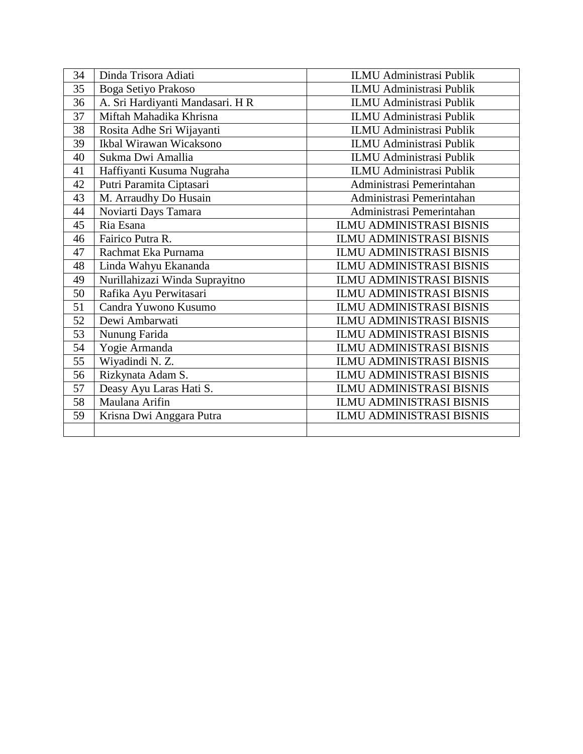| 34 | Dinda Trisora Adiati             | <b>ILMU Administrasi Publik</b> |
|----|----------------------------------|---------------------------------|
| 35 | Boga Setiyo Prakoso              | <b>ILMU Administrasi Publik</b> |
| 36 | A. Sri Hardiyanti Mandasari. H R | <b>ILMU Administrasi Publik</b> |
| 37 | Miftah Mahadika Khrisna          | <b>ILMU Administrasi Publik</b> |
| 38 | Rosita Adhe Sri Wijayanti        | <b>ILMU Administrasi Publik</b> |
| 39 | Ikbal Wirawan Wicaksono          | ILMU Administrasi Publik        |
| 40 | Sukma Dwi Amallia                | <b>ILMU Administrasi Publik</b> |
| 41 | Haffiyanti Kusuma Nugraha        | <b>ILMU Administrasi Publik</b> |
| 42 | Putri Paramita Ciptasari         | Administrasi Pemerintahan       |
| 43 | M. Arraudhy Do Husain            | Administrasi Pemerintahan       |
| 44 | Noviarti Days Tamara             | Administrasi Pemerintahan       |
| 45 | Ria Esana                        | <b>ILMU ADMINISTRASI BISNIS</b> |
| 46 | Fairico Putra R.                 | <b>ILMU ADMINISTRASI BISNIS</b> |
| 47 | Rachmat Eka Purnama              | <b>ILMU ADMINISTRASI BISNIS</b> |
| 48 | Linda Wahyu Ekananda             | <b>ILMU ADMINISTRASI BISNIS</b> |
| 49 | Nurillahizazi Winda Suprayitno   | <b>ILMU ADMINISTRASI BISNIS</b> |
| 50 | Rafika Ayu Perwitasari           | <b>ILMU ADMINISTRASI BISNIS</b> |
| 51 | Candra Yuwono Kusumo             | <b>ILMU ADMINISTRASI BISNIS</b> |
| 52 | Dewi Ambarwati                   | <b>ILMU ADMINISTRASI BISNIS</b> |
| 53 | Nunung Farida                    | <b>ILMU ADMINISTRASI BISNIS</b> |
| 54 | Yogie Armanda                    | <b>ILMU ADMINISTRASI BISNIS</b> |
| 55 | Wiyadindi N. Z.                  | <b>ILMU ADMINISTRASI BISNIS</b> |
| 56 | Rizkynata Adam S.                | <b>ILMU ADMINISTRASI BISNIS</b> |
| 57 | Deasy Ayu Laras Hati S.          | <b>ILMU ADMINISTRASI BISNIS</b> |
| 58 | Maulana Arifin                   | <b>ILMU ADMINISTRASI BISNIS</b> |
| 59 | Krisna Dwi Anggara Putra         | <b>ILMU ADMINISTRASI BISNIS</b> |
|    |                                  |                                 |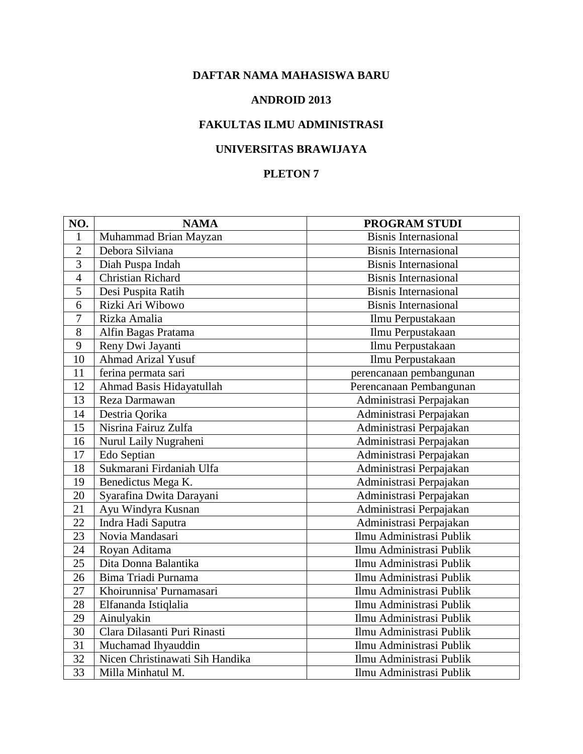#### **ANDROID 2013**

## **FAKULTAS ILMU ADMINISTRASI**

## **UNIVERSITAS BRAWIJAYA**

| NO.             | <b>NAMA</b>                     | PROGRAM STUDI               |
|-----------------|---------------------------------|-----------------------------|
| 1               | Muhammad Brian Mayzan           | <b>Bisnis Internasional</b> |
| $\overline{2}$  | Debora Silviana                 | <b>Bisnis Internasional</b> |
| 3               | Diah Puspa Indah                | <b>Bisnis Internasional</b> |
| $\overline{4}$  | Christian Richard               | <b>Bisnis Internasional</b> |
| 5               | Desi Puspita Ratih              | <b>Bisnis Internasional</b> |
| 6               | Rizki Ari Wibowo                | <b>Bisnis Internasional</b> |
| $\overline{7}$  | Rizka Amalia                    | Ilmu Perpustakaan           |
| 8               | Alfin Bagas Pratama             | Ilmu Perpustakaan           |
| 9               | Reny Dwi Jayanti                | Ilmu Perpustakaan           |
| 10              | <b>Ahmad Arizal Yusuf</b>       | Ilmu Perpustakaan           |
| 11              | ferina permata sari             | perencanaan pembangunan     |
| 12              | Ahmad Basis Hidayatullah        | Perencanaan Pembangunan     |
| 13              | Reza Darmawan                   | Administrasi Perpajakan     |
| 14              | Destria Qorika                  | Administrasi Perpajakan     |
| 15              | Nisrina Fairuz Zulfa            | Administrasi Perpajakan     |
| 16              | Nurul Laily Nugraheni           | Administrasi Perpajakan     |
| 17              | Edo Septian                     | Administrasi Perpajakan     |
| 18              | Sukmarani Firdaniah Ulfa        | Administrasi Perpajakan     |
| 19              | Benedictus Mega K.              | Administrasi Perpajakan     |
| 20              | Syarafina Dwita Darayani        | Administrasi Perpajakan     |
| 21              | Ayu Windyra Kusnan              | Administrasi Perpajakan     |
| 22              | Indra Hadi Saputra              | Administrasi Perpajakan     |
| 23              | Novia Mandasari                 | Ilmu Administrasi Publik    |
| 24              | Royan Aditama                   | Ilmu Administrasi Publik    |
| 25              | Dita Donna Balantika            | Ilmu Administrasi Publik    |
| 26              | Bima Triadi Purnama             | Ilmu Administrasi Publik    |
| 27              | Khoirunnisa' Purnamasari        | Ilmu Administrasi Publik    |
| 28              | Elfananda Istiqlalia            | Ilmu Administrasi Publik    |
| 29              | Ainulyakin                      | Ilmu Administrasi Publik    |
| 30              | Clara Dilasanti Puri Rinasti    | Ilmu Administrasi Publik    |
| 31              | Muchamad Ihyauddin              | Ilmu Administrasi Publik    |
| 32              | Nicen Christinawati Sih Handika | Ilmu Administrasi Publik    |
| $\overline{33}$ | Milla Minhatul M.               | Ilmu Administrasi Publik    |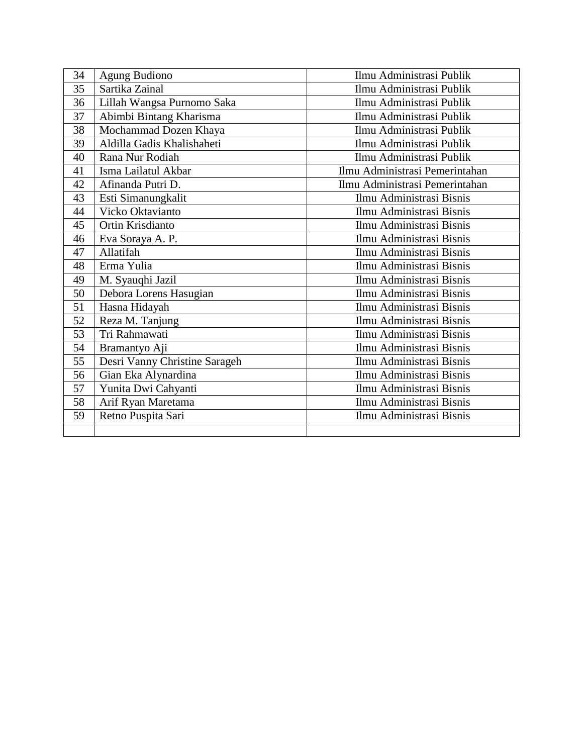| 34 | Agung Budiono                 | Ilmu Administrasi Publik       |
|----|-------------------------------|--------------------------------|
| 35 | Sartika Zainal                | Ilmu Administrasi Publik       |
| 36 | Lillah Wangsa Purnomo Saka    | Ilmu Administrasi Publik       |
| 37 | Abimbi Bintang Kharisma       | Ilmu Administrasi Publik       |
| 38 | Mochammad Dozen Khaya         | Ilmu Administrasi Publik       |
| 39 | Aldilla Gadis Khalishaheti    | Ilmu Administrasi Publik       |
| 40 | Rana Nur Rodiah               | Ilmu Administrasi Publik       |
| 41 | Isma Lailatul Akbar           | Ilmu Administrasi Pemerintahan |
| 42 | Afinanda Putri D.             | Ilmu Administrasi Pemerintahan |
| 43 | Esti Simanungkalit            | Ilmu Administrasi Bisnis       |
| 44 | Vicko Oktavianto              | Ilmu Administrasi Bisnis       |
| 45 | Ortin Krisdianto              | Ilmu Administrasi Bisnis       |
| 46 | Eva Soraya A. P.              | Ilmu Administrasi Bisnis       |
| 47 | Allatifah                     | Ilmu Administrasi Bisnis       |
| 48 | Erma Yulia                    | Ilmu Administrasi Bisnis       |
| 49 | M. Syauqhi Jazil              | Ilmu Administrasi Bisnis       |
| 50 | Debora Lorens Hasugian        | Ilmu Administrasi Bisnis       |
| 51 | Hasna Hidayah                 | Ilmu Administrasi Bisnis       |
| 52 | Reza M. Tanjung               | Ilmu Administrasi Bisnis       |
| 53 | Tri Rahmawati                 | Ilmu Administrasi Bisnis       |
| 54 | Bramantyo Aji                 | Ilmu Administrasi Bisnis       |
| 55 | Desri Vanny Christine Sarageh | Ilmu Administrasi Bisnis       |
| 56 | Gian Eka Alynardina           | Ilmu Administrasi Bisnis       |
| 57 | Yunita Dwi Cahyanti           | Ilmu Administrasi Bisnis       |
| 58 | Arif Ryan Maretama            | Ilmu Administrasi Bisnis       |
| 59 | Retno Puspita Sari            | Ilmu Administrasi Bisnis       |
|    |                               |                                |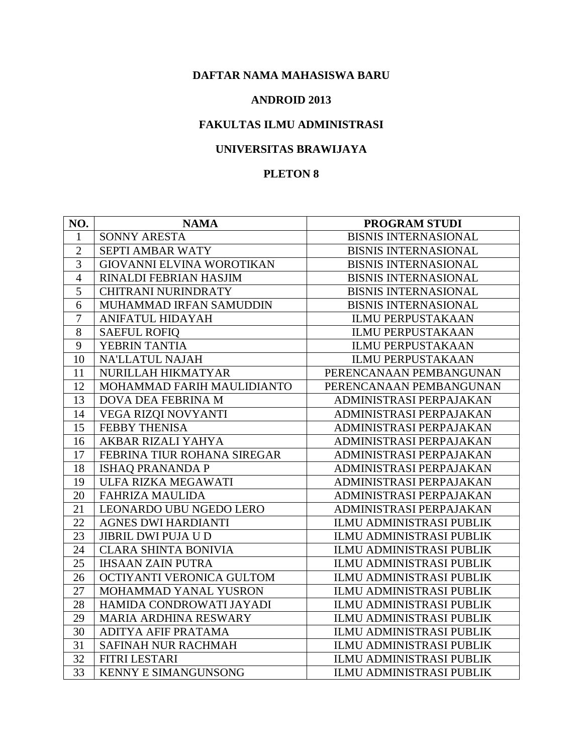#### **ANDROID 2013**

## **FAKULTAS ILMU ADMINISTRASI**

## **UNIVERSITAS BRAWIJAYA**

| NO.            | <b>NAMA</b>                      | <b>PROGRAM STUDI</b>            |
|----------------|----------------------------------|---------------------------------|
| 1              | SONNY ARESTA                     | <b>BISNIS INTERNASIONAL</b>     |
| $\overline{2}$ | SEPTI AMBAR WATY                 | <b>BISNIS INTERNASIONAL</b>     |
| 3              | <b>GIOVANNI ELVINA WOROTIKAN</b> | <b>BISNIS INTERNASIONAL</b>     |
| $\overline{4}$ | RINALDI FEBRIAN HASJIM           | <b>BISNIS INTERNASIONAL</b>     |
| 5              | <b>CHITRANI NURINDRATY</b>       | <b>BISNIS INTERNASIONAL</b>     |
| 6              | MUHAMMAD IRFAN SAMUDDIN          | <b>BISNIS INTERNASIONAL</b>     |
| $\overline{7}$ | <b>ANIFATUL HIDAYAH</b>          | <b>ILMU PERPUSTAKAAN</b>        |
| 8              | <b>SAEFUL ROFIQ</b>              | <b>ILMU PERPUSTAKAAN</b>        |
| 9              | YEBRIN TANTIA                    | <b>ILMU PERPUSTAKAAN</b>        |
| 10             | <b>NA'LLATUL NAJAH</b>           | <b>ILMU PERPUSTAKAAN</b>        |
| 11             | NURILLAH HIKMATYAR               | PERENCANAAN PEMBANGUNAN         |
| 12             | MOHAMMAD FARIH MAULIDIANTO       | PERENCANAAN PEMBANGUNAN         |
| 13             | DOVA DEA FEBRINA M               | ADMINISTRASI PERPAJAKAN         |
| 14             | VEGA RIZQI NOVYANTI              | ADMINISTRASI PERPAJAKAN         |
| 15             | FEBBY THENISA                    | ADMINISTRASI PERPAJAKAN         |
| 16             | AKBAR RIZALI YAHYA               | ADMINISTRASI PERPAJAKAN         |
| 17             | FEBRINA TIUR ROHANA SIREGAR      | ADMINISTRASI PERPAJAKAN         |
| 18             | <b>ISHAQ PRANANDA P</b>          | ADMINISTRASI PERPAJAKAN         |
| 19             | ULFA RIZKA MEGAWATI              | ADMINISTRASI PERPAJAKAN         |
| 20             | <b>FAHRIZA MAULIDA</b>           | ADMINISTRASI PERPAJAKAN         |
| 21             | LEONARDO UBU NGEDO LERO          | ADMINISTRASI PERPAJAKAN         |
| 22             | <b>AGNES DWI HARDIANTI</b>       | ILMU ADMINISTRASI PUBLIK        |
| 23             | JIBRIL DWI PUJA U D              | ILMU ADMINISTRASI PUBLIK        |
| 24             | <b>CLARA SHINTA BONIVIA</b>      | ILMU ADMINISTRASI PUBLIK        |
| 25             | <b>IHSAAN ZAIN PUTRA</b>         | ILMU ADMINISTRASI PUBLIK        |
| 26             | OCTIYANTI VERONICA GULTOM        | ILMU ADMINISTRASI PUBLIK        |
| 27             | MOHAMMAD YANAL YUSRON            | ILMU ADMINISTRASI PUBLIK        |
| 28             | HAMIDA CONDROWATI JAYADI         | ILMU ADMINISTRASI PUBLIK        |
| 29             | MARIA ARDHINA RESWARY            | <b>ILMU ADMINISTRASI PUBLIK</b> |
| 30             | ADITYA AFIF PRATAMA              | ILMU ADMINISTRASI PUBLIK        |
| 31             | SAFINAH NUR RACHMAH              | <b>ILMU ADMINISTRASI PUBLIK</b> |
| 32             | FITRI LESTARI                    | ILMU ADMINISTRASI PUBLIK        |
| 33             | <b>KENNY E SIMANGUNSONG</b>      | ILMU ADMINISTRASI PUBLIK        |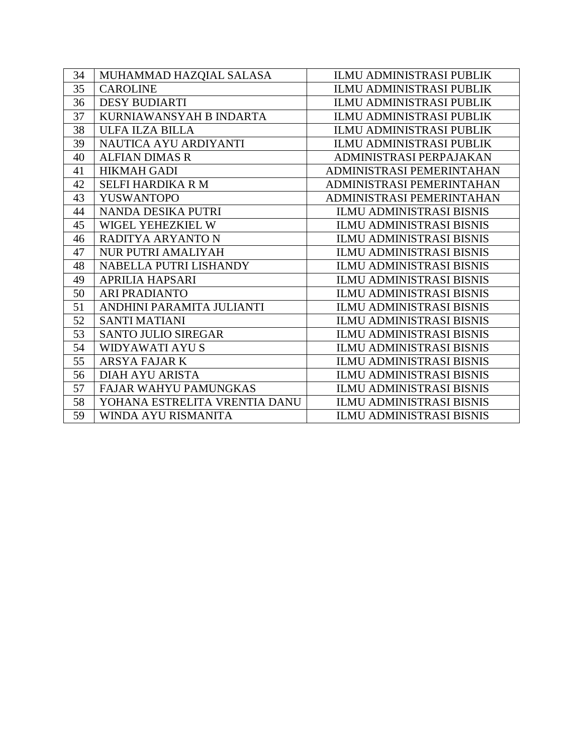| 34 | MUHAMMAD HAZQIAL SALASA       | ILMU ADMINISTRASI PUBLIK        |
|----|-------------------------------|---------------------------------|
| 35 | <b>CAROLINE</b>               | <b>ILMU ADMINISTRASI PUBLIK</b> |
| 36 | <b>DESY BUDIARTI</b>          | <b>ILMU ADMINISTRASI PUBLIK</b> |
| 37 | KURNIAWANSYAH B INDARTA       | <b>ILMU ADMINISTRASI PUBLIK</b> |
| 38 | <b>ULFA ILZA BILLA</b>        | <b>ILMU ADMINISTRASI PUBLIK</b> |
| 39 | NAUTICA AYU ARDIYANTI         | <b>ILMU ADMINISTRASI PUBLIK</b> |
| 40 | <b>ALFIAN DIMAS R</b>         | ADMINISTRASI PERPAJAKAN         |
| 41 | <b>HIKMAH GADI</b>            | ADMINISTRASI PEMERINTAHAN       |
| 42 | <b>SELFI HARDIKA R M</b>      | ADMINISTRASI PEMERINTAHAN       |
| 43 | <b>YUSWANTOPO</b>             | ADMINISTRASI PEMERINTAHAN       |
| 44 | NANDA DESIKA PUTRI            | <b>ILMU ADMINISTRASI BISNIS</b> |
| 45 | WIGEL YEHEZKIEL W             | <b>ILMU ADMINISTRASI BISNIS</b> |
| 46 | RADITYA ARYANTO N             | <b>ILMU ADMINISTRASI BISNIS</b> |
| 47 | <b>NUR PUTRI AMALIYAH</b>     | <b>ILMU ADMINISTRASI BISNIS</b> |
| 48 | NABELLA PUTRI LISHANDY        | <b>ILMU ADMINISTRASI BISNIS</b> |
| 49 | <b>APRILIA HAPSARI</b>        | <b>ILMU ADMINISTRASI BISNIS</b> |
| 50 | <b>ARI PRADIANTO</b>          | <b>ILMU ADMINISTRASI BISNIS</b> |
| 51 | ANDHINI PARAMITA JULIANTI     | <b>ILMU ADMINISTRASI BISNIS</b> |
| 52 | <b>SANTI MATIANI</b>          | <b>ILMU ADMINISTRASI BISNIS</b> |
| 53 | <b>SANTO JULIO SIREGAR</b>    | <b>ILMU ADMINISTRASI BISNIS</b> |
| 54 | WIDYAWATI AYU S               | <b>ILMU ADMINISTRASI BISNIS</b> |
| 55 | <b>ARSYA FAJAR K</b>          | <b>ILMU ADMINISTRASI BISNIS</b> |
| 56 | <b>DIAH AYU ARISTA</b>        | <b>ILMU ADMINISTRASI BISNIS</b> |
| 57 | FAJAR WAHYU PAMUNGKAS         | <b>ILMU ADMINISTRASI BISNIS</b> |
| 58 | YOHANA ESTRELITA VRENTIA DANU | <b>ILMU ADMINISTRASI BISNIS</b> |
| 59 | WINDA AYU RISMANITA           | <b>ILMU ADMINISTRASI BISNIS</b> |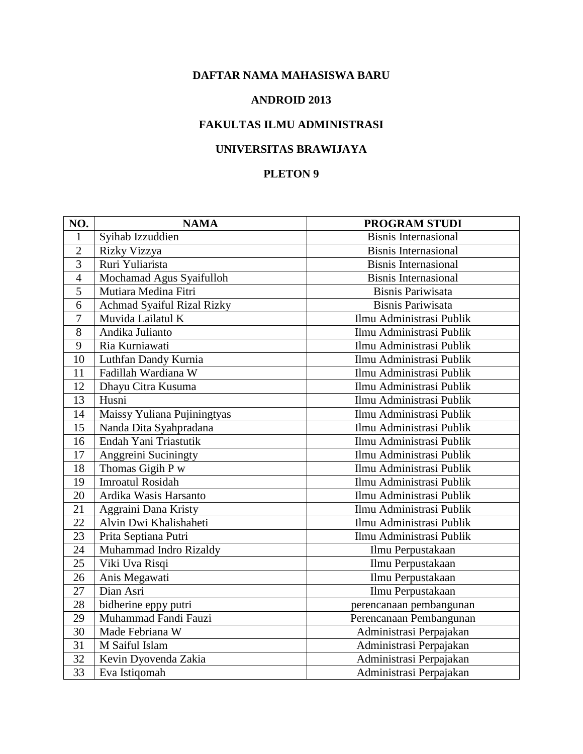#### **ANDROID 2013**

## **FAKULTAS ILMU ADMINISTRASI**

## **UNIVERSITAS BRAWIJAYA**

| NO.             | <b>NAMA</b>                 | PROGRAM STUDI               |
|-----------------|-----------------------------|-----------------------------|
| 1               | Syihab Izzuddien            | <b>Bisnis Internasional</b> |
| $\overline{2}$  | Rizky Vizzya                | <b>Bisnis Internasional</b> |
| 3               | Ruri Yuliarista             | <b>Bisnis Internasional</b> |
| $\overline{4}$  | Mochamad Agus Syaifulloh    | <b>Bisnis Internasional</b> |
| 5               | Mutiara Medina Fitri        | <b>Bisnis Pariwisata</b>    |
| 6               | Achmad Syaiful Rizal Rizky  | <b>Bisnis Pariwisata</b>    |
| $\overline{7}$  | Muvida Lailatul K           | Ilmu Administrasi Publik    |
| 8               | Andika Julianto             | Ilmu Administrasi Publik    |
| 9               | Ria Kurniawati              | Ilmu Administrasi Publik    |
| 10              | Luthfan Dandy Kurnia        | Ilmu Administrasi Publik    |
| 11              | Fadillah Wardiana W         | Ilmu Administrasi Publik    |
| 12              | Dhayu Citra Kusuma          | Ilmu Administrasi Publik    |
| 13              | Husni                       | Ilmu Administrasi Publik    |
| 14              | Maissy Yuliana Pujiningtyas | Ilmu Administrasi Publik    |
| 15              | Nanda Dita Syahpradana      | Ilmu Administrasi Publik    |
| 16              | Endah Yani Triastutik       | Ilmu Administrasi Publik    |
| 17              | Anggreini Suciningty        | Ilmu Administrasi Publik    |
| 18              | Thomas Gigih P w            | Ilmu Administrasi Publik    |
| 19              | <b>Imroatul Rosidah</b>     | Ilmu Administrasi Publik    |
| 20              | Ardika Wasis Harsanto       | Ilmu Administrasi Publik    |
| 21              | Aggraini Dana Kristy        | Ilmu Administrasi Publik    |
| 22              | Alvin Dwi Khalishaheti      | Ilmu Administrasi Publik    |
| 23              | Prita Septiana Putri        | Ilmu Administrasi Publik    |
| 24              | Muhammad Indro Rizaldy      | Ilmu Perpustakaan           |
| 25              | Viki Uva Risqi              | Ilmu Perpustakaan           |
| 26              | Anis Megawati               | Ilmu Perpustakaan           |
| 27              | Dian Asri                   | Ilmu Perpustakaan           |
| 28              | bidherine eppy putri        | perencanaan pembangunan     |
| 29              | Muhammad Fandi Fauzi        | Perencanaan Pembangunan     |
| 30              | Made Febriana W             | Administrasi Perpajakan     |
| 31              | M Saiful Islam              | Administrasi Perpajakan     |
| 32              | Kevin Dyovenda Zakia        | Administrasi Perpajakan     |
| $\overline{33}$ | Eva Istiqomah               | Administrasi Perpajakan     |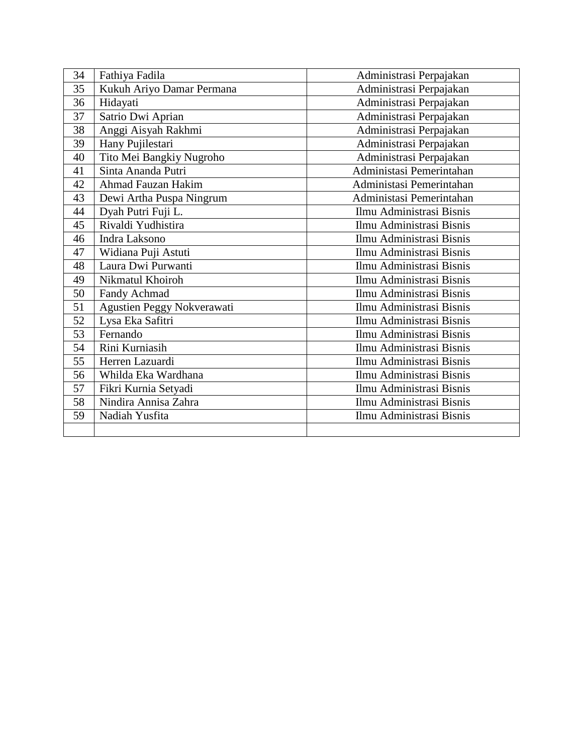| 34 | Fathiya Fadila             | Administrasi Perpajakan  |
|----|----------------------------|--------------------------|
| 35 | Kukuh Ariyo Damar Permana  | Administrasi Perpajakan  |
| 36 | Hidayati                   | Administrasi Perpajakan  |
| 37 | Satrio Dwi Aprian          | Administrasi Perpajakan  |
| 38 | Anggi Aisyah Rakhmi        | Administrasi Perpajakan  |
| 39 | Hany Pujilestari           | Administrasi Perpajakan  |
| 40 | Tito Mei Bangkiy Nugroho   | Administrasi Perpajakan  |
| 41 | Sinta Ananda Putri         | Administasi Pemerintahan |
| 42 | Ahmad Fauzan Hakim         | Administasi Pemerintahan |
| 43 | Dewi Artha Puspa Ningrum   | Administasi Pemerintahan |
| 44 | Dyah Putri Fuji L.         | Ilmu Administrasi Bisnis |
| 45 | Rivaldi Yudhistira         | Ilmu Administrasi Bisnis |
| 46 | Indra Laksono              | Ilmu Administrasi Bisnis |
| 47 | Widiana Puji Astuti        | Ilmu Administrasi Bisnis |
| 48 | Laura Dwi Purwanti         | Ilmu Administrasi Bisnis |
| 49 | Nikmatul Khoiroh           | Ilmu Administrasi Bisnis |
| 50 | Fandy Achmad               | Ilmu Administrasi Bisnis |
| 51 | Agustien Peggy Nokverawati | Ilmu Administrasi Bisnis |
| 52 | Lysa Eka Safitri           | Ilmu Administrasi Bisnis |
| 53 | Fernando                   | Ilmu Administrasi Bisnis |
| 54 | Rini Kurniasih             | Ilmu Administrasi Bisnis |
| 55 | Herren Lazuardi            | Ilmu Administrasi Bisnis |
| 56 | Whilda Eka Wardhana        | Ilmu Administrasi Bisnis |
| 57 | Fikri Kurnia Setyadi       | Ilmu Administrasi Bisnis |
| 58 | Nindira Annisa Zahra       | Ilmu Administrasi Bisnis |
| 59 | Nadiah Yusfita             | Ilmu Administrasi Bisnis |
|    |                            |                          |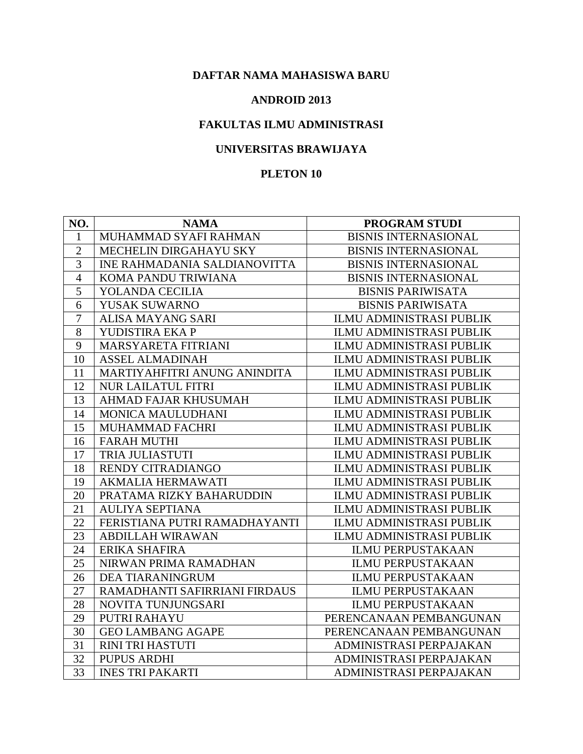#### **ANDROID 2013**

## **FAKULTAS ILMU ADMINISTRASI**

## **UNIVERSITAS BRAWIJAYA**

| NO.            | <b>NAMA</b>                         | <b>PROGRAM STUDI</b>            |
|----------------|-------------------------------------|---------------------------------|
| 1              | MUHAMMAD SYAFI RAHMAN               | <b>BISNIS INTERNASIONAL</b>     |
| $\overline{2}$ | MECHELIN DIRGAHAYU SKY              | <b>BISNIS INTERNASIONAL</b>     |
| 3              | <b>INE RAHMADANIA SALDIANOVITTA</b> | <b>BISNIS INTERNASIONAL</b>     |
| $\overline{4}$ | KOMA PANDU TRIWIANA                 | <b>BISNIS INTERNASIONAL</b>     |
| 5              | YOLANDA CECILIA                     | <b>BISNIS PARIWISATA</b>        |
| 6              | YUSAK SUWARNO                       | <b>BISNIS PARIWISATA</b>        |
| $\overline{7}$ | <b>ALISA MAYANG SARI</b>            | ILMU ADMINISTRASI PUBLIK        |
| 8              | YUDISTIRA EKA P                     | <b>ILMU ADMINISTRASI PUBLIK</b> |
| 9              | MARSYARETA FITRIANI                 | <b>ILMU ADMINISTRASI PUBLIK</b> |
| 10             | <b>ASSEL ALMADINAH</b>              | <b>ILMU ADMINISTRASI PUBLIK</b> |
| 11             | MARTIYAHFITRI ANUNG ANINDITA        | ILMU ADMINISTRASI PUBLIK        |
| 12             | <b>NUR LAILATUL FITRI</b>           | ILMU ADMINISTRASI PUBLIK        |
| 13             | AHMAD FAJAR KHUSUMAH                | ILMU ADMINISTRASI PUBLIK        |
| 14             | MONICA MAULUDHANI                   | <b>ILMU ADMINISTRASI PUBLIK</b> |
| 15             | MUHAMMAD FACHRI                     | ILMU ADMINISTRASI PUBLIK        |
| 16             | <b>FARAH MUTHI</b>                  | ILMU ADMINISTRASI PUBLIK        |
| 17             | <b>TRIA JULIASTUTI</b>              | ILMU ADMINISTRASI PUBLIK        |
| 18             | <b>RENDY CITRADIANGO</b>            | ILMU ADMINISTRASI PUBLIK        |
| 19             | <b>AKMALIA HERMAWATI</b>            | ILMU ADMINISTRASI PUBLIK        |
| 20             | PRATAMA RIZKY BAHARUDDIN            | <b>ILMU ADMINISTRASI PUBLIK</b> |
| 21             | <b>AULIYA SEPTIANA</b>              | ILMU ADMINISTRASI PUBLIK        |
| 22             | FERISTIANA PUTRI RAMADHAYANTI       | ILMU ADMINISTRASI PUBLIK        |
| 23             | <b>ABDILLAH WIRAWAN</b>             | <b>ILMU ADMINISTRASI PUBLIK</b> |
| 24             | ERIKA SHAFIRA                       | <b>ILMU PERPUSTAKAAN</b>        |
| 25             | NIRWAN PRIMA RAMADHAN               | <b>ILMU PERPUSTAKAAN</b>        |
| 26             | <b>DEA TIARANINGRUM</b>             | <b>ILMU PERPUSTAKAAN</b>        |
| 27             | RAMADHANTI SAFIRRIANI FIRDAUS       | <b>ILMU PERPUSTAKAAN</b>        |
| 28             | NOVITA TUNJUNGSARI                  | <b>ILMU PERPUSTAKAAN</b>        |
| 29             | PUTRI RAHAYU                        | PERENCANAAN PEMBANGUNAN         |
| 30             | <b>GEO LAMBANG AGAPE</b>            | PERENCANAAN PEMBANGUNAN         |
| 31             | RINI TRI HASTUTI                    | ADMINISTRASI PERPAJAKAN         |
| 32             | <b>PUPUS ARDHI</b>                  | ADMINISTRASI PERPAJAKAN         |
| 33             | <b>INES TRI PAKARTI</b>             | ADMINISTRASI PERPAJAKAN         |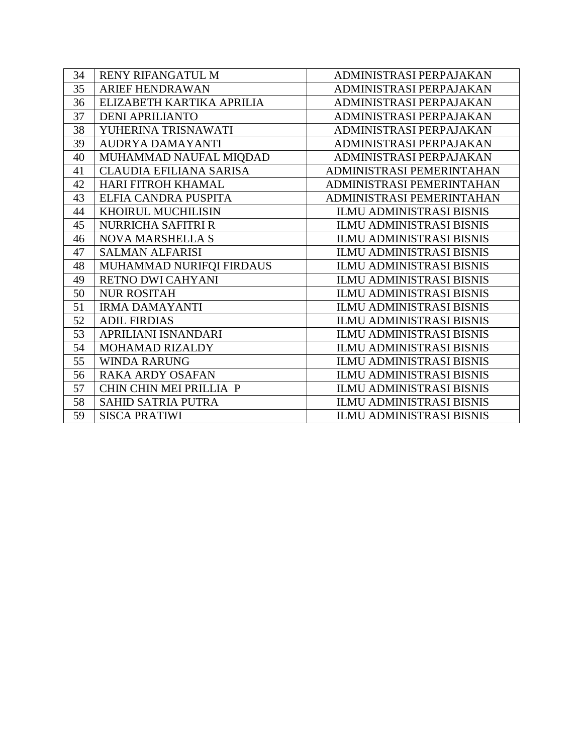| 34 | RENY RIFANGATUL M              | ADMINISTRASI PERPAJAKAN         |
|----|--------------------------------|---------------------------------|
| 35 | <b>ARIEF HENDRAWAN</b>         | ADMINISTRASI PERPAJAKAN         |
| 36 | ELIZABETH KARTIKA APRILIA      | ADMINISTRASI PERPAJAKAN         |
| 37 | <b>DENI APRILIANTO</b>         | ADMINISTRASI PERPAJAKAN         |
| 38 | YUHERINA TRISNAWATI            | ADMINISTRASI PERPAJAKAN         |
| 39 | AUDRYA DAMAYANTI               | ADMINISTRASI PERPAJAKAN         |
| 40 | MUHAMMAD NAUFAL MIQDAD         | ADMINISTRASI PERPAJAKAN         |
| 41 | <b>CLAUDIA EFILIANA SARISA</b> | ADMINISTRASI PEMERINTAHAN       |
| 42 | <b>HARI FITROH KHAMAL</b>      | ADMINISTRASI PEMERINTAHAN       |
| 43 | ELFIA CANDRA PUSPITA           | ADMINISTRASI PEMERINTAHAN       |
| 44 | KHOIRUL MUCHILISIN             | <b>ILMU ADMINISTRASI BISNIS</b> |
| 45 | <b>NURRICHA SAFITRI R</b>      | <b>ILMU ADMINISTRASI BISNIS</b> |
| 46 | <b>NOVA MARSHELLA S</b>        | <b>ILMU ADMINISTRASI BISNIS</b> |
| 47 | <b>SALMAN ALFARISI</b>         | <b>ILMU ADMINISTRASI BISNIS</b> |
| 48 | MUHAMMAD NURIFQI FIRDAUS       | <b>ILMU ADMINISTRASI BISNIS</b> |
| 49 | RETNO DWI CAHYANI              | <b>ILMU ADMINISTRASI BISNIS</b> |
| 50 | <b>NUR ROSITAH</b>             | <b>ILMU ADMINISTRASI BISNIS</b> |
| 51 | <b>IRMA DAMAYANTI</b>          | <b>ILMU ADMINISTRASI BISNIS</b> |
| 52 | <b>ADIL FIRDIAS</b>            | <b>ILMU ADMINISTRASI BISNIS</b> |
| 53 | APRILIANI ISNANDARI            | <b>ILMU ADMINISTRASI BISNIS</b> |
| 54 | MOHAMAD RIZALDY                | <b>ILMU ADMINISTRASI BISNIS</b> |
| 55 | <b>WINDA RARUNG</b>            | <b>ILMU ADMINISTRASI BISNIS</b> |
| 56 | <b>RAKA ARDY OSAFAN</b>        | <b>ILMU ADMINISTRASI BISNIS</b> |
| 57 | CHIN CHIN MEI PRILLIA P        | <b>ILMU ADMINISTRASI BISNIS</b> |
| 58 | <b>SAHID SATRIA PUTRA</b>      | <b>ILMU ADMINISTRASI BISNIS</b> |
| 59 | <b>SISCA PRATIWI</b>           | <b>ILMU ADMINISTRASI BISNIS</b> |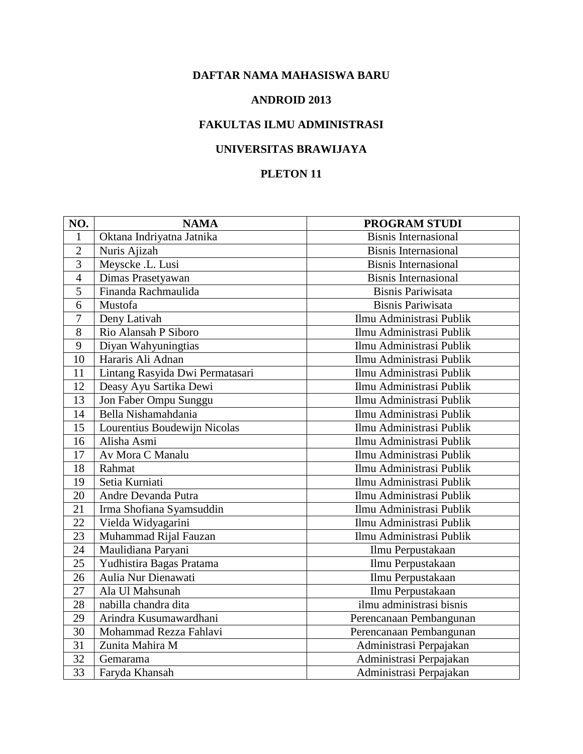#### **ANDROID 2013**

## **FAKULTAS ILMU ADMINISTRASI**

## **UNIVERSITAS BRAWIJAYA**

| NO.             | <b>NAMA</b>                     | PROGRAM STUDI               |
|-----------------|---------------------------------|-----------------------------|
| 1               | Oktana Indriyatna Jatnika       | <b>Bisnis Internasional</b> |
| $\overline{2}$  | Nuris Ajizah                    | <b>Bisnis Internasional</b> |
| $\overline{3}$  | Meyscke .L. Lusi                | <b>Bisnis Internasional</b> |
| $\overline{4}$  | Dimas Prasetyawan               | <b>Bisnis Internasional</b> |
| 5               | Finanda Rachmaulida             | <b>Bisnis Pariwisata</b>    |
| 6               | Mustofa                         | <b>Bisnis Pariwisata</b>    |
| $\overline{7}$  | Deny Lativah                    | Ilmu Administrasi Publik    |
| 8               | Rio Alansah P Siboro            | Ilmu Administrasi Publik    |
| 9               | Diyan Wahyuningtias             | Ilmu Administrasi Publik    |
| $\overline{10}$ | Hararis Ali Adnan               | Ilmu Administrasi Publik    |
| 11              | Lintang Rasyida Dwi Permatasari | Ilmu Administrasi Publik    |
| 12              | Deasy Ayu Sartika Dewi          | Ilmu Administrasi Publik    |
| 13              | Jon Faber Ompu Sunggu           | Ilmu Administrasi Publik    |
| 14              | Bella Nishamahdania             | Ilmu Administrasi Publik    |
| 15              | Lourentius Boudewijn Nicolas    | Ilmu Administrasi Publik    |
| 16              | Alisha Asmi                     | Ilmu Administrasi Publik    |
| 17              | Av Mora C Manalu                | Ilmu Administrasi Publik    |
| 18              | Rahmat                          | Ilmu Administrasi Publik    |
| 19              | Setia Kurniati                  | Ilmu Administrasi Publik    |
| 20              | Andre Devanda Putra             | Ilmu Administrasi Publik    |
| 21              | Irma Shofiana Syamsuddin        | Ilmu Administrasi Publik    |
| 22              | Vielda Widyagarini              | Ilmu Administrasi Publik    |
| 23              | Muhammad Rijal Fauzan           | Ilmu Administrasi Publik    |
| 24              | Maulidiana Paryani              | Ilmu Perpustakaan           |
| 25              | Yudhistira Bagas Pratama        | Ilmu Perpustakaan           |
| 26              | Aulia Nur Dienawati             | Ilmu Perpustakaan           |
| 27              | Ala Ul Mahsunah                 | Ilmu Perpustakaan           |
| 28              | nabilla chandra dita            | ilmu administrasi bisnis    |
| 29              | Arindra Kusumawardhani          | Perencanaan Pembangunan     |
| 30              | Mohammad Rezza Fahlavi          | Perencanaan Pembangunan     |
| $\overline{31}$ | Zunita Mahira M                 | Administrasi Perpajakan     |
| 32              | Gemarama                        | Administrasi Perpajakan     |
| 33              | Faryda Khansah                  | Administrasi Perpajakan     |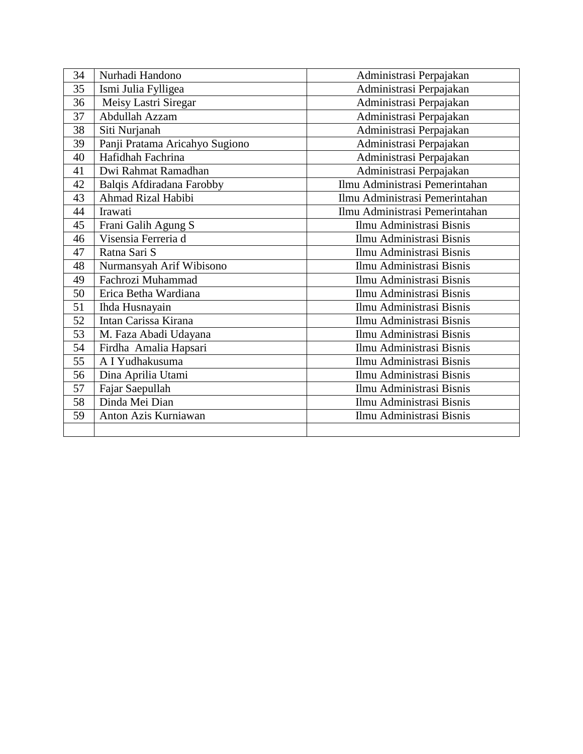| 34 | Nurhadi Handono                | Administrasi Perpajakan        |
|----|--------------------------------|--------------------------------|
| 35 | Ismi Julia Fylligea            | Administrasi Perpajakan        |
| 36 | Meisy Lastri Siregar           | Administrasi Perpajakan        |
| 37 | Abdullah Azzam                 | Administrasi Perpajakan        |
| 38 | Siti Nurjanah                  | Administrasi Perpajakan        |
| 39 | Panji Pratama Aricahyo Sugiono | Administrasi Perpajakan        |
| 40 | Hafidhah Fachrina              | Administrasi Perpajakan        |
| 41 | Dwi Rahmat Ramadhan            | Administrasi Perpajakan        |
| 42 | Balqis Afdiradana Farobby      | Ilmu Administrasi Pemerintahan |
| 43 | Ahmad Rizal Habibi             | Ilmu Administrasi Pemerintahan |
| 44 | Irawati                        | Ilmu Administrasi Pemerintahan |
| 45 | Frani Galih Agung S            | Ilmu Administrasi Bisnis       |
| 46 | Visensia Ferreria d            | Ilmu Administrasi Bisnis       |
| 47 | Ratna Sari S                   | Ilmu Administrasi Bisnis       |
| 48 | Nurmansyah Arif Wibisono       | Ilmu Administrasi Bisnis       |
| 49 | Fachrozi Muhammad              | Ilmu Administrasi Bisnis       |
| 50 | Erica Betha Wardiana           | Ilmu Administrasi Bisnis       |
| 51 | Ihda Husnayain                 | Ilmu Administrasi Bisnis       |
| 52 | Intan Carissa Kirana           | Ilmu Administrasi Bisnis       |
| 53 | M. Faza Abadi Udayana          | Ilmu Administrasi Bisnis       |
| 54 | Firdha Amalia Hapsari          | Ilmu Administrasi Bisnis       |
| 55 | A I Yudhakusuma                | Ilmu Administrasi Bisnis       |
| 56 | Dina Aprilia Utami             | Ilmu Administrasi Bisnis       |
| 57 | Fajar Saepullah                | Ilmu Administrasi Bisnis       |
| 58 | Dinda Mei Dian                 | Ilmu Administrasi Bisnis       |
| 59 | Anton Azis Kurniawan           | Ilmu Administrasi Bisnis       |
|    |                                |                                |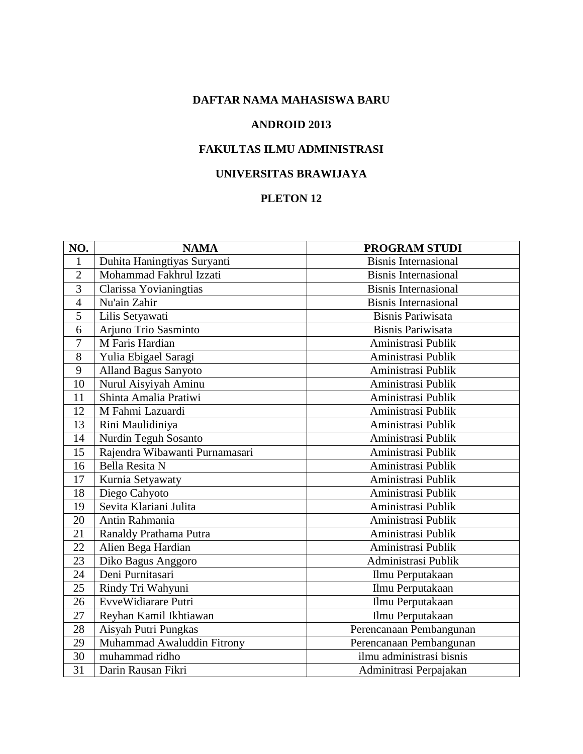#### **ANDROID 2013**

# **FAKULTAS ILMU ADMINISTRASI**

### **UNIVERSITAS BRAWIJAYA**

| NO.             | <b>NAMA</b>                    | PROGRAM STUDI               |
|-----------------|--------------------------------|-----------------------------|
| 1               | Duhita Haningtiyas Suryanti    | <b>Bisnis Internasional</b> |
| $\overline{2}$  | Mohammad Fakhrul Izzati        | <b>Bisnis Internasional</b> |
| 3               | Clarissa Yovianingtias         | <b>Bisnis Internasional</b> |
| $\overline{4}$  | Nu'ain Zahir                   | <b>Bisnis Internasional</b> |
| 5               | Lilis Setyawati                | <b>Bisnis Pariwisata</b>    |
| 6               | Arjuno Trio Sasminto           | <b>Bisnis Pariwisata</b>    |
| 7               | M Faris Hardian                | Aministrasi Publik          |
| 8               | Yulia Ebigael Saragi           | Aministrasi Publik          |
| 9               | <b>Alland Bagus Sanyoto</b>    | Aministrasi Publik          |
| 10              | Nurul Aisyiyah Aminu           | Aministrasi Publik          |
| 11              | Shinta Amalia Pratiwi          | Aministrasi Publik          |
| 12              | M Fahmi Lazuardi               | Aministrasi Publik          |
| 13              | Rini Maulidiniya               | Aministrasi Publik          |
| 14              | Nurdin Teguh Sosanto           | Aministrasi Publik          |
| 15              | Rajendra Wibawanti Purnamasari | Aministrasi Publik          |
| 16              | <b>Bella Resita N</b>          | Aministrasi Publik          |
| 17              | Kurnia Setyawaty               | Aministrasi Publik          |
| 18              | Diego Cahyoto                  | Aministrasi Publik          |
| 19              | Sevita Klariani Julita         | Aministrasi Publik          |
| 20              | Antin Rahmania                 | Aministrasi Publik          |
| 21              | Ranaldy Prathama Putra         | Aministrasi Publik          |
| 22              | Alien Bega Hardian             | Aministrasi Publik          |
| $\overline{23}$ | Diko Bagus Anggoro             | Administrasi Publik         |
| 24              | Deni Purnitasari               | Ilmu Perputakaan            |
| 25              | Rindy Tri Wahyuni              | Ilmu Perputakaan            |
| 26              | EvveWidiarare Putri            | Ilmu Perputakaan            |
| 27              | Reyhan Kamil Ikhtiawan         | Ilmu Perputakaan            |
| 28              | Aisyah Putri Pungkas           | Perencanaan Pembangunan     |
| 29              | Muhammad Awaluddin Fitrony     | Perencanaan Pembangunan     |
| 30              | muhammad ridho                 | ilmu administrasi bisnis    |
| $\overline{31}$ | Darin Rausan Fikri             | Adminitrasi Perpajakan      |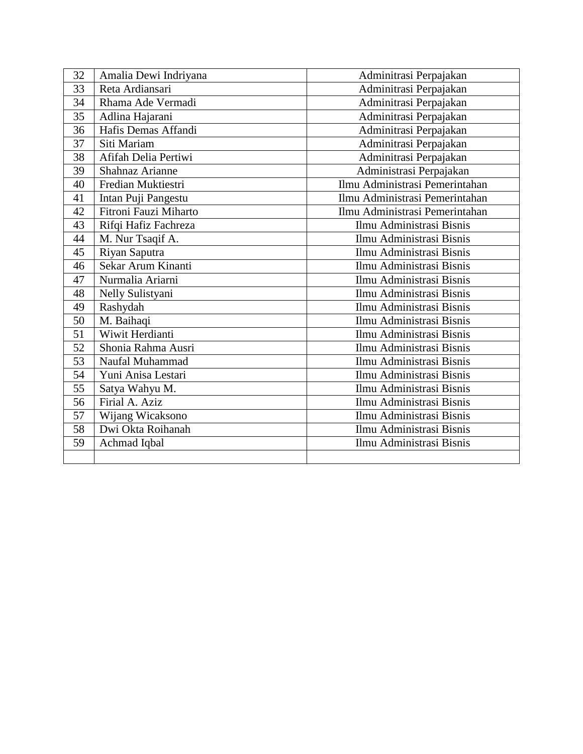| 32 | Amalia Dewi Indriyana | Adminitrasi Perpajakan         |
|----|-----------------------|--------------------------------|
| 33 | Reta Ardiansari       | Adminitrasi Perpajakan         |
| 34 | Rhama Ade Vermadi     | Adminitrasi Perpajakan         |
| 35 | Adlina Hajarani       | Adminitrasi Perpajakan         |
| 36 | Hafis Demas Affandi   | Adminitrasi Perpajakan         |
| 37 | Siti Mariam           | Adminitrasi Perpajakan         |
| 38 | Afifah Delia Pertiwi  | Adminitrasi Perpajakan         |
| 39 | Shahnaz Arianne       | Administrasi Perpajakan        |
| 40 | Fredian Muktiestri    | Ilmu Administrasi Pemerintahan |
| 41 | Intan Puji Pangestu   | Ilmu Administrasi Pemerintahan |
| 42 | Fitroni Fauzi Miharto | Ilmu Administrasi Pemerintahan |
| 43 | Rifqi Hafiz Fachreza  | Ilmu Administrasi Bisnis       |
| 44 | M. Nur Tsaqif A.      | Ilmu Administrasi Bisnis       |
| 45 | Riyan Saputra         | Ilmu Administrasi Bisnis       |
| 46 | Sekar Arum Kinanti    | Ilmu Administrasi Bisnis       |
| 47 | Nurmalia Ariarni      | Ilmu Administrasi Bisnis       |
| 48 | Nelly Sulistyani      | Ilmu Administrasi Bisnis       |
| 49 | Rashydah              | Ilmu Administrasi Bisnis       |
| 50 | M. Baihaqi            | Ilmu Administrasi Bisnis       |
| 51 | Wiwit Herdianti       | Ilmu Administrasi Bisnis       |
| 52 | Shonia Rahma Ausri    | Ilmu Administrasi Bisnis       |
| 53 | Naufal Muhammad       | Ilmu Administrasi Bisnis       |
| 54 | Yuni Anisa Lestari    | Ilmu Administrasi Bisnis       |
| 55 | Satya Wahyu M.        | Ilmu Administrasi Bisnis       |
| 56 | Firial A. Aziz        | Ilmu Administrasi Bisnis       |
| 57 | Wijang Wicaksono      | Ilmu Administrasi Bisnis       |
| 58 | Dwi Okta Roihanah     | Ilmu Administrasi Bisnis       |
| 59 | Achmad Iqbal          | Ilmu Administrasi Bisnis       |
|    |                       |                                |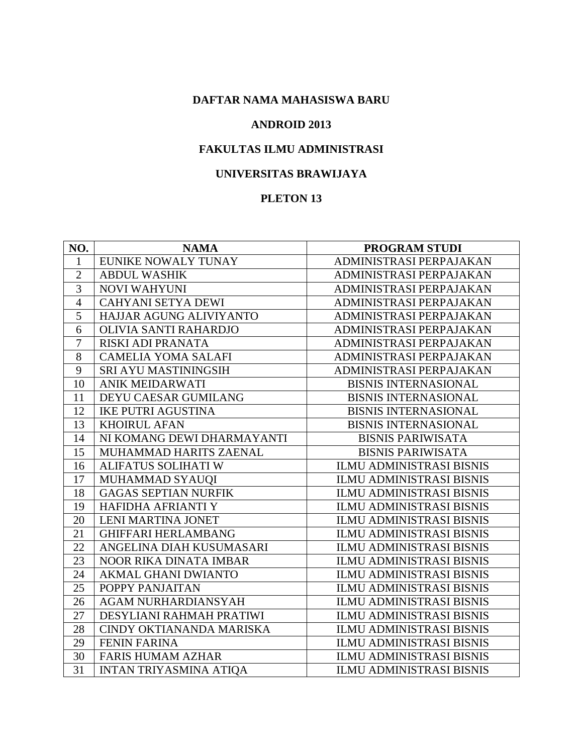#### **ANDROID 2013**

# **FAKULTAS ILMU ADMINISTRASI**

#### **UNIVERSITAS BRAWIJAYA**

| NO.            | <b>NAMA</b>                   | PROGRAM STUDI                   |
|----------------|-------------------------------|---------------------------------|
| $\mathbf{1}$   | EUNIKE NOWALY TUNAY           | ADMINISTRASI PERPAJAKAN         |
| $\overline{2}$ | <b>ABDUL WASHIK</b>           | ADMINISTRASI PERPAJAKAN         |
| 3              | <b>NOVI WAHYUNI</b>           | ADMINISTRASI PERPAJAKAN         |
| $\overline{4}$ | <b>CAHYANI SETYA DEWI</b>     | ADMINISTRASI PERPAJAKAN         |
| $\overline{5}$ | HAJJAR AGUNG ALIVIYANTO       | ADMINISTRASI PERPAJAKAN         |
| 6              | OLIVIA SANTI RAHARDJO         | ADMINISTRASI PERPAJAKAN         |
| $\overline{7}$ | RISKI ADI PRANATA             | ADMINISTRASI PERPAJAKAN         |
| 8              | <b>CAMELIA YOMA SALAFI</b>    | ADMINISTRASI PERPAJAKAN         |
| 9              | SRI AYU MASTININGSIH          | ADMINISTRASI PERPAJAKAN         |
| 10             | <b>ANIK MEIDARWATI</b>        | <b>BISNIS INTERNASIONAL</b>     |
| 11             | DEYU CAESAR GUMILANG          | <b>BISNIS INTERNASIONAL</b>     |
| 12             | <b>IKE PUTRI AGUSTINA</b>     | <b>BISNIS INTERNASIONAL</b>     |
| 13             | <b>KHOIRUL AFAN</b>           | <b>BISNIS INTERNASIONAL</b>     |
| 14             | NI KOMANG DEWI DHARMAYANTI    | <b>BISNIS PARIWISATA</b>        |
| 15             | MUHAMMAD HARITS ZAENAL        | <b>BISNIS PARIWISATA</b>        |
| 16             | ALIFATUS SOLIHATI W           | <b>ILMU ADMINISTRASI BISNIS</b> |
| 17             | MUHAMMAD SYAUQI               | <b>ILMU ADMINISTRASI BISNIS</b> |
| 18             | <b>GAGAS SEPTIAN NURFIK</b>   | <b>ILMU ADMINISTRASI BISNIS</b> |
| 19             | HAFIDHA AFRIANTI Y            | <b>ILMU ADMINISTRASI BISNIS</b> |
| 20             | <b>LENI MARTINA JONET</b>     | <b>ILMU ADMINISTRASI BISNIS</b> |
| 21             | <b>GHIFFARI HERLAMBANG</b>    | <b>ILMU ADMINISTRASI BISNIS</b> |
| 22             | ANGELINA DIAH KUSUMASARI      | <b>ILMU ADMINISTRASI BISNIS</b> |
| 23             | NOOR RIKA DINATA IMBAR        | <b>ILMU ADMINISTRASI BISNIS</b> |
| 24             | <b>AKMAL GHANI DWIANTO</b>    | <b>ILMU ADMINISTRASI BISNIS</b> |
| 25             | POPPY PANJAITAN               | <b>ILMU ADMINISTRASI BISNIS</b> |
| 26             | AGAM NURHARDIANSYAH           | <b>ILMU ADMINISTRASI BISNIS</b> |
| 27             | DESYLIANI RAHMAH PRATIWI      | <b>ILMU ADMINISTRASI BISNIS</b> |
| 28             | CINDY OKTIANANDA MARISKA      | <b>ILMU ADMINISTRASI BISNIS</b> |
| 29             | <b>FENIN FARINA</b>           | <b>ILMU ADMINISTRASI BISNIS</b> |
| 30             | <b>FARIS HUMAM AZHAR</b>      | <b>ILMU ADMINISTRASI BISNIS</b> |
| 31             | <b>INTAN TRIYASMINA ATIQA</b> | <b>ILMU ADMINISTRASI BISNIS</b> |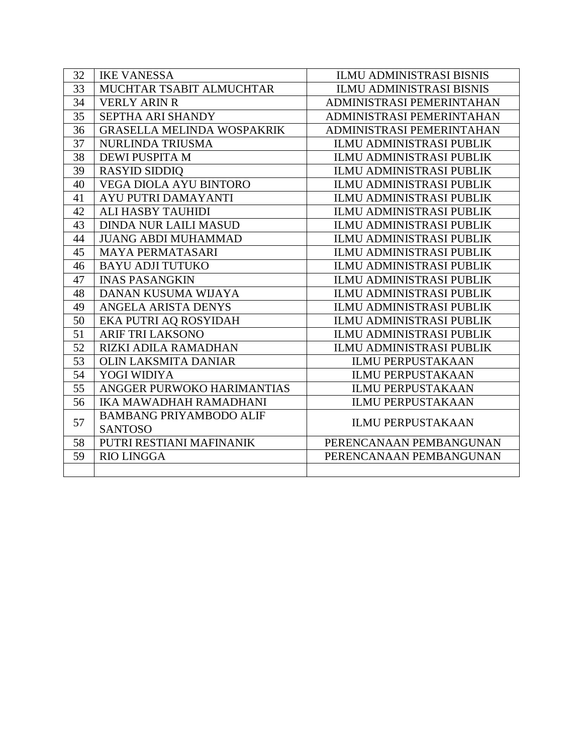| 32 | <b>IKE VANESSA</b>                | <b>ILMU ADMINISTRASI BISNIS</b> |
|----|-----------------------------------|---------------------------------|
| 33 | MUCHTAR TSABIT ALMUCHTAR          | <b>ILMU ADMINISTRASI BISNIS</b> |
| 34 | <b>VERLY ARIN R</b>               | ADMINISTRASI PEMERINTAHAN       |
| 35 | SEPTHA ARI SHANDY                 | ADMINISTRASI PEMERINTAHAN       |
| 36 | <b>GRASELLA MELINDA WOSPAKRIK</b> | ADMINISTRASI PEMERINTAHAN       |
| 37 | <b>NURLINDA TRIUSMA</b>           | <b>ILMU ADMINISTRASI PUBLIK</b> |
| 38 | DEWI PUSPITA M                    | <b>ILMU ADMINISTRASI PUBLIK</b> |
| 39 | <b>RASYID SIDDIQ</b>              | <b>ILMU ADMINISTRASI PUBLIK</b> |
| 40 | VEGA DIOLA AYU BINTORO            | <b>ILMU ADMINISTRASI PUBLIK</b> |
| 41 | AYU PUTRI DAMAYANTI               | <b>ILMU ADMINISTRASI PUBLIK</b> |
| 42 | ALI HASBY TAUHIDI                 | <b>ILMU ADMINISTRASI PUBLIK</b> |
| 43 | <b>DINDA NUR LAILI MASUD</b>      | <b>ILMU ADMINISTRASI PUBLIK</b> |
| 44 | <b>JUANG ABDI MUHAMMAD</b>        | ILMU ADMINISTRASI PUBLIK        |
| 45 | <b>MAYA PERMATASARI</b>           | <b>ILMU ADMINISTRASI PUBLIK</b> |
| 46 | <b>BAYU ADJI TUTUKO</b>           | <b>ILMU ADMINISTRASI PUBLIK</b> |
| 47 | <b>INAS PASANGKIN</b>             | <b>ILMU ADMINISTRASI PUBLIK</b> |
| 48 | DANAN KUSUMA WIJAYA               | <b>ILMU ADMINISTRASI PUBLIK</b> |
| 49 | ANGELA ARISTA DENYS               | <b>ILMU ADMINISTRASI PUBLIK</b> |
| 50 | EKA PUTRI AQ ROSYIDAH             | <b>ILMU ADMINISTRASI PUBLIK</b> |
| 51 | <b>ARIF TRI LAKSONO</b>           | <b>ILMU ADMINISTRASI PUBLIK</b> |
| 52 | RIZKI ADILA RAMADHAN              | ILMU ADMINISTRASI PUBLIK        |
| 53 | <b>OLIN LAKSMITA DANIAR</b>       | <b>ILMU PERPUSTAKAAN</b>        |
| 54 | YOGI WIDIYA                       | <b>ILMU PERPUSTAKAAN</b>        |
| 55 | ANGGER PURWOKO HARIMANTIAS        | <b>ILMU PERPUSTAKAAN</b>        |
| 56 | IKA MAWADHAH RAMADHANI            | <b>ILMU PERPUSTAKAAN</b>        |
| 57 | <b>BAMBANG PRIYAMBODO ALIF</b>    | <b>ILMU PERPUSTAKAAN</b>        |
|    | <b>SANTOSO</b>                    |                                 |
| 58 | PUTRI RESTIANI MAFINANIK          | PERENCANAAN PEMBANGUNAN         |
| 59 | <b>RIO LINGGA</b>                 | PERENCANAAN PEMBANGUNAN         |
|    |                                   |                                 |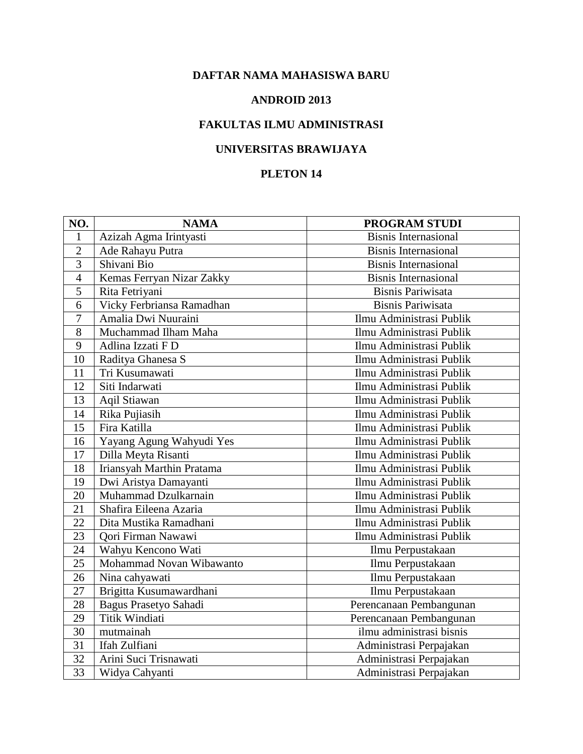#### **ANDROID 2013**

## **FAKULTAS ILMU ADMINISTRASI**

## **UNIVERSITAS BRAWIJAYA**

| NO.            | <b>NAMA</b>               | PROGRAM STUDI               |
|----------------|---------------------------|-----------------------------|
| 1              | Azizah Agma Irintyasti    | <b>Bisnis Internasional</b> |
| $\overline{2}$ | Ade Rahayu Putra          | <b>Bisnis Internasional</b> |
| 3              | Shivani Bio               | <b>Bisnis Internasional</b> |
| $\overline{4}$ | Kemas Ferryan Nizar Zakky | <b>Bisnis Internasional</b> |
| 5              | Rita Fetriyani            | <b>Bisnis Pariwisata</b>    |
| 6              | Vicky Ferbriansa Ramadhan | <b>Bisnis Pariwisata</b>    |
| $\overline{7}$ | Amalia Dwi Nuuraini       | Ilmu Administrasi Publik    |
| 8              | Muchammad Ilham Maha      | Ilmu Administrasi Publik    |
| 9              | Adlina Izzati F D         | Ilmu Administrasi Publik    |
| 10             | Raditya Ghanesa S         | Ilmu Administrasi Publik    |
| 11             | Tri Kusumawati            | Ilmu Administrasi Publik    |
| 12             | Siti Indarwati            | Ilmu Administrasi Publik    |
| 13             | Aqil Stiawan              | Ilmu Administrasi Publik    |
| 14             | Rika Pujiasih             | Ilmu Administrasi Publik    |
| 15             | Fira Katilla              | Ilmu Administrasi Publik    |
| 16             | Yayang Agung Wahyudi Yes  | Ilmu Administrasi Publik    |
| 17             | Dilla Meyta Risanti       | Ilmu Administrasi Publik    |
| 18             | Iriansyah Marthin Pratama | Ilmu Administrasi Publik    |
| 19             | Dwi Aristya Damayanti     | Ilmu Administrasi Publik    |
| 20             | Muhammad Dzulkarnain      | Ilmu Administrasi Publik    |
| 21             | Shafira Eileena Azaria    | Ilmu Administrasi Publik    |
| 22             | Dita Mustika Ramadhani    | Ilmu Administrasi Publik    |
| 23             | Qori Firman Nawawi        | Ilmu Administrasi Publik    |
| 24             | Wahyu Kencono Wati        | Ilmu Perpustakaan           |
| 25             | Mohammad Novan Wibawanto  | Ilmu Perpustakaan           |
| 26             | Nina cahyawati            | Ilmu Perpustakaan           |
| 27             | Brigitta Kusumawardhani   | Ilmu Perpustakaan           |
| 28             | Bagus Prasetyo Sahadi     | Perencanaan Pembangunan     |
| 29             | Titik Windiati            | Perencanaan Pembangunan     |
| 30             | mutmainah                 | ilmu administrasi bisnis    |
| 31             | Ifah Zulfiani             | Administrasi Perpajakan     |
| 32             | Arini Suci Trisnawati     | Administrasi Perpajakan     |
| 33             | Widya Cahyanti            | Administrasi Perpajakan     |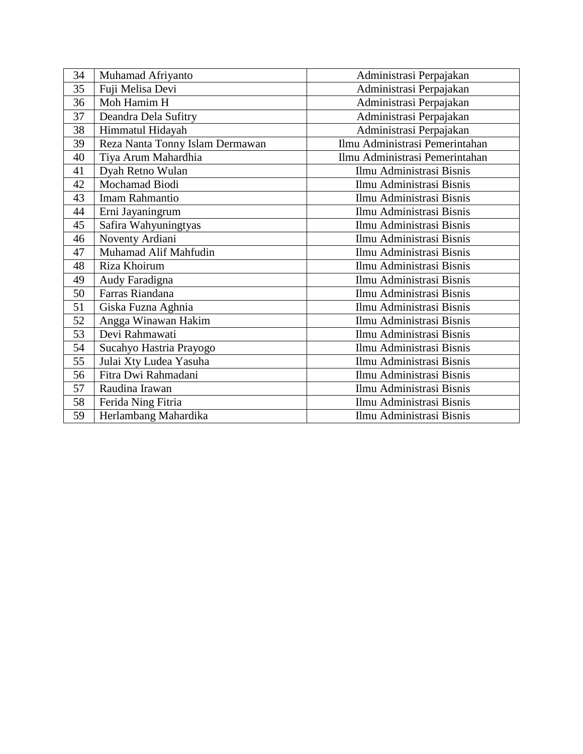| 34 | Muhamad Afriyanto               | Administrasi Perpajakan        |
|----|---------------------------------|--------------------------------|
| 35 | Fuji Melisa Devi                | Administrasi Perpajakan        |
| 36 | Moh Hamim H                     | Administrasi Perpajakan        |
| 37 | Deandra Dela Sufitry            | Administrasi Perpajakan        |
| 38 | Himmatul Hidayah                | Administrasi Perpajakan        |
| 39 | Reza Nanta Tonny Islam Dermawan | Ilmu Administrasi Pemerintahan |
| 40 | Tiya Arum Mahardhia             | Ilmu Administrasi Pemerintahan |
| 41 | Dyah Retno Wulan                | Ilmu Administrasi Bisnis       |
| 42 | Mochamad Biodi                  | Ilmu Administrasi Bisnis       |
| 43 | Imam Rahmantio                  | Ilmu Administrasi Bisnis       |
| 44 | Erni Jayaningrum                | Ilmu Administrasi Bisnis       |
| 45 | Safira Wahyuningtyas            | Ilmu Administrasi Bisnis       |
| 46 | Noventy Ardiani                 | Ilmu Administrasi Bisnis       |
| 47 | Muhamad Alif Mahfudin           | Ilmu Administrasi Bisnis       |
| 48 | Riza Khoirum                    | Ilmu Administrasi Bisnis       |
| 49 | Audy Faradigna                  | Ilmu Administrasi Bisnis       |
| 50 | Farras Riandana                 | Ilmu Administrasi Bisnis       |
| 51 | Giska Fuzna Aghnia              | Ilmu Administrasi Bisnis       |
| 52 | Angga Winawan Hakim             | Ilmu Administrasi Bisnis       |
| 53 | Devi Rahmawati                  | Ilmu Administrasi Bisnis       |
| 54 | Sucahyo Hastria Prayogo         | Ilmu Administrasi Bisnis       |
| 55 | Julai Xty Ludea Yasuha          | Ilmu Administrasi Bisnis       |
| 56 | Fitra Dwi Rahmadani             | Ilmu Administrasi Bisnis       |
| 57 | Raudina Irawan                  | Ilmu Administrasi Bisnis       |
| 58 | Ferida Ning Fitria              | Ilmu Administrasi Bisnis       |
| 59 | Herlambang Mahardika            | Ilmu Administrasi Bisnis       |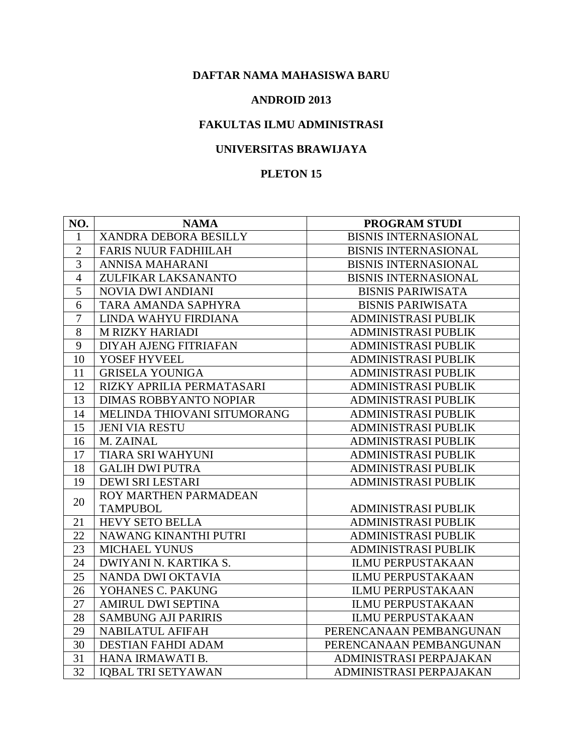#### **ANDROID 2013**

## **FAKULTAS ILMU ADMINISTRASI**

## **UNIVERSITAS BRAWIJAYA**

| NO.            | <b>NAMA</b>                   | PROGRAM STUDI               |
|----------------|-------------------------------|-----------------------------|
| $\mathbf{1}$   | XANDRA DEBORA BESILLY         | <b>BISNIS INTERNASIONAL</b> |
| $\overline{2}$ | <b>FARIS NUUR FADHIILAH</b>   | <b>BISNIS INTERNASIONAL</b> |
| $\overline{3}$ | <b>ANNISA MAHARANI</b>        | <b>BISNIS INTERNASIONAL</b> |
| $\overline{4}$ | ZULFIKAR LAKSANANTO           | <b>BISNIS INTERNASIONAL</b> |
| 5              | <b>NOVIA DWI ANDIANI</b>      | <b>BISNIS PARIWISATA</b>    |
| 6              | TARA AMANDA SAPHYRA           | <b>BISNIS PARIWISATA</b>    |
| $\overline{7}$ | LINDA WAHYU FIRDIANA          | <b>ADMINISTRASI PUBLIK</b>  |
| 8              | <b>M RIZKY HARIADI</b>        | <b>ADMINISTRASI PUBLIK</b>  |
| 9              | DIYAH AJENG FITRIAFAN         | <b>ADMINISTRASI PUBLIK</b>  |
| 10             | YOSEF HYVEEL                  | <b>ADMINISTRASI PUBLIK</b>  |
| 11             | <b>GRISELA YOUNIGA</b>        | <b>ADMINISTRASI PUBLIK</b>  |
| 12             | RIZKY APRILIA PERMATASARI     | <b>ADMINISTRASI PUBLIK</b>  |
| 13             | <b>DIMAS ROBBYANTO NOPIAR</b> | <b>ADMINISTRASI PUBLIK</b>  |
| 14             | MELINDA THIOVANI SITUMORANG   | <b>ADMINISTRASI PUBLIK</b>  |
| 15             | <b>JENI VIA RESTU</b>         | <b>ADMINISTRASI PUBLIK</b>  |
| 16             | M. ZAINAL                     | <b>ADMINISTRASI PUBLIK</b>  |
| 17             | <b>TIARA SRI WAHYUNI</b>      | <b>ADMINISTRASI PUBLIK</b>  |
| 18             | <b>GALIH DWI PUTRA</b>        | <b>ADMINISTRASI PUBLIK</b>  |
| 19             | DEWI SRI LESTARI              | <b>ADMINISTRASI PUBLIK</b>  |
| 20             | ROY MARTHEN PARMADEAN         |                             |
|                | <b>TAMPUBOL</b>               | <b>ADMINISTRASI PUBLIK</b>  |
| 21             | <b>HEVY SETO BELLA</b>        | <b>ADMINISTRASI PUBLIK</b>  |
| 22             | NAWANG KINANTHI PUTRI         | ADMINISTRASI PUBLIK         |
| 23             | <b>MICHAEL YUNUS</b>          | <b>ADMINISTRASI PUBLIK</b>  |
| 24             | DWIYANI N. KARTIKA S.         | <b>ILMU PERPUSTAKAAN</b>    |
| 25             | NANDA DWI OKTAVIA             | <b>ILMU PERPUSTAKAAN</b>    |
| 26             | YOHANES C. PAKUNG             | <b>ILMU PERPUSTAKAAN</b>    |
| 27             | <b>AMIRUL DWI SEPTINA</b>     | <b>ILMU PERPUSTAKAAN</b>    |
| 28             | <b>SAMBUNG AJI PARIRIS</b>    | <b>ILMU PERPUSTAKAAN</b>    |
| 29             | <b>NABILATUL AFIFAH</b>       | PERENCANAAN PEMBANGUNAN     |
| 30             | <b>DESTIAN FAHDI ADAM</b>     | PERENCANAAN PEMBANGUNAN     |
| 31             | HANA IRMAWATI B.              | ADMINISTRASI PERPAJAKAN     |
| 32             | <b>IQBAL TRI SETYAWAN</b>     | ADMINISTRASI PERPAJAKAN     |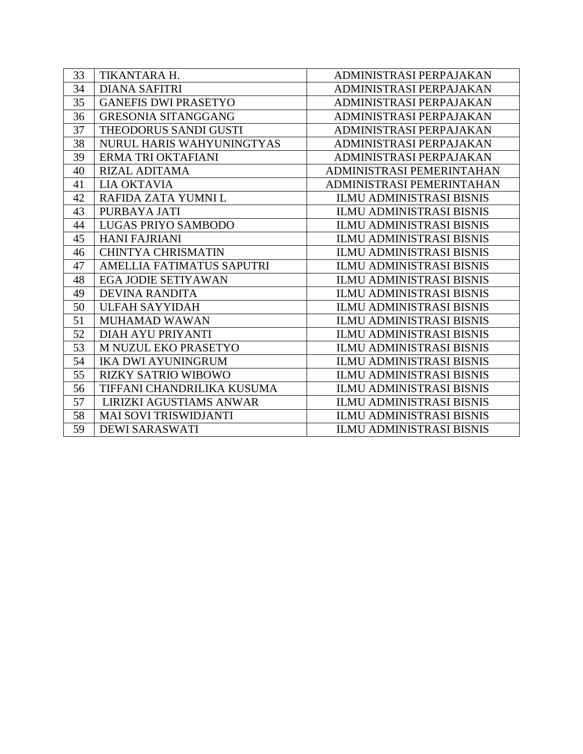| 33 | TIKANTARA H.                 | ADMINISTRASI PERPAJAKAN         |
|----|------------------------------|---------------------------------|
| 34 | <b>DIANA SAFITRI</b>         | ADMINISTRASI PERPAJAKAN         |
| 35 | <b>GANEFIS DWI PRASETYO</b>  | ADMINISTRASI PERPAJAKAN         |
| 36 | <b>GRESONIA SITANGGANG</b>   | ADMINISTRASI PERPAJAKAN         |
| 37 | THEODORUS SANDI GUSTI        | ADMINISTRASI PERPAJAKAN         |
| 38 | NURUL HARIS WAHYUNINGTYAS    | ADMINISTRASI PERPAJAKAN         |
| 39 | ERMA TRI OKTAFIANI           | ADMINISTRASI PERPAJAKAN         |
| 40 | <b>RIZAL ADITAMA</b>         | ADMINISTRASI PEMERINTAHAN       |
| 41 | <b>LIA OKTAVIA</b>           | ADMINISTRASI PEMERINTAHAN       |
| 42 | RAFIDA ZATA YUMNI L          | <b>ILMU ADMINISTRASI BISNIS</b> |
| 43 | PURBAYA JATI                 | <b>ILMU ADMINISTRASI BISNIS</b> |
| 44 | LUGAS PRIYO SAMBODO          | <b>ILMU ADMINISTRASI BISNIS</b> |
| 45 | <b>HANI FAJRIANI</b>         | <b>ILMU ADMINISTRASI BISNIS</b> |
| 46 | <b>CHINTYA CHRISMATIN</b>    | <b>ILMU ADMINISTRASI BISNIS</b> |
| 47 | AMELLIA FATIMATUS SAPUTRI    | <b>ILMU ADMINISTRASI BISNIS</b> |
| 48 | EGA JODIE SETIYAWAN          | <b>ILMU ADMINISTRASI BISNIS</b> |
| 49 | <b>DEVINA RANDITA</b>        | <b>ILMU ADMINISTRASI BISNIS</b> |
| 50 | <b>ULFAH SAYYIDAH</b>        | <b>ILMU ADMINISTRASI BISNIS</b> |
| 51 | <b>MUHAMAD WAWAN</b>         | <b>ILMU ADMINISTRASI BISNIS</b> |
| 52 | DIAH AYU PRIYANTI            | <b>ILMU ADMINISTRASI BISNIS</b> |
| 53 | M NUZUL EKO PRASETYO         | <b>ILMU ADMINISTRASI BISNIS</b> |
| 54 | <b>IKA DWI AYUNINGRUM</b>    | <b>ILMU ADMINISTRASI BISNIS</b> |
| 55 | <b>RIZKY SATRIO WIBOWO</b>   | <b>ILMU ADMINISTRASI BISNIS</b> |
| 56 | TIFFANI CHANDRILIKA KUSUMA   | <b>ILMU ADMINISTRASI BISNIS</b> |
| 57 | LIRIZKI AGUSTIAMS ANWAR      | ILMU ADMINISTRASI BISNIS        |
| 58 | <b>MAI SOVI TRISWIDJANTI</b> | <b>ILMU ADMINISTRASI BISNIS</b> |
| 59 | <b>DEWI SARASWATI</b>        | <b>ILMU ADMINISTRASI BISNIS</b> |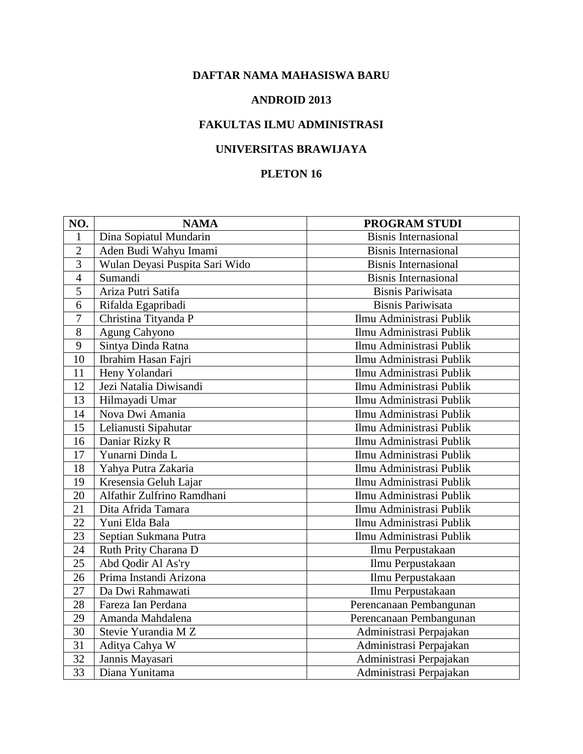#### **ANDROID 2013**

# **FAKULTAS ILMU ADMINISTRASI**

# **UNIVERSITAS BRAWIJAYA**

| NO.             | <b>NAMA</b>                    | PROGRAM STUDI               |
|-----------------|--------------------------------|-----------------------------|
| 1               | Dina Sopiatul Mundarin         | <b>Bisnis Internasional</b> |
| $\overline{2}$  | Aden Budi Wahyu Imami          | <b>Bisnis Internasional</b> |
| 3               | Wulan Deyasi Puspita Sari Wido | <b>Bisnis Internasional</b> |
| $\overline{4}$  | Sumandi                        | <b>Bisnis Internasional</b> |
| 5               | Ariza Putri Satifa             | <b>Bisnis Pariwisata</b>    |
| 6               | Rifalda Egapribadi             | <b>Bisnis Pariwisata</b>    |
| $\overline{7}$  | Christina Tityanda P           | Ilmu Administrasi Publik    |
| 8               | Agung Cahyono                  | Ilmu Administrasi Publik    |
| 9               | Sintya Dinda Ratna             | Ilmu Administrasi Publik    |
| $\overline{10}$ | Ibrahim Hasan Fajri            | Ilmu Administrasi Publik    |
| 11              | Heny Yolandari                 | Ilmu Administrasi Publik    |
| 12              | Jezi Natalia Diwisandi         | Ilmu Administrasi Publik    |
| 13              | Hilmayadi Umar                 | Ilmu Administrasi Publik    |
| 14              | Nova Dwi Amania                | Ilmu Administrasi Publik    |
| 15              | Lelianusti Sipahutar           | Ilmu Administrasi Publik    |
| 16              | Daniar Rizky R                 | Ilmu Administrasi Publik    |
| 17              | Yunarni Dinda L                | Ilmu Administrasi Publik    |
| 18              | Yahya Putra Zakaria            | Ilmu Administrasi Publik    |
| 19              | Kresensia Geluh Lajar          | Ilmu Administrasi Publik    |
| 20              | Alfathir Zulfrino Ramdhani     | Ilmu Administrasi Publik    |
| 21              | Dita Afrida Tamara             | Ilmu Administrasi Publik    |
| 22              | Yuni Elda Bala                 | Ilmu Administrasi Publik    |
| 23              | Septian Sukmana Putra          | Ilmu Administrasi Publik    |
| 24              | Ruth Prity Charana D           | Ilmu Perpustakaan           |
| 25              | Abd Qodir Al As'ry             | Ilmu Perpustakaan           |
| 26              | Prima Instandi Arizona         | Ilmu Perpustakaan           |
| 27              | Da Dwi Rahmawati               | Ilmu Perpustakaan           |
| 28              | Fareza Ian Perdana             | Perencanaan Pembangunan     |
| 29              | Amanda Mahdalena               | Perencanaan Pembangunan     |
| 30              | Stevie Yurandia M Z            | Administrasi Perpajakan     |
| $\overline{31}$ | Aditya Cahya W                 | Administrasi Perpajakan     |
| 32              | Jannis Mayasari                | Administrasi Perpajakan     |
| 33              | Diana Yunitama                 | Administrasi Perpajakan     |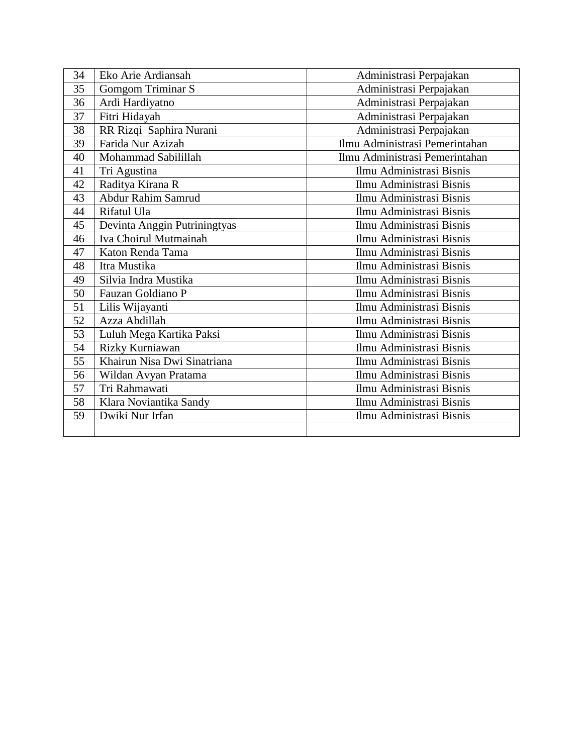| 34 | Eko Arie Ardiansah           | Administrasi Perpajakan        |
|----|------------------------------|--------------------------------|
| 35 | Gomgom Triminar S            | Administrasi Perpajakan        |
| 36 | Ardi Hardiyatno              | Administrasi Perpajakan        |
| 37 | Fitri Hidayah                | Administrasi Perpajakan        |
| 38 | RR Rizqi Saphira Nurani      | Administrasi Perpajakan        |
| 39 | Farida Nur Azizah            | Ilmu Administrasi Pemerintahan |
| 40 | Mohammad Sabilillah          | Ilmu Administrasi Pemerintahan |
| 41 | Tri Agustina                 | Ilmu Administrasi Bisnis       |
| 42 | Raditya Kirana R             | Ilmu Administrasi Bisnis       |
| 43 | Abdur Rahim Samrud           | Ilmu Administrasi Bisnis       |
| 44 | Rifatul Ula                  | Ilmu Administrasi Bisnis       |
| 45 | Devinta Anggin Putriningtyas | Ilmu Administrasi Bisnis       |
| 46 | Iva Choirul Mutmainah        | Ilmu Administrasi Bisnis       |
| 47 | Katon Renda Tama             | Ilmu Administrasi Bisnis       |
| 48 | Itra Mustika                 | Ilmu Administrasi Bisnis       |
| 49 | Silvia Indra Mustika         | Ilmu Administrasi Bisnis       |
| 50 | Fauzan Goldiano P            | Ilmu Administrasi Bisnis       |
| 51 | Lilis Wijayanti              | Ilmu Administrasi Bisnis       |
| 52 | Azza Abdillah                | Ilmu Administrasi Bisnis       |
| 53 | Luluh Mega Kartika Paksi     | Ilmu Administrasi Bisnis       |
| 54 | Rizky Kurniawan              | Ilmu Administrasi Bisnis       |
| 55 | Khairun Nisa Dwi Sinatriana  | Ilmu Administrasi Bisnis       |
| 56 | Wildan Avyan Pratama         | Ilmu Administrasi Bisnis       |
| 57 | Tri Rahmawati                | Ilmu Administrasi Bisnis       |
| 58 | Klara Noviantika Sandy       | Ilmu Administrasi Bisnis       |
| 59 | Dwiki Nur Irfan              | Ilmu Administrasi Bisnis       |
|    |                              |                                |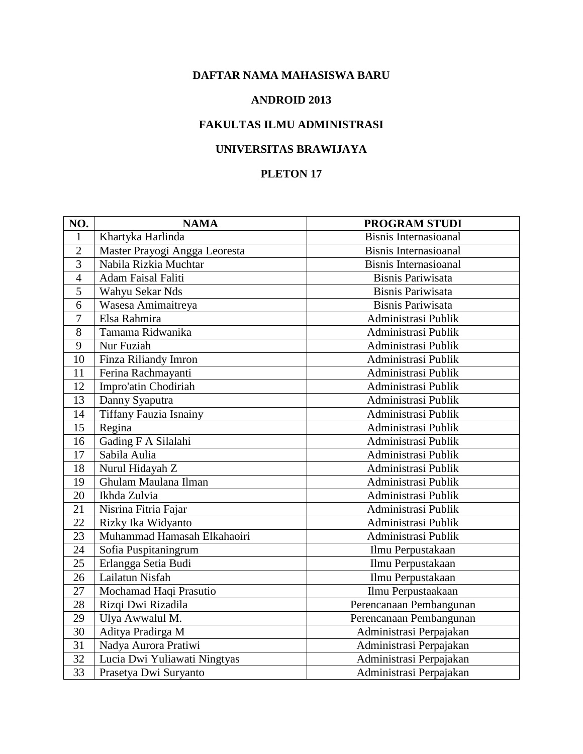#### **ANDROID 2013**

# **FAKULTAS ILMU ADMINISTRASI**

# **UNIVERSITAS BRAWIJAYA**

| NO.            | <b>NAMA</b>                   | <b>PROGRAM STUDI</b>         |
|----------------|-------------------------------|------------------------------|
| 1              | Khartyka Harlinda             | <b>Bisnis Internasioanal</b> |
| $\overline{2}$ | Master Prayogi Angga Leoresta | <b>Bisnis Internasioanal</b> |
| $\overline{3}$ | Nabila Rizkia Muchtar         | <b>Bisnis Internasioanal</b> |
| $\overline{4}$ | Adam Faisal Faliti            | <b>Bisnis Pariwisata</b>     |
| 5              | Wahyu Sekar Nds               | <b>Bisnis Pariwisata</b>     |
| 6              | Wasesa Amimaitreya            | <b>Bisnis Pariwisata</b>     |
| $\overline{7}$ | Elsa Rahmira                  | Administrasi Publik          |
| 8              | Tamama Ridwanika              | Administrasi Publik          |
| 9              | Nur Fuziah                    | Administrasi Publik          |
| 10             | Finza Riliandy Imron          | Administrasi Publik          |
| 11             | Ferina Rachmayanti            | Administrasi Publik          |
| 12             | Impro'atin Chodiriah          | Administrasi Publik          |
| 13             | Danny Syaputra                | Administrasi Publik          |
| 14             | <b>Tiffany Fauzia Isnainy</b> | Administrasi Publik          |
| 15             | Regina                        | Administrasi Publik          |
| 16             | Gading F A Silalahi           | Administrasi Publik          |
| 17             | Sabila Aulia                  | Administrasi Publik          |
| 18             | Nurul Hidayah Z               | Administrasi Publik          |
| 19             | Ghulam Maulana Ilman          | Administrasi Publik          |
| 20             | Ikhda Zulvia                  | Administrasi Publik          |
| 21             | Nisrina Fitria Fajar          | Administrasi Publik          |
| 22             | Rizky Ika Widyanto            | Administrasi Publik          |
| 23             | Muhammad Hamasah Elkahaoiri   | Administrasi Publik          |
| 24             | Sofia Puspitaningrum          | Ilmu Perpustakaan            |
| 25             | Erlangga Setia Budi           | Ilmu Perpustakaan            |
| 26             | Lailatun Nisfah               | Ilmu Perpustakaan            |
| 27             | Mochamad Haqi Prasutio        | Ilmu Perpustaakaan           |
| 28             | Rizqi Dwi Rizadila            | Perencanaan Pembangunan      |
| 29             | Ulya Awwalul M.               | Perencanaan Pembangunan      |
| 30             | Aditya Pradirga M             | Administrasi Perpajakan      |
| 31             | Nadya Aurora Pratiwi          | Administrasi Perpajakan      |
| 32             | Lucia Dwi Yuliawati Ningtyas  | Administrasi Perpajakan      |
| 33             | Prasetya Dwi Suryanto         | Administrasi Perpajakan      |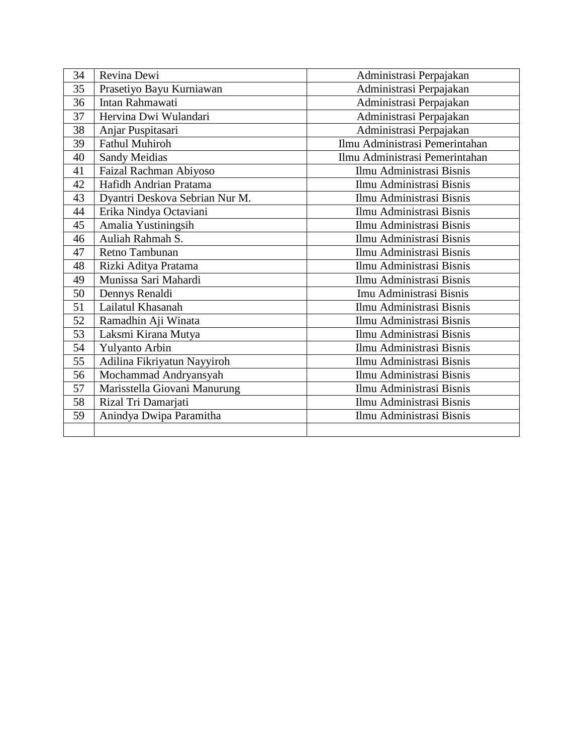| 34 | Revina Dewi                    | Administrasi Perpajakan        |
|----|--------------------------------|--------------------------------|
| 35 | Prasetiyo Bayu Kurniawan       | Administrasi Perpajakan        |
| 36 | Intan Rahmawati                | Administrasi Perpajakan        |
| 37 | Hervina Dwi Wulandari          | Administrasi Perpajakan        |
| 38 | Anjar Puspitasari              | Administrasi Perpajakan        |
| 39 | <b>Fathul Muhiroh</b>          | Ilmu Administrasi Pemerintahan |
| 40 | <b>Sandy Meidias</b>           | Ilmu Administrasi Pemerintahan |
| 41 | Faizal Rachman Abiyoso         | Ilmu Administrasi Bisnis       |
| 42 | Hafidh Andrian Pratama         | Ilmu Administrasi Bisnis       |
| 43 | Dyantri Deskova Sebrian Nur M. | Ilmu Administrasi Bisnis       |
| 44 | Erika Nindya Octaviani         | Ilmu Administrasi Bisnis       |
| 45 | Amalia Yustiningsih            | Ilmu Administrasi Bisnis       |
| 46 | Auliah Rahmah S.               | Ilmu Administrasi Bisnis       |
| 47 | Retno Tambunan                 | Ilmu Administrasi Bisnis       |
| 48 | Rizki Aditya Pratama           | Ilmu Administrasi Bisnis       |
| 49 | Munissa Sari Mahardi           | Ilmu Administrasi Bisnis       |
| 50 | Dennys Renaldi                 | Imu Administrasi Bisnis        |
| 51 | Lailatul Khasanah              | Ilmu Administrasi Bisnis       |
| 52 | Ramadhin Aji Winata            | Ilmu Administrasi Bisnis       |
| 53 | Laksmi Kirana Mutya            | Ilmu Administrasi Bisnis       |
| 54 | <b>Yulyanto Arbin</b>          | Ilmu Administrasi Bisnis       |
| 55 | Adilina Fikriyatun Nayyiroh    | Ilmu Administrasi Bisnis       |
| 56 | Mochammad Andryansyah          | Ilmu Administrasi Bisnis       |
| 57 | Marisstella Giovani Manurung   | Ilmu Administrasi Bisnis       |
| 58 | Rizal Tri Damarjati            | Ilmu Administrasi Bisnis       |
| 59 | Anindya Dwipa Paramitha        | Ilmu Administrasi Bisnis       |
|    |                                |                                |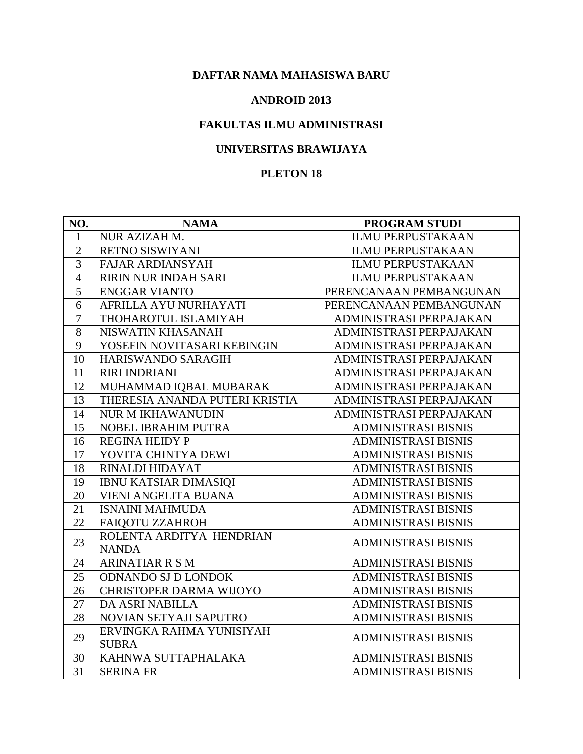#### **ANDROID 2013**

## **FAKULTAS ILMU ADMINISTRASI**

## **UNIVERSITAS BRAWIJAYA**

| NO.            | <b>NAMA</b>                    | PROGRAM STUDI              |
|----------------|--------------------------------|----------------------------|
| $\mathbf{1}$   | NUR AZIZAH M.                  | <b>ILMU PERPUSTAKAAN</b>   |
| $\overline{2}$ | RETNO SISWIYANI                | <b>ILMU PERPUSTAKAAN</b>   |
| 3              | <b>FAJAR ARDIANSYAH</b>        | <b>ILMU PERPUSTAKAAN</b>   |
| $\overline{4}$ | RIRIN NUR INDAH SARI           | <b>ILMU PERPUSTAKAAN</b>   |
| 5              | <b>ENGGAR VIANTO</b>           | PERENCANAAN PEMBANGUNAN    |
| 6              | AFRILLA AYU NURHAYATI          | PERENCANAAN PEMBANGUNAN    |
| $\overline{7}$ | THOHAROTUL ISLAMIYAH           | ADMINISTRASI PERPAJAKAN    |
| 8              | NISWATIN KHASANAH              | ADMINISTRASI PERPAJAKAN    |
| 9              | YOSEFIN NOVITASARI KEBINGIN    | ADMINISTRASI PERPAJAKAN    |
| 10             | HARISWANDO SARAGIH             | ADMINISTRASI PERPAJAKAN    |
| 11             | <b>RIRI INDRIANI</b>           | ADMINISTRASI PERPAJAKAN    |
| 12             | MUHAMMAD IQBAL MUBARAK         | ADMINISTRASI PERPAJAKAN    |
| 13             | THERESIA ANANDA PUTERI KRISTIA | ADMINISTRASI PERPAJAKAN    |
| 14             | <b>NUR M IKHAWANUDIN</b>       | ADMINISTRASI PERPAJAKAN    |
| 15             | NOBEL IBRAHIM PUTRA            | <b>ADMINISTRASI BISNIS</b> |
| 16             | <b>REGINA HEIDY P</b>          | <b>ADMINISTRASI BISNIS</b> |
| 17             | YOVITA CHINTYA DEWI            | <b>ADMINISTRASI BISNIS</b> |
| 18             | RINALDI HIDAYAT                | <b>ADMINISTRASI BISNIS</b> |
| 19             | <b>IBNU KATSIAR DIMASIQI</b>   | <b>ADMINISTRASI BISNIS</b> |
| 20             | <b>VIENI ANGELITA BUANA</b>    | <b>ADMINISTRASI BISNIS</b> |
| 21             | <b>ISNAINI MAHMUDA</b>         | <b>ADMINISTRASI BISNIS</b> |
| 22             | FAIQOTU ZZAHROH                | <b>ADMINISTRASI BISNIS</b> |
| 23             | ROLENTA ARDITYA HENDRIAN       | <b>ADMINISTRASI BISNIS</b> |
|                | <b>NANDA</b>                   |                            |
| 24             | <b>ARINATIAR R S M</b>         | <b>ADMINISTRASI BISNIS</b> |
| 25             | ODNANDO SJ D LONDOK            | <b>ADMINISTRASI BISNIS</b> |
| 26             | CHRISTOPER DARMA WIJOYO        | <b>ADMINISTRASI BISNIS</b> |
| 27             | <b>DA ASRI NABILLA</b>         | <b>ADMINISTRASI BISNIS</b> |
| 28             | NOVIAN SETYAJI SAPUTRO         | <b>ADMINISTRASI BISNIS</b> |
| 29             | ERVINGKA RAHMA YUNISIYAH       | <b>ADMINISTRASI BISNIS</b> |
|                | <b>SUBRA</b>                   |                            |
| 30             | KAHNWA SUTTAPHALAKA            | <b>ADMINISTRASI BISNIS</b> |
| 31             | <b>SERINA FR</b>               | <b>ADMINISTRASI BISNIS</b> |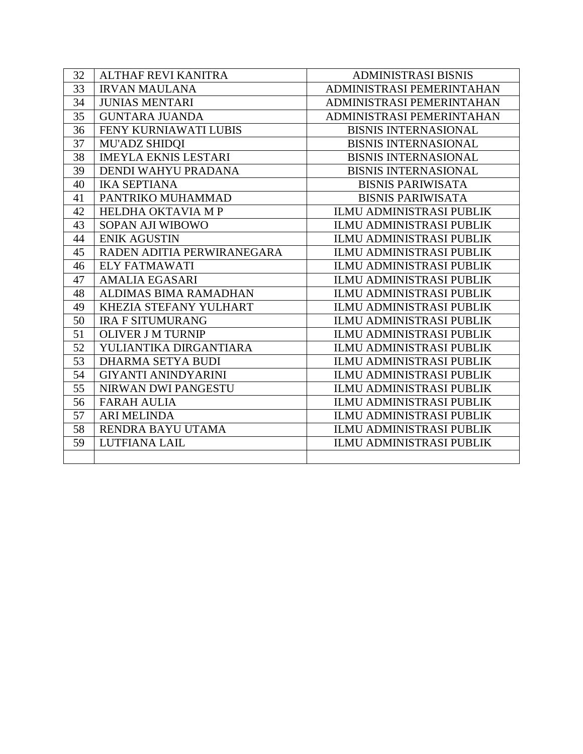| 32 | <b>ALTHAF REVI KANITRA</b>   | <b>ADMINISTRASI BISNIS</b>      |
|----|------------------------------|---------------------------------|
| 33 | <b>IRVAN MAULANA</b>         | ADMINISTRASI PEMERINTAHAN       |
| 34 | <b>JUNIAS MENTARI</b>        | ADMINISTRASI PEMERINTAHAN       |
| 35 | <b>GUNTARA JUANDA</b>        | ADMINISTRASI PEMERINTAHAN       |
| 36 | FENY KURNIAWATI LUBIS        | <b>BISNIS INTERNASIONAL</b>     |
| 37 | <b>MU'ADZ SHIDQI</b>         | <b>BISNIS INTERNASIONAL</b>     |
| 38 | <b>IMEYLA EKNIS LESTARI</b>  | <b>BISNIS INTERNASIONAL</b>     |
| 39 | DENDI WAHYU PRADANA          | <b>BISNIS INTERNASIONAL</b>     |
| 40 | <b>IKA SEPTIANA</b>          | <b>BISNIS PARIWISATA</b>        |
| 41 | PANTRIKO MUHAMMAD            | <b>BISNIS PARIWISATA</b>        |
| 42 | HELDHA OKTAVIA MP            | <b>ILMU ADMINISTRASI PUBLIK</b> |
| 43 | SOPAN AJI WIBOWO             | <b>ILMU ADMINISTRASI PUBLIK</b> |
| 44 | <b>ENIK AGUSTIN</b>          | <b>ILMU ADMINISTRASI PUBLIK</b> |
| 45 | RADEN ADITIA PERWIRANEGARA   | <b>ILMU ADMINISTRASI PUBLIK</b> |
| 46 | <b>ELY FATMAWATI</b>         | <b>ILMU ADMINISTRASI PUBLIK</b> |
| 47 | <b>AMALIA EGASARI</b>        | <b>ILMU ADMINISTRASI PUBLIK</b> |
| 48 | <b>ALDIMAS BIMA RAMADHAN</b> | <b>ILMU ADMINISTRASI PUBLIK</b> |
| 49 | KHEZIA STEFANY YULHART       | <b>ILMU ADMINISTRASI PUBLIK</b> |
| 50 | <b>IRA F SITUMURANG</b>      | <b>ILMU ADMINISTRASI PUBLIK</b> |
| 51 | <b>OLIVER J M TURNIP</b>     | <b>ILMU ADMINISTRASI PUBLIK</b> |
| 52 | YULIANTIKA DIRGANTIARA       | <b>ILMU ADMINISTRASI PUBLIK</b> |
| 53 | <b>DHARMA SETYA BUDI</b>     | <b>ILMU ADMINISTRASI PUBLIK</b> |
| 54 | <b>GIYANTI ANINDYARINI</b>   | <b>ILMU ADMINISTRASI PUBLIK</b> |
| 55 | NIRWAN DWI PANGESTU          | <b>ILMU ADMINISTRASI PUBLIK</b> |
| 56 | <b>FARAH AULIA</b>           | <b>ILMU ADMINISTRASI PUBLIK</b> |
| 57 | <b>ARI MELINDA</b>           | <b>ILMU ADMINISTRASI PUBLIK</b> |
| 58 | RENDRA BAYU UTAMA            | <b>ILMU ADMINISTRASI PUBLIK</b> |
| 59 | LUTFIANA LAIL                | <b>ILMU ADMINISTRASI PUBLIK</b> |
|    |                              |                                 |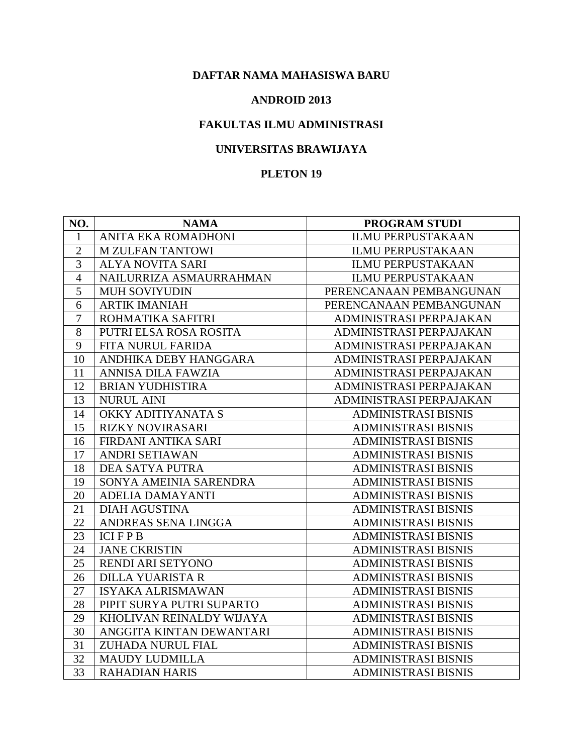#### **ANDROID 2013**

## **FAKULTAS ILMU ADMINISTRASI**

## **UNIVERSITAS BRAWIJAYA**

| NO.            | <b>NAMA</b>               | <b>PROGRAM STUDI</b>       |
|----------------|---------------------------|----------------------------|
| 1              | ANITA EKA ROMADHONI       | <b>ILMU PERPUSTAKAAN</b>   |
| $\overline{2}$ | <b>M ZULFAN TANTOWI</b>   | <b>ILMU PERPUSTAKAAN</b>   |
| 3              | <b>ALYA NOVITA SARI</b>   | <b>ILMU PERPUSTAKAAN</b>   |
| $\overline{4}$ | NAILURRIZA ASMAURRAHMAN   | <b>ILMU PERPUSTAKAAN</b>   |
| $\overline{5}$ | <b>MUH SOVIYUDIN</b>      | PERENCANAAN PEMBANGUNAN    |
| 6              | <b>ARTIK IMANIAH</b>      | PERENCANAAN PEMBANGUNAN    |
| $\overline{7}$ | ROHMATIKA SAFITRI         | ADMINISTRASI PERPAJAKAN    |
| 8              | PUTRI ELSA ROSA ROSITA    | ADMINISTRASI PERPAJAKAN    |
| 9              | FITA NURUL FARIDA         | ADMINISTRASI PERPAJAKAN    |
| 10             | ANDHIKA DEBY HANGGARA     | ADMINISTRASI PERPAJAKAN    |
| 11             | ANNISA DILA FAWZIA        | ADMINISTRASI PERPAJAKAN    |
| 12             | <b>BRIAN YUDHISTIRA</b>   | ADMINISTRASI PERPAJAKAN    |
| 13             | <b>NURUL AINI</b>         | ADMINISTRASI PERPAJAKAN    |
| 14             | OKKY ADITIYANATA S        | ADMINISTRASI BISNIS        |
| 15             | <b>RIZKY NOVIRASARI</b>   | <b>ADMINISTRASI BISNIS</b> |
| 16             | FIRDANI ANTIKA SARI       | <b>ADMINISTRASI BISNIS</b> |
| 17             | <b>ANDRI SETIAWAN</b>     | ADMINISTRASI BISNIS        |
| 18             | DEA SATYA PUTRA           | <b>ADMINISTRASI BISNIS</b> |
| 19             | SONYA AMEINIA SARENDRA    | <b>ADMINISTRASI BISNIS</b> |
| 20             | <b>ADELIA DAMAYANTI</b>   | <b>ADMINISTRASI BISNIS</b> |
| 21             | <b>DIAH AGUSTINA</b>      | <b>ADMINISTRASI BISNIS</b> |
| 22             | ANDREAS SENA LINGGA       | <b>ADMINISTRASI BISNIS</b> |
| 23             | <b>ICIFPB</b>             | <b>ADMINISTRASI BISNIS</b> |
| 24             | <b>JANE CKRISTIN</b>      | ADMINISTRASI BISNIS        |
| 25             | RENDI ARI SETYONO         | <b>ADMINISTRASI BISNIS</b> |
| 26             | <b>DILLA YUARISTA R</b>   | <b>ADMINISTRASI BISNIS</b> |
| 27             | <b>ISYAKA ALRISMAWAN</b>  | <b>ADMINISTRASI BISNIS</b> |
| 28             | PIPIT SURYA PUTRI SUPARTO | ADMINISTRASI BISNIS        |
| 29             | KHOLIVAN REINALDY WIJAYA  | <b>ADMINISTRASI BISNIS</b> |
| 30             | ANGGITA KINTAN DEWANTARI  | <b>ADMINISTRASI BISNIS</b> |
| 31             | ZUHADA NURUL FIAL         | <b>ADMINISTRASI BISNIS</b> |
| 32             | <b>MAUDY LUDMILLA</b>     | <b>ADMINISTRASI BISNIS</b> |
| 33             | <b>RAHADIAN HARIS</b>     | <b>ADMINISTRASI BISNIS</b> |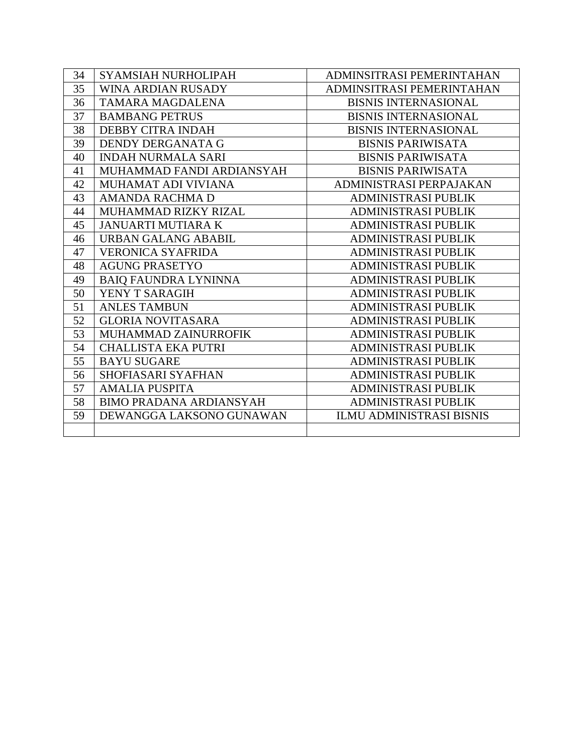| 34 | SYAMSIAH NURHOLIPAH            | ADMINSITRASI PEMERINTAHAN       |
|----|--------------------------------|---------------------------------|
| 35 | WINA ARDIAN RUSADY             | ADMINSITRASI PEMERINTAHAN       |
| 36 | TAMARA MAGDALENA               | <b>BISNIS INTERNASIONAL</b>     |
| 37 | <b>BAMBANG PETRUS</b>          | <b>BISNIS INTERNASIONAL</b>     |
| 38 | <b>DEBBY CITRA INDAH</b>       | <b>BISNIS INTERNASIONAL</b>     |
| 39 | DENDY DERGANATA G              | <b>BISNIS PARIWISATA</b>        |
| 40 | <b>INDAH NURMALA SARI</b>      | <b>BISNIS PARIWISATA</b>        |
| 41 | MUHAMMAD FANDI ARDIANSYAH      | <b>BISNIS PARIWISATA</b>        |
| 42 | MUHAMAT ADI VIVIANA            | ADMINISTRASI PERPAJAKAN         |
| 43 | <b>AMANDA RACHMA D</b>         | <b>ADMINISTRASI PUBLIK</b>      |
| 44 | <b>MUHAMMAD RIZKY RIZAL</b>    | <b>ADMINISTRASI PUBLIK</b>      |
| 45 | <b>JANUARTI MUTIARA K</b>      | <b>ADMINISTRASI PUBLIK</b>      |
| 46 | <b>URBAN GALANG ABABIL</b>     | <b>ADMINISTRASI PUBLIK</b>      |
| 47 | <b>VERONICA SYAFRIDA</b>       | <b>ADMINISTRASI PUBLIK</b>      |
| 48 | <b>AGUNG PRASETYO</b>          | <b>ADMINISTRASI PUBLIK</b>      |
| 49 | <b>BAIQ FAUNDRA LYNINNA</b>    | <b>ADMINISTRASI PUBLIK</b>      |
| 50 | YENY T SARAGIH                 | <b>ADMINISTRASI PUBLIK</b>      |
| 51 | <b>ANLES TAMBUN</b>            | <b>ADMINISTRASI PUBLIK</b>      |
| 52 | <b>GLORIA NOVITASARA</b>       | <b>ADMINISTRASI PUBLIK</b>      |
| 53 | MUHAMMAD ZAINURROFIK           | <b>ADMINISTRASI PUBLIK</b>      |
| 54 | <b>CHALLISTA EKA PUTRI</b>     | <b>ADMINISTRASI PUBLIK</b>      |
| 55 | <b>BAYU SUGARE</b>             | <b>ADMINISTRASI PUBLIK</b>      |
| 56 | SHOFIASARI SYAFHAN             | <b>ADMINISTRASI PUBLIK</b>      |
| 57 | <b>AMALIA PUSPITA</b>          | <b>ADMINISTRASI PUBLIK</b>      |
| 58 | <b>BIMO PRADANA ARDIANSYAH</b> | <b>ADMINISTRASI PUBLIK</b>      |
| 59 | DEWANGGA LAKSONO GUNAWAN       | <b>ILMU ADMINISTRASI BISNIS</b> |
|    |                                |                                 |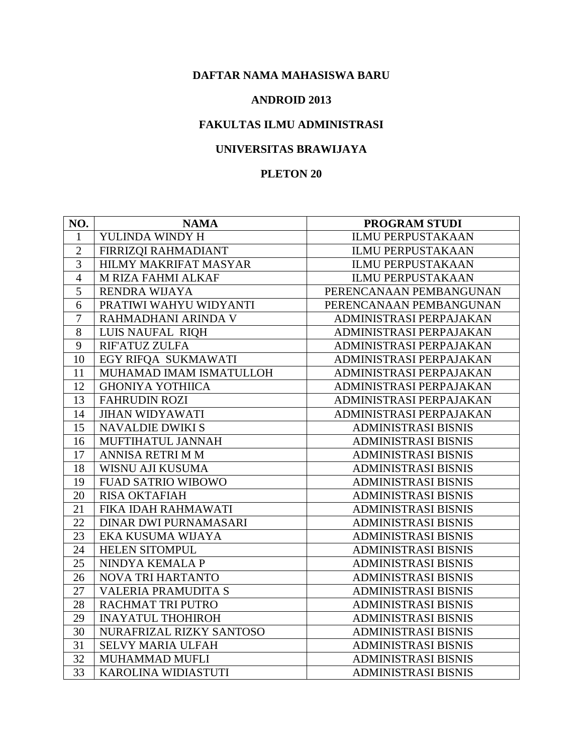#### **ANDROID 2013**

## **FAKULTAS ILMU ADMINISTRASI**

## **UNIVERSITAS BRAWIJAYA**

| NO.             | <b>NAMA</b>                | <b>PROGRAM STUDI</b>       |
|-----------------|----------------------------|----------------------------|
| 1               | YULINDA WINDY H            | <b>ILMU PERPUSTAKAAN</b>   |
| $\overline{2}$  | FIRRIZQI RAHMADIANT        | <b>ILMU PERPUSTAKAAN</b>   |
| 3               | HILMY MAKRIFAT MASYAR      | <b>ILMU PERPUSTAKAAN</b>   |
| $\overline{4}$  | M RIZA FAHMI ALKAF         | <b>ILMU PERPUSTAKAAN</b>   |
| 5               | RENDRA WIJAYA              | PERENCANAAN PEMBANGUNAN    |
| 6               | PRATIWI WAHYU WIDYANTI     | PERENCANAAN PEMBANGUNAN    |
| $\overline{7}$  | RAHMADHANI ARINDA V        | ADMINISTRASI PERPAJAKAN    |
| 8               | LUIS NAUFAL RIQH           | ADMINISTRASI PERPAJAKAN    |
| 9               | RIF'ATUZ ZULFA             | ADMINISTRASI PERPAJAKAN    |
| 10              | EGY RIFQA SUKMAWATI        | ADMINISTRASI PERPAJAKAN    |
| 11              | MUHAMAD IMAM ISMATULLOH    | ADMINISTRASI PERPAJAKAN    |
| 12              | <b>GHONIYA YOTHIICA</b>    | ADMINISTRASI PERPAJAKAN    |
| 13              | <b>FAHRUDIN ROZI</b>       | ADMINISTRASI PERPAJAKAN    |
| 14              | <b>JIHAN WIDYAWATI</b>     | ADMINISTRASI PERPAJAKAN    |
| 15              | <b>NAVALDIE DWIKI S</b>    | <b>ADMINISTRASI BISNIS</b> |
| 16              | MUFTIHATUL JANNAH          | <b>ADMINISTRASI BISNIS</b> |
| 17              | ANNISA RETRI M M           | <b>ADMINISTRASI BISNIS</b> |
| 18              | WISNU AJI KUSUMA           | <b>ADMINISTRASI BISNIS</b> |
| 19              | <b>FUAD SATRIO WIBOWO</b>  | <b>ADMINISTRASI BISNIS</b> |
| 20              | <b>RISA OKTAFIAH</b>       | <b>ADMINISTRASI BISNIS</b> |
| 21              | FIKA IDAH RAHMAWATI        | <b>ADMINISTRASI BISNIS</b> |
| 22              | DINAR DWI PURNAMASARI      | <b>ADMINISTRASI BISNIS</b> |
| 23              | EKA KUSUMA WIJAYA          | <b>ADMINISTRASI BISNIS</b> |
| 24              | <b>HELEN SITOMPUL</b>      | <b>ADMINISTRASI BISNIS</b> |
| 25              | NINDYA KEMALA P            | <b>ADMINISTRASI BISNIS</b> |
| 26              | <b>NOVA TRI HARTANTO</b>   | <b>ADMINISTRASI BISNIS</b> |
| 27              | <b>VALERIA PRAMUDITA S</b> | <b>ADMINISTRASI BISNIS</b> |
| 28              | RACHMAT TRI PUTRO          | <b>ADMINISTRASI BISNIS</b> |
| 29              | <b>INAYATUL THOHIROH</b>   | <b>ADMINISTRASI BISNIS</b> |
| $\overline{30}$ | NURAFRIZAL RIZKY SANTOSO   | <b>ADMINISTRASI BISNIS</b> |
| 31              | <b>SELVY MARIA ULFAH</b>   | <b>ADMINISTRASI BISNIS</b> |
| 32              | MUHAMMAD MUFLI             | <b>ADMINISTRASI BISNIS</b> |
| 33              | KAROLINA WIDIASTUTI        | <b>ADMINISTRASI BISNIS</b> |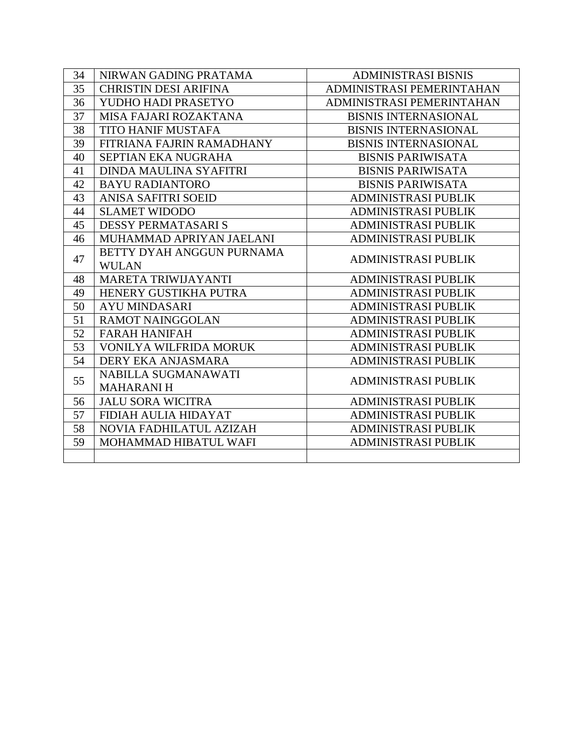| 34 | NIRWAN GADING PRATAMA        | <b>ADMINISTRASI BISNIS</b>  |
|----|------------------------------|-----------------------------|
| 35 | <b>CHRISTIN DESI ARIFINA</b> | ADMINISTRASI PEMERINTAHAN   |
| 36 | YUDHO HADI PRASETYO          | ADMINISTRASI PEMERINTAHAN   |
| 37 | MISA FAJARI ROZAKTANA        | <b>BISNIS INTERNASIONAL</b> |
| 38 | <b>TITO HANIF MUSTAFA</b>    | <b>BISNIS INTERNASIONAL</b> |
| 39 | FITRIANA FAJRIN RAMADHANY    | <b>BISNIS INTERNASIONAL</b> |
| 40 | SEPTIAN EKA NUGRAHA          | <b>BISNIS PARIWISATA</b>    |
| 41 | DINDA MAULINA SYAFITRI       | <b>BISNIS PARIWISATA</b>    |
| 42 | <b>BAYU RADIANTORO</b>       | <b>BISNIS PARIWISATA</b>    |
| 43 | <b>ANISA SAFITRI SOEID</b>   | <b>ADMINISTRASI PUBLIK</b>  |
| 44 | <b>SLAMET WIDODO</b>         | <b>ADMINISTRASI PUBLIK</b>  |
| 45 | <b>DESSY PERMATASARIS</b>    | <b>ADMINISTRASI PUBLIK</b>  |
| 46 | MUHAMMAD APRIYAN JAELANI     | <b>ADMINISTRASI PUBLIK</b>  |
| 47 | BETTY DYAH ANGGUN PURNAMA    | <b>ADMINISTRASI PUBLIK</b>  |
|    | <b>WULAN</b>                 |                             |
| 48 | MARETA TRIWIJAYANTI          | <b>ADMINISTRASI PUBLIK</b>  |
| 49 | HENERY GUSTIKHA PUTRA        | <b>ADMINISTRASI PUBLIK</b>  |
| 50 | <b>AYU MINDASARI</b>         | <b>ADMINISTRASI PUBLIK</b>  |
| 51 | <b>RAMOT NAINGGOLAN</b>      | <b>ADMINISTRASI PUBLIK</b>  |
| 52 | <b>FARAH HANIFAH</b>         | <b>ADMINISTRASI PUBLIK</b>  |
| 53 | VONILYA WILFRIDA MORUK       | <b>ADMINISTRASI PUBLIK</b>  |
| 54 | DERY EKA ANJASMARA           | <b>ADMINISTRASI PUBLIK</b>  |
| 55 | NABILLA SUGMANAWATI          | <b>ADMINISTRASI PUBLIK</b>  |
|    | <b>MAHARANIH</b>             |                             |
| 56 | <b>JALU SORA WICITRA</b>     | <b>ADMINISTRASI PUBLIK</b>  |
| 57 | FIDIAH AULIA HIDAYAT         | <b>ADMINISTRASI PUBLIK</b>  |
| 58 | NOVIA FADHILATUL AZIZAH      | <b>ADMINISTRASI PUBLIK</b>  |
| 59 | MOHAMMAD HIBATUL WAFI        | <b>ADMINISTRASI PUBLIK</b>  |
|    |                              |                             |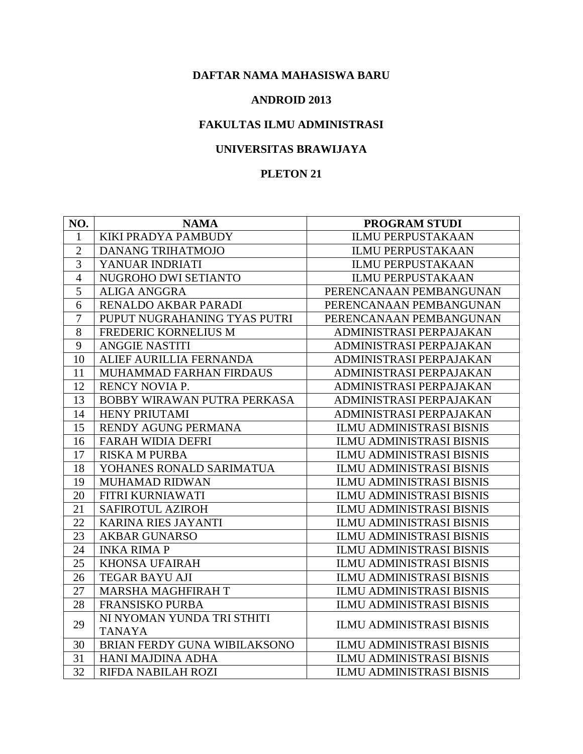#### **ANDROID 2013**

# **FAKULTAS ILMU ADMINISTRASI**

# **UNIVERSITAS BRAWIJAYA**

| NO.            | <b>NAMA</b>                  | <b>PROGRAM STUDI</b>            |
|----------------|------------------------------|---------------------------------|
| $\mathbf{1}$   | KIKI PRADYA PAMBUDY          | <b>ILMU PERPUSTAKAAN</b>        |
| $\mathfrak{2}$ | <b>DANANG TRIHATMOJO</b>     | <b>ILMU PERPUSTAKAAN</b>        |
| 3              | YANUAR INDRIATI              | <b>ILMU PERPUSTAKAAN</b>        |
| $\overline{4}$ | NUGROHO DWI SETIANTO         | <b>ILMU PERPUSTAKAAN</b>        |
| 5              | <b>ALIGA ANGGRA</b>          | PERENCANAAN PEMBANGUNAN         |
| 6              | RENALDO AKBAR PARADI         | PERENCANAAN PEMBANGUNAN         |
| $\overline{7}$ | PUPUT NUGRAHANING TYAS PUTRI | PERENCANAAN PEMBANGUNAN         |
| 8              | FREDERIC KORNELIUS M         | ADMINISTRASI PERPAJAKAN         |
| 9              | <b>ANGGIE NASTITI</b>        | ADMINISTRASI PERPAJAKAN         |
| 10             | ALIEF AURILLIA FERNANDA      | ADMINISTRASI PERPAJAKAN         |
| 11             | MUHAMMAD FARHAN FIRDAUS      | ADMINISTRASI PERPAJAKAN         |
| 12             | <b>RENCY NOVIA P.</b>        | ADMINISTRASI PERPAJAKAN         |
| 13             | BOBBY WIRAWAN PUTRA PERKASA  | ADMINISTRASI PERPAJAKAN         |
| 14             | HENY PRIUTAMI                | ADMINISTRASI PERPAJAKAN         |
| 15             | RENDY AGUNG PERMANA          | <b>ILMU ADMINISTRASI BISNIS</b> |
| 16             | <b>FARAH WIDIA DEFRI</b>     | <b>ILMU ADMINISTRASI BISNIS</b> |
| 17             | <b>RISKA M PURBA</b>         | <b>ILMU ADMINISTRASI BISNIS</b> |
| 18             | YOHANES RONALD SARIMATUA     | <b>ILMU ADMINISTRASI BISNIS</b> |
| 19             | <b>MUHAMAD RIDWAN</b>        | <b>ILMU ADMINISTRASI BISNIS</b> |
| 20             | FITRI KURNIAWATI             | <b>ILMU ADMINISTRASI BISNIS</b> |
| 21             | SAFIROTUL AZIROH             | <b>ILMU ADMINISTRASI BISNIS</b> |
| 22             | <b>KARINA RIES JAYANTI</b>   | <b>ILMU ADMINISTRASI BISNIS</b> |
| 23             | <b>AKBAR GUNARSO</b>         | <b>ILMU ADMINISTRASI BISNIS</b> |
| 24             | <b>INKA RIMA P</b>           | <b>ILMU ADMINISTRASI BISNIS</b> |
| 25             | <b>KHONSA UFAIRAH</b>        | <b>ILMU ADMINISTRASI BISNIS</b> |
| 26             | <b>TEGAR BAYU AJI</b>        | <b>ILMU ADMINISTRASI BISNIS</b> |
| 27             | MARSHA MAGHFIRAH T           | <b>ILMU ADMINISTRASI BISNIS</b> |
| 28             | <b>FRANSISKO PURBA</b>       | <b>ILMU ADMINISTRASI BISNIS</b> |
| 29             | NI NYOMAN YUNDA TRI STHITI   | <b>ILMU ADMINISTRASI BISNIS</b> |
|                | <b>TANAYA</b>                |                                 |
| 30             | BRIAN FERDY GUNA WIBILAKSONO | <b>ILMU ADMINISTRASI BISNIS</b> |
| 31             | HANI MAJDINA ADHA            | <b>ILMU ADMINISTRASI BISNIS</b> |
| 32             | RIFDA NABILAH ROZI           | <b>ILMU ADMINISTRASI BISNIS</b> |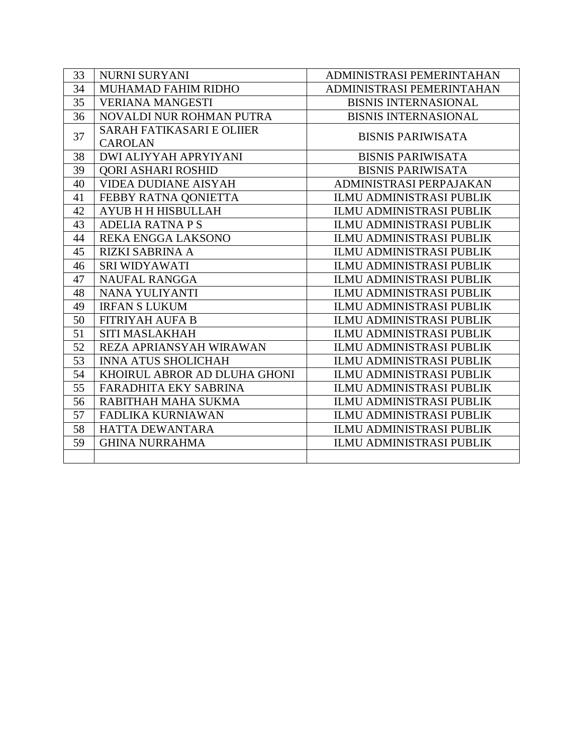| 33 | <b>NURNI SURYANI</b>             | ADMINISTRASI PEMERINTAHAN       |
|----|----------------------------------|---------------------------------|
|    |                                  |                                 |
| 34 | MUHAMAD FAHIM RIDHO              | ADMINISTRASI PEMERINTAHAN       |
| 35 | <b>VERIANA MANGESTI</b>          | <b>BISNIS INTERNASIONAL</b>     |
| 36 | NOVALDI NUR ROHMAN PUTRA         | <b>BISNIS INTERNASIONAL</b>     |
| 37 | <b>SARAH FATIKASARI E OLIIER</b> | <b>BISNIS PARIWISATA</b>        |
|    | <b>CAROLAN</b>                   |                                 |
| 38 | <b>DWI ALIYYAH APRYIYANI</b>     | <b>BISNIS PARIWISATA</b>        |
| 39 | QORI ASHARI ROSHID               | <b>BISNIS PARIWISATA</b>        |
| 40 | <b>VIDEA DUDIANE AISYAH</b>      | ADMINISTRASI PERPAJAKAN         |
| 41 | FEBBY RATNA QONIETTA             | ILMU ADMINISTRASI PUBLIK        |
| 42 | AYUB H H HISBULLAH               | <b>ILMU ADMINISTRASI PUBLIK</b> |
| 43 | <b>ADELIA RATNA P S</b>          | <b>ILMU ADMINISTRASI PUBLIK</b> |
| 44 | REKA ENGGA LAKSONO               | <b>ILMU ADMINISTRASI PUBLIK</b> |
| 45 | <b>RIZKI SABRINA A</b>           | <b>ILMU ADMINISTRASI PUBLIK</b> |
| 46 | <b>SRI WIDYAWATI</b>             | <b>ILMU ADMINISTRASI PUBLIK</b> |
| 47 | <b>NAUFAL RANGGA</b>             | <b>ILMU ADMINISTRASI PUBLIK</b> |
| 48 | NANA YULIYANTI                   | <b>ILMU ADMINISTRASI PUBLIK</b> |
| 49 | <b>IRFAN S LUKUM</b>             | <b>ILMU ADMINISTRASI PUBLIK</b> |
| 50 | <b>FITRIYAH AUFA B</b>           | <b>ILMU ADMINISTRASI PUBLIK</b> |
| 51 | <b>SITI MASLAKHAH</b>            | <b>ILMU ADMINISTRASI PUBLIK</b> |
| 52 | REZA APRIANSYAH WIRAWAN          | <b>ILMU ADMINISTRASI PUBLIK</b> |
| 53 | <b>INNA ATUS SHOLICHAH</b>       | ILMU ADMINISTRASI PUBLIK        |
| 54 | KHOIRUL ABROR AD DLUHA GHONI     | <b>ILMU ADMINISTRASI PUBLIK</b> |
| 55 | FARADHITA EKY SABRINA            | <b>ILMU ADMINISTRASI PUBLIK</b> |
| 56 | RABITHAH MAHA SUKMA              | <b>ILMU ADMINISTRASI PUBLIK</b> |
| 57 | FADLIKA KURNIAWAN                | <b>ILMU ADMINISTRASI PUBLIK</b> |
| 58 | <b>HATTA DEWANTARA</b>           | <b>ILMU ADMINISTRASI PUBLIK</b> |
| 59 | <b>GHINA NURRAHMA</b>            | <b>ILMU ADMINISTRASI PUBLIK</b> |
|    |                                  |                                 |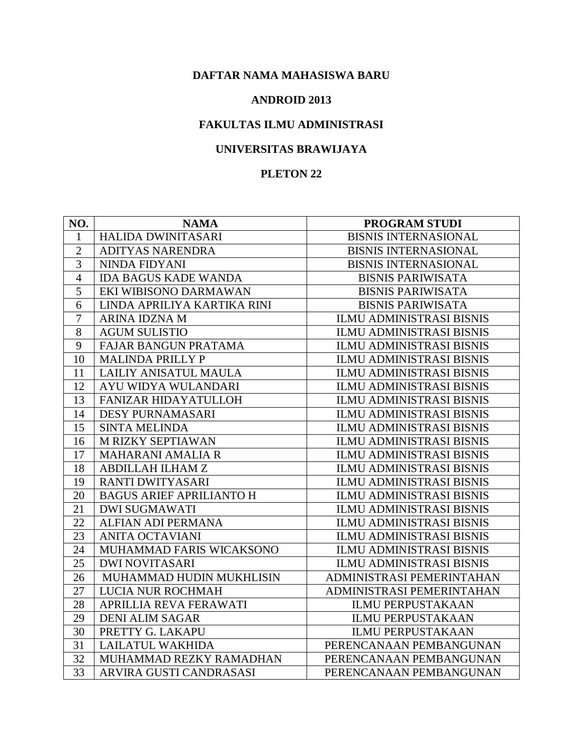#### **ANDROID 2013**

## **FAKULTAS ILMU ADMINISTRASI**

# **UNIVERSITAS BRAWIJAYA**

| NO.            | <b>NAMA</b>                     | <b>PROGRAM STUDI</b>            |
|----------------|---------------------------------|---------------------------------|
| 1              | HALIDA DWINITASARI              | <b>BISNIS INTERNASIONAL</b>     |
| $\overline{2}$ | <b>ADITYAS NARENDRA</b>         | <b>BISNIS INTERNASIONAL</b>     |
| 3              | NINDA FIDYANI                   | <b>BISNIS INTERNASIONAL</b>     |
| 4              | <b>IDA BAGUS KADE WANDA</b>     | <b>BISNIS PARIWISATA</b>        |
| 5              | EKI WIBISONO DARMAWAN           | <b>BISNIS PARIWISATA</b>        |
| 6              | LINDA APRILIYA KARTIKA RINI     | <b>BISNIS PARIWISATA</b>        |
| $\overline{7}$ | <b>ARINA IDZNA M</b>            | <b>ILMU ADMINISTRASI BISNIS</b> |
| 8              | <b>AGUM SULISTIO</b>            | <b>ILMU ADMINISTRASI BISNIS</b> |
| 9              | FAJAR BANGUN PRATAMA            | <b>ILMU ADMINISTRASI BISNIS</b> |
| 10             | <b>MALINDA PRILLY P</b>         | <b>ILMU ADMINISTRASI BISNIS</b> |
| 11             | LAILIY ANISATUL MAULA           | <b>ILMU ADMINISTRASI BISNIS</b> |
| 12             | AYU WIDYA WULANDARI             | <b>ILMU ADMINISTRASI BISNIS</b> |
| 13             | FANIZAR HIDAYATULLOH            | <b>ILMU ADMINISTRASI BISNIS</b> |
| 14             | <b>DESY PURNAMASARI</b>         | <b>ILMU ADMINISTRASI BISNIS</b> |
| 15             | <b>SINTA MELINDA</b>            | <b>ILMU ADMINISTRASI BISNIS</b> |
| 16             | M RIZKY SEPTIAWAN               | <b>ILMU ADMINISTRASI BISNIS</b> |
| 17             | <b>MAHARANI AMALIA R</b>        | <b>ILMU ADMINISTRASI BISNIS</b> |
| 18             | ABDILLAH ILHAM Z                | <b>ILMU ADMINISTRASI BISNIS</b> |
| 19             | RANTI DWITYASARI                | <b>ILMU ADMINISTRASI BISNIS</b> |
| 20             | <b>BAGUS ARIEF APRILIANTO H</b> | ILMU ADMINISTRASI BISNIS        |
| 21             | <b>DWI SUGMAWATI</b>            | <b>ILMU ADMINISTRASI BISNIS</b> |
| 22             | <b>ALFIAN ADI PERMANA</b>       | <b>ILMU ADMINISTRASI BISNIS</b> |
| 23             | <b>ANITA OCTAVIANI</b>          | <b>ILMU ADMINISTRASI BISNIS</b> |
| 24             | MUHAMMAD FARIS WICAKSONO        | <b>ILMU ADMINISTRASI BISNIS</b> |
| 25             | <b>DWI NOVITASARI</b>           | <b>ILMU ADMINISTRASI BISNIS</b> |
| 26             | MUHAMMAD HUDIN MUKHLISIN        | ADMINISTRASI PEMERINTAHAN       |
| 27             | LUCIA NUR ROCHMAH               | ADMINISTRASI PEMERINTAHAN       |
| 28             | APRILLIA REVA FERAWATI          | <b>ILMU PERPUSTAKAAN</b>        |
| 29             | <b>DENI ALIM SAGAR</b>          | <b>ILMU PERPUSTAKAAN</b>        |
| 30             | PRETTY G. LAKAPU                | <b>ILMU PERPUSTAKAAN</b>        |
| 31             | <b>LAILATUL WAKHIDA</b>         | PERENCANAAN PEMBANGUNAN         |
| 32             | MUHAMMAD REZKY RAMADHAN         | PERENCANAAN PEMBANGUNAN         |
| 33             | ARVIRA GUSTI CANDRASASI         | PERENCANAAN PEMBANGUNAN         |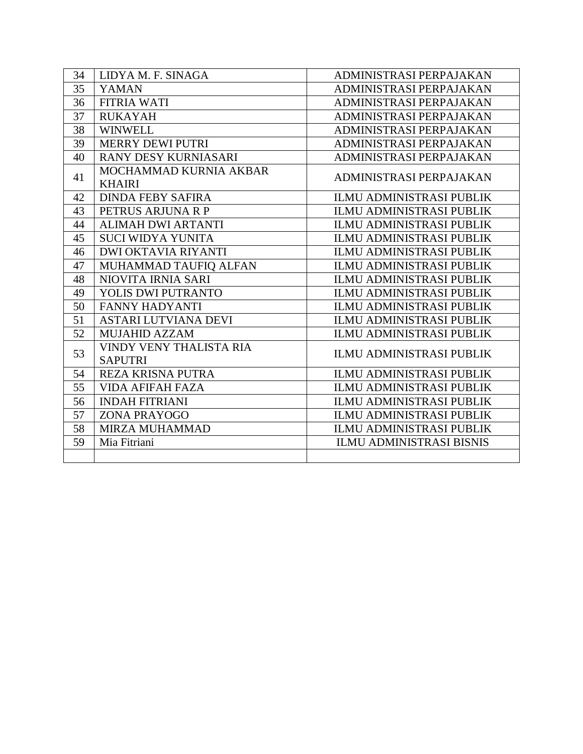| 34 | LIDYA M. F. SINAGA          | ADMINISTRASI PERPAJAKAN         |
|----|-----------------------------|---------------------------------|
| 35 | <b>YAMAN</b>                | ADMINISTRASI PERPAJAKAN         |
| 36 | <b>FITRIA WATI</b>          | ADMINISTRASI PERPAJAKAN         |
| 37 | <b>RUKAYAH</b>              | ADMINISTRASI PERPAJAKAN         |
| 38 | <b>WINWELL</b>              | ADMINISTRASI PERPAJAKAN         |
| 39 | <b>MERRY DEWI PUTRI</b>     | ADMINISTRASI PERPAJAKAN         |
| 40 | <b>RANY DESY KURNIASARI</b> | ADMINISTRASI PERPAJAKAN         |
| 41 | MOCHAMMAD KURNIA AKBAR      | ADMINISTRASI PERPAJAKAN         |
|    | <b>KHAIRI</b>               |                                 |
| 42 | <b>DINDA FEBY SAFIRA</b>    | <b>ILMU ADMINISTRASI PUBLIK</b> |
| 43 | PETRUS ARJUNA R P           | <b>ILMU ADMINISTRASI PUBLIK</b> |
| 44 | <b>ALIMAH DWI ARTANTI</b>   | <b>ILMU ADMINISTRASI PUBLIK</b> |
| 45 | <b>SUCI WIDYA YUNITA</b>    | <b>ILMU ADMINISTRASI PUBLIK</b> |
| 46 | <b>DWI OKTAVIA RIYANTI</b>  | <b>ILMU ADMINISTRASI PUBLIK</b> |
| 47 | MUHAMMAD TAUFIQ ALFAN       | ILMU ADMINISTRASI PUBLIK        |
| 48 | NIOVITA IRNIA SARI          | <b>ILMU ADMINISTRASI PUBLIK</b> |
| 49 | YOLIS DWI PUTRANTO          | <b>ILMU ADMINISTRASI PUBLIK</b> |
| 50 | <b>FANNY HADYANTI</b>       | <b>ILMU ADMINISTRASI PUBLIK</b> |
| 51 | <b>ASTARI LUTVIANA DEVI</b> | <b>ILMU ADMINISTRASI PUBLIK</b> |
| 52 | <b>MUJAHID AZZAM</b>        | <b>ILMU ADMINISTRASI PUBLIK</b> |
| 53 | VINDY VENY THALISTA RIA     | <b>ILMU ADMINISTRASI PUBLIK</b> |
|    | <b>SAPUTRI</b>              |                                 |
| 54 | <b>REZA KRISNA PUTRA</b>    | <b>ILMU ADMINISTRASI PUBLIK</b> |
| 55 | <b>VIDA AFIFAH FAZA</b>     | <b>ILMU ADMINISTRASI PUBLIK</b> |
| 56 | <b>INDAH FITRIANI</b>       | <b>ILMU ADMINISTRASI PUBLIK</b> |
| 57 | ZONA PRAYOGO                | <b>ILMU ADMINISTRASI PUBLIK</b> |
| 58 | <b>MIRZA MUHAMMAD</b>       | <b>ILMU ADMINISTRASI PUBLIK</b> |
| 59 | Mia Fitriani                | <b>ILMU ADMINISTRASI BISNIS</b> |
|    |                             |                                 |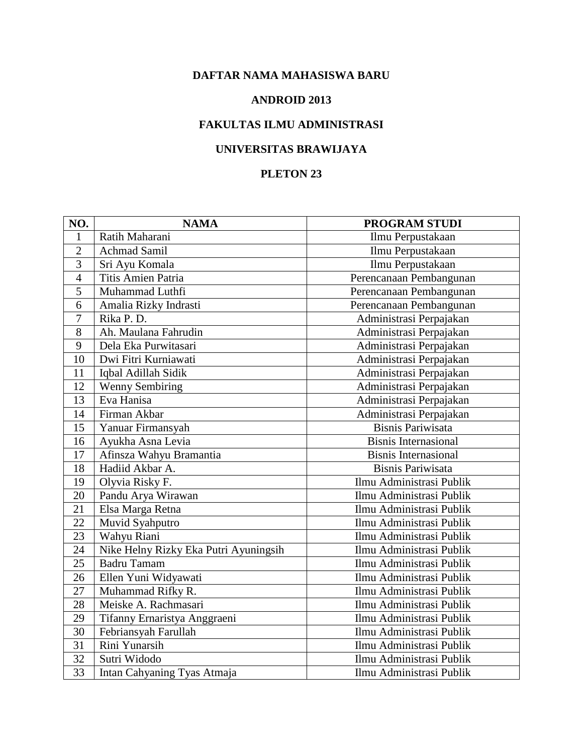#### **ANDROID 2013**

## **FAKULTAS ILMU ADMINISTRASI**

# **UNIVERSITAS BRAWIJAYA**

| NO.             | <b>NAMA</b>                           | <b>PROGRAM STUDI</b>        |
|-----------------|---------------------------------------|-----------------------------|
| 1               | Ratih Maharani                        | Ilmu Perpustakaan           |
| $\overline{2}$  | <b>Achmad Samil</b>                   | Ilmu Perpustakaan           |
| 3               | Sri Ayu Komala                        | Ilmu Perpustakaan           |
| $\overline{4}$  | Titis Amien Patria                    | Perencanaan Pembangunan     |
| 5               | Muhammad Luthfi                       | Perencanaan Pembangunan     |
| 6               | Amalia Rizky Indrasti                 | Perencanaan Pembangunan     |
| $\overline{7}$  | Rika P. D.                            | Administrasi Perpajakan     |
| 8               | Ah. Maulana Fahrudin                  | Administrasi Perpajakan     |
| 9               | Dela Eka Purwitasari                  | Administrasi Perpajakan     |
| 10              | Dwi Fitri Kurniawati                  | Administrasi Perpajakan     |
| 11              | Iqbal Adillah Sidik                   | Administrasi Perpajakan     |
| 12              | <b>Wenny Sembiring</b>                | Administrasi Perpajakan     |
| 13              | Eva Hanisa                            | Administrasi Perpajakan     |
| 14              | Firman Akbar                          | Administrasi Perpajakan     |
| 15              | Yanuar Firmansyah                     | <b>Bisnis Pariwisata</b>    |
| 16              | Ayukha Asna Levia                     | <b>Bisnis Internasional</b> |
| 17              | Afinsza Wahyu Bramantia               | <b>Bisnis Internasional</b> |
| 18              | Hadiid Akbar A.                       | <b>Bisnis Pariwisata</b>    |
| 19              | Olyvia Risky F.                       | Ilmu Administrasi Publik    |
| 20              | Pandu Arya Wirawan                    | Ilmu Administrasi Publik    |
| 21              | Elsa Marga Retna                      | Ilmu Administrasi Publik    |
| 22              | Muvid Syahputro                       | Ilmu Administrasi Publik    |
| 23              | Wahyu Riani                           | Ilmu Administrasi Publik    |
| 24              | Nike Helny Rizky Eka Putri Ayuningsih | Ilmu Administrasi Publik    |
| 25              | <b>Badru Tamam</b>                    | Ilmu Administrasi Publik    |
| 26              | Ellen Yuni Widyawati                  | Ilmu Administrasi Publik    |
| 27              | Muhammad Rifky R.                     | Ilmu Administrasi Publik    |
| 28              | Meiske A. Rachmasari                  | Ilmu Administrasi Publik    |
| $\overline{29}$ | Tifanny Ernaristya Anggraeni          | Ilmu Administrasi Publik    |
| 30              | Febriansyah Farullah                  | Ilmu Administrasi Publik    |
| 31              | Rini Yunarsih                         | Ilmu Administrasi Publik    |
| 32              | Sutri Widodo                          | Ilmu Administrasi Publik    |
| 33              | Intan Cahyaning Tyas Atmaja           | Ilmu Administrasi Publik    |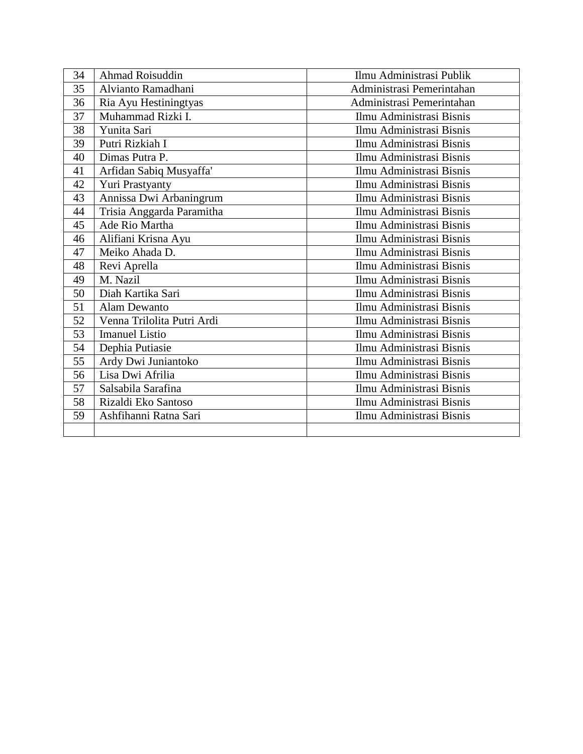| 34 | Ahmad Roisuddin            | Ilmu Administrasi Publik  |
|----|----------------------------|---------------------------|
| 35 | Alvianto Ramadhani         | Administrasi Pemerintahan |
| 36 | Ria Ayu Hestiningtyas      | Administrasi Pemerintahan |
| 37 | Muhammad Rizki I.          | Ilmu Administrasi Bisnis  |
| 38 | Yunita Sari                | Ilmu Administrasi Bisnis  |
| 39 | Putri Rizkiah I            | Ilmu Administrasi Bisnis  |
| 40 | Dimas Putra P.             | Ilmu Administrasi Bisnis  |
| 41 | Arfidan Sabiq Musyaffa'    | Ilmu Administrasi Bisnis  |
| 42 | Yuri Prastyanty            | Ilmu Administrasi Bisnis  |
| 43 | Annissa Dwi Arbaningrum    | Ilmu Administrasi Bisnis  |
| 44 | Trisia Anggarda Paramitha  | Ilmu Administrasi Bisnis  |
| 45 | Ade Rio Martha             | Ilmu Administrasi Bisnis  |
| 46 | Alifiani Krisna Ayu        | Ilmu Administrasi Bisnis  |
| 47 | Meiko Ahada D.             | Ilmu Administrasi Bisnis  |
| 48 | Revi Aprella               | Ilmu Administrasi Bisnis  |
| 49 | M. Nazil                   | Ilmu Administrasi Bisnis  |
| 50 | Diah Kartika Sari          | Ilmu Administrasi Bisnis  |
| 51 | Alam Dewanto               | Ilmu Administrasi Bisnis  |
| 52 | Venna Trilolita Putri Ardi | Ilmu Administrasi Bisnis  |
| 53 | <b>Imanuel Listio</b>      | Ilmu Administrasi Bisnis  |
| 54 | Dephia Putiasie            | Ilmu Administrasi Bisnis  |
| 55 | Ardy Dwi Juniantoko        | Ilmu Administrasi Bisnis  |
| 56 | Lisa Dwi Afrilia           | Ilmu Administrasi Bisnis  |
| 57 | Salsabila Sarafina         | Ilmu Administrasi Bisnis  |
| 58 | Rizaldi Eko Santoso        | Ilmu Administrasi Bisnis  |
| 59 | Ashfihanni Ratna Sari      | Ilmu Administrasi Bisnis  |
|    |                            |                           |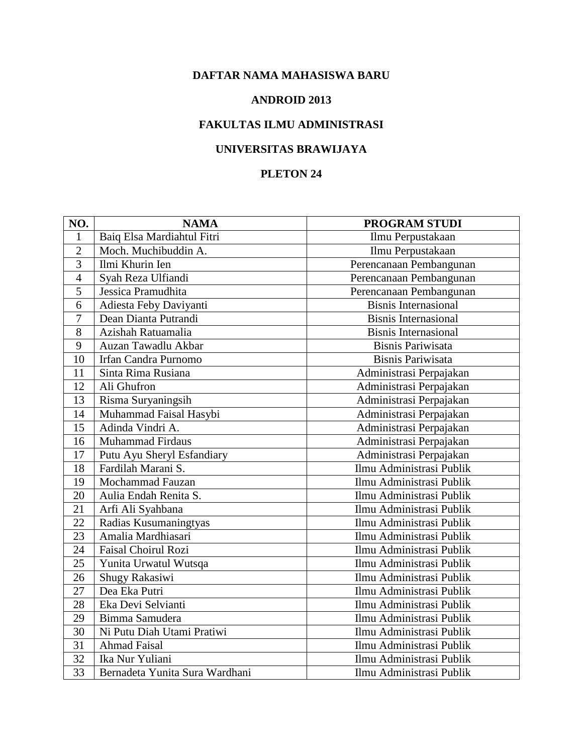#### **ANDROID 2013**

## **FAKULTAS ILMU ADMINISTRASI**

## **UNIVERSITAS BRAWIJAYA**

| NO.            | <b>NAMA</b>                    | PROGRAM STUDI               |
|----------------|--------------------------------|-----------------------------|
| 1              | Baiq Elsa Mardiahtul Fitri     | Ilmu Perpustakaan           |
| $\overline{2}$ | Moch. Muchibuddin A.           | Ilmu Perpustakaan           |
| 3              | Ilmi Khurin Ien                | Perencanaan Pembangunan     |
| $\overline{4}$ | Syah Reza Ulfiandi             | Perencanaan Pembangunan     |
| 5              | Jessica Pramudhita             | Perencanaan Pembangunan     |
| 6              | Adiesta Feby Daviyanti         | <b>Bisnis Internasional</b> |
| $\overline{7}$ | Dean Dianta Putrandi           | <b>Bisnis Internasional</b> |
| 8              | Azishah Ratuamalia             | <b>Bisnis Internasional</b> |
| 9              | Auzan Tawadlu Akbar            | <b>Bisnis Pariwisata</b>    |
| 10             | Irfan Candra Purnomo           | <b>Bisnis Pariwisata</b>    |
| 11             | Sinta Rima Rusiana             | Administrasi Perpajakan     |
| 12             | Ali Ghufron                    | Administrasi Perpajakan     |
| 13             | Risma Suryaningsih             | Administrasi Perpajakan     |
| 14             | Muhammad Faisal Hasybi         | Administrasi Perpajakan     |
| 15             | Adinda Vindri A.               | Administrasi Perpajakan     |
| 16             | <b>Muhammad Firdaus</b>        | Administrasi Perpajakan     |
| 17             | Putu Ayu Sheryl Esfandiary     | Administrasi Perpajakan     |
| 18             | Fardilah Marani S.             | Ilmu Administrasi Publik    |
| 19             | Mochammad Fauzan               | Ilmu Administrasi Publik    |
| 20             | Aulia Endah Renita S.          | Ilmu Administrasi Publik    |
| 21             | Arfi Ali Syahbana              | Ilmu Administrasi Publik    |
| 22             | Radias Kusumaningtyas          | Ilmu Administrasi Publik    |
| 23             | Amalia Mardhiasari             | Ilmu Administrasi Publik    |
| 24             | Faisal Choirul Rozi            | Ilmu Administrasi Publik    |
| 25             | Yunita Urwatul Wutsqa          | Ilmu Administrasi Publik    |
| 26             | Shugy Rakasiwi                 | Ilmu Administrasi Publik    |
| 27             | Dea Eka Putri                  | Ilmu Administrasi Publik    |
| 28             | Eka Devi Selvianti             | Ilmu Administrasi Publik    |
| 29             | Bimma Samudera                 | Ilmu Administrasi Publik    |
| 30             | Ni Putu Diah Utami Pratiwi     | Ilmu Administrasi Publik    |
| 31             | <b>Ahmad Faisal</b>            | Ilmu Administrasi Publik    |
| 32             | Ika Nur Yuliani                | Ilmu Administrasi Publik    |
| 33             | Bernadeta Yunita Sura Wardhani | Ilmu Administrasi Publik    |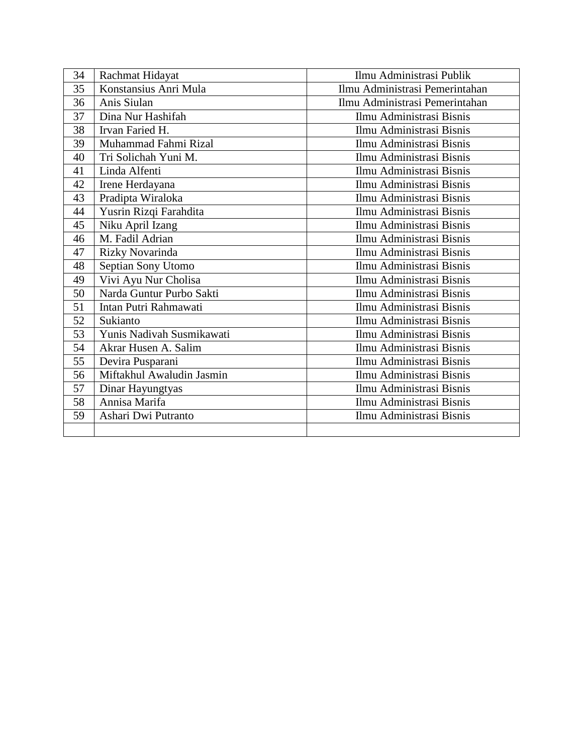| 34 | Rachmat Hidayat           | Ilmu Administrasi Publik       |
|----|---------------------------|--------------------------------|
| 35 | Konstansius Anri Mula     | Ilmu Administrasi Pemerintahan |
| 36 | Anis Siulan               | Ilmu Administrasi Pemerintahan |
| 37 | Dina Nur Hashifah         | Ilmu Administrasi Bisnis       |
| 38 | Irvan Faried H.           | Ilmu Administrasi Bisnis       |
| 39 | Muhammad Fahmi Rizal      | Ilmu Administrasi Bisnis       |
| 40 | Tri Solichah Yuni M.      | Ilmu Administrasi Bisnis       |
| 41 | Linda Alfenti             | Ilmu Administrasi Bisnis       |
| 42 | Irene Herdayana           | Ilmu Administrasi Bisnis       |
| 43 | Pradipta Wiraloka         | Ilmu Administrasi Bisnis       |
| 44 | Yusrin Rizqi Farahdita    | Ilmu Administrasi Bisnis       |
| 45 | Niku April Izang          | Ilmu Administrasi Bisnis       |
| 46 | M. Fadil Adrian           | Ilmu Administrasi Bisnis       |
| 47 | <b>Rizky Novarinda</b>    | Ilmu Administrasi Bisnis       |
| 48 | Septian Sony Utomo        | Ilmu Administrasi Bisnis       |
| 49 | Vivi Ayu Nur Cholisa      | Ilmu Administrasi Bisnis       |
| 50 | Narda Guntur Purbo Sakti  | Ilmu Administrasi Bisnis       |
| 51 | Intan Putri Rahmawati     | Ilmu Administrasi Bisnis       |
| 52 | Sukianto                  | Ilmu Administrasi Bisnis       |
| 53 | Yunis Nadivah Susmikawati | Ilmu Administrasi Bisnis       |
| 54 | Akrar Husen A. Salim      | Ilmu Administrasi Bisnis       |
| 55 | Devira Pusparani          | Ilmu Administrasi Bisnis       |
| 56 | Miftakhul Awaludin Jasmin | Ilmu Administrasi Bisnis       |
| 57 | Dinar Hayungtyas          | Ilmu Administrasi Bisnis       |
| 58 | Annisa Marifa             | Ilmu Administrasi Bisnis       |
| 59 | Ashari Dwi Putranto       | Ilmu Administrasi Bisnis       |
|    |                           |                                |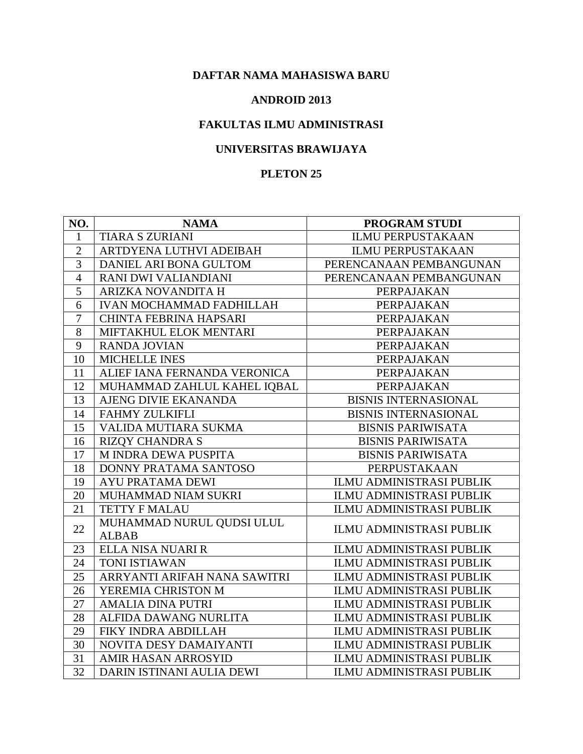#### **ANDROID 2013**

## **FAKULTAS ILMU ADMINISTRASI**

## **UNIVERSITAS BRAWIJAYA**

| NO.            | <b>NAMA</b>                     | <b>PROGRAM STUDI</b>            |
|----------------|---------------------------------|---------------------------------|
| 1              | <b>TIARA S ZURIANI</b>          | <b>ILMU PERPUSTAKAAN</b>        |
| $\overline{2}$ | ARTDYENA LUTHVI ADEIBAH         | <b>ILMU PERPUSTAKAAN</b>        |
| 3              | DANIEL ARI BONA GULTOM          | PERENCANAAN PEMBANGUNAN         |
| $\overline{4}$ | RANI DWI VALIANDIANI            | PERENCANAAN PEMBANGUNAN         |
| $\overline{5}$ | ARIZKA NOVANDITA H              | PERPAJAKAN                      |
| 6              | <b>IVAN MOCHAMMAD FADHILLAH</b> | PERPAJAKAN                      |
| $\overline{7}$ | <b>CHINTA FEBRINA HAPSARI</b>   | PERPAJAKAN                      |
| 8              | MIFTAKHUL ELOK MENTARI          | PERPAJAKAN                      |
| 9              | <b>RANDA JOVIAN</b>             | PERPAJAKAN                      |
| 10             | MICHELLE INES                   | PERPAJAKAN                      |
| 11             | ALIEF IANA FERNANDA VERONICA    | PERPAJAKAN                      |
| 12             | MUHAMMAD ZAHLUL KAHEL IQBAL     | PERPAJAKAN                      |
| 13             | AJENG DIVIE EKANANDA            | <b>BISNIS INTERNASIONAL</b>     |
| 14             | FAHMY ZULKIFLI                  | <b>BISNIS INTERNASIONAL</b>     |
| 15             | VALIDA MUTIARA SUKMA            | <b>BISNIS PARIWISATA</b>        |
| 16             | <b>RIZQY CHANDRA S</b>          | <b>BISNIS PARIWISATA</b>        |
| 17             | M INDRA DEWA PUSPITA            | <b>BISNIS PARIWISATA</b>        |
| 18             | DONNY PRATAMA SANTOSO           | PERPUSTAKAAN                    |
| 19             | <b>AYU PRATAMA DEWI</b>         | <b>ILMU ADMINISTRASI PUBLIK</b> |
| 20             | MUHAMMAD NIAM SUKRI             | <b>ILMU ADMINISTRASI PUBLIK</b> |
| 21             | <b>TETTY F MALAU</b>            | <b>ILMU ADMINISTRASI PUBLIK</b> |
| 22             | MUHAMMAD NURUL QUDSI ULUL       | <b>ILMU ADMINISTRASI PUBLIK</b> |
|                | <b>ALBAB</b>                    |                                 |
| 23             | ELLA NISA NUARI R               | ILMU ADMINISTRASI PUBLIK        |
| 24             | <b>TONI ISTIAWAN</b>            | <b>ILMU ADMINISTRASI PUBLIK</b> |
| 25             | ARRYANTI ARIFAH NANA SAWITRI    | <b>ILMU ADMINISTRASI PUBLIK</b> |
| 26             | YEREMIA CHRISTON M              | <b>ILMU ADMINISTRASI PUBLIK</b> |
| 27             | <b>AMALIA DINA PUTRI</b>        | ILMU ADMINISTRASI PUBLIK        |
| 28             | ALFIDA DAWANG NURLITA           | <b>ILMU ADMINISTRASI PUBLIK</b> |
| 29             | FIKY INDRA ABDILLAH             | ILMU ADMINISTRASI PUBLIK        |
| 30             | NOVITA DESY DAMAIYANTI          | ILMU ADMINISTRASI PUBLIK        |
| 31             | AMIR HASAN ARROSYID             | ILMU ADMINISTRASI PUBLIK        |
| 32             | DARIN ISTINANI AULIA DEWI       | ILMU ADMINISTRASI PUBLIK        |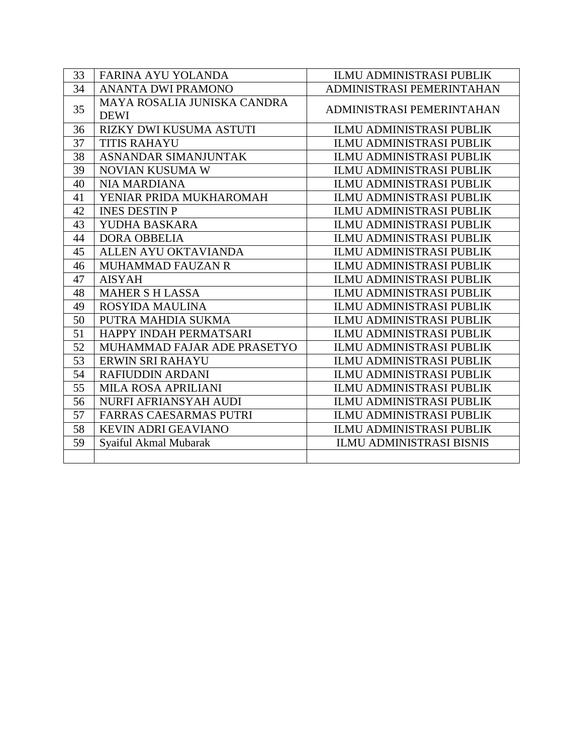| 33 | FARINA AYU YOLANDA                         | <b>ILMU ADMINISTRASI PUBLIK</b> |
|----|--------------------------------------------|---------------------------------|
| 34 | <b>ANANTA DWI PRAMONO</b>                  | ADMINISTRASI PEMERINTAHAN       |
| 35 | MAYA ROSALIA JUNISKA CANDRA<br><b>DEWI</b> | ADMINISTRASI PEMERINTAHAN       |
| 36 | RIZKY DWI KUSUMA ASTUTI                    | <b>ILMU ADMINISTRASI PUBLIK</b> |
| 37 | <b>TITIS RAHAYU</b>                        | <b>ILMU ADMINISTRASI PUBLIK</b> |
| 38 | <b>ASNANDAR SIMANJUNTAK</b>                | <b>ILMU ADMINISTRASI PUBLIK</b> |
| 39 | NOVIAN KUSUMA W                            | <b>ILMU ADMINISTRASI PUBLIK</b> |
| 40 | <b>NIA MARDIANA</b>                        | <b>ILMU ADMINISTRASI PUBLIK</b> |
| 41 | YENIAR PRIDA MUKHAROMAH                    | <b>ILMU ADMINISTRASI PUBLIK</b> |
| 42 | <b>INES DESTIN P</b>                       | <b>ILMU ADMINISTRASI PUBLIK</b> |
| 43 | YUDHA BASKARA                              | <b>ILMU ADMINISTRASI PUBLIK</b> |
| 44 | <b>DORA OBBELIA</b>                        | <b>ILMU ADMINISTRASI PUBLIK</b> |
| 45 | ALLEN AYU OKTAVIANDA                       | <b>ILMU ADMINISTRASI PUBLIK</b> |
| 46 | MUHAMMAD FAUZAN R                          | <b>ILMU ADMINISTRASI PUBLIK</b> |
| 47 | <b>AISYAH</b>                              | <b>ILMU ADMINISTRASI PUBLIK</b> |
| 48 | <b>MAHER S H LASSA</b>                     | <b>ILMU ADMINISTRASI PUBLIK</b> |
| 49 | <b>ROSYIDA MAULINA</b>                     | <b>ILMU ADMINISTRASI PUBLIK</b> |
| 50 | PUTRA MAHDIA SUKMA                         | <b>ILMU ADMINISTRASI PUBLIK</b> |
| 51 | HAPPY INDAH PERMATSARI                     | <b>ILMU ADMINISTRASI PUBLIK</b> |
| 52 | MUHAMMAD FAJAR ADE PRASETYO                | <b>ILMU ADMINISTRASI PUBLIK</b> |
| 53 | ERWIN SRI RAHAYU                           | <b>ILMU ADMINISTRASI PUBLIK</b> |
| 54 | <b>RAFIUDDIN ARDANI</b>                    | <b>ILMU ADMINISTRASI PUBLIK</b> |
| 55 | <b>MILA ROSA APRILIANI</b>                 | <b>ILMU ADMINISTRASI PUBLIK</b> |
| 56 | NURFI AFRIANSYAH AUDI                      | <b>ILMU ADMINISTRASI PUBLIK</b> |
| 57 | <b>FARRAS CAESARMAS PUTRI</b>              | <b>ILMU ADMINISTRASI PUBLIK</b> |
| 58 | <b>KEVIN ADRI GEAVIANO</b>                 | <b>ILMU ADMINISTRASI PUBLIK</b> |
| 59 | Syaiful Akmal Mubarak                      | <b>ILMU ADMINISTRASI BISNIS</b> |
|    |                                            |                                 |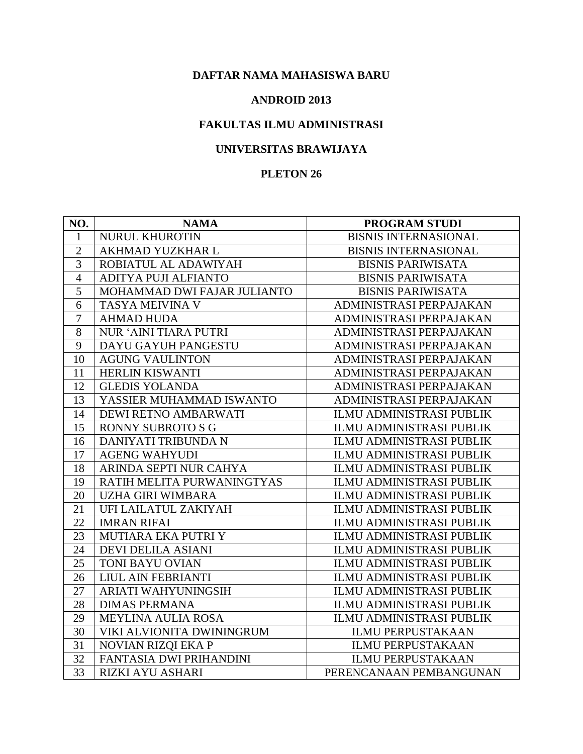#### **ANDROID 2013**

## **FAKULTAS ILMU ADMINISTRASI**

### **UNIVERSITAS BRAWIJAYA**

| NO.            | <b>NAMA</b>                 | <b>PROGRAM STUDI</b>            |
|----------------|-----------------------------|---------------------------------|
| 1              | NURUL KHUROTIN              | <b>BISNIS INTERNASIONAL</b>     |
| $\overline{2}$ | AKHMAD YUZKHAR L            | <b>BISNIS INTERNASIONAL</b>     |
| 3              | ROBIATUL AL ADAWIYAH        | <b>BISNIS PARIWISATA</b>        |
| $\overline{4}$ | ADITYA PUJI ALFIANTO        | <b>BISNIS PARIWISATA</b>        |
| 5              | MOHAMMAD DWI FAJAR JULIANTO | <b>BISNIS PARIWISATA</b>        |
| 6              | TASYA MEIVINA V             | ADMINISTRASI PERPAJAKAN         |
| $\overline{7}$ | <b>AHMAD HUDA</b>           | ADMINISTRASI PERPAJAKAN         |
| 8              | NUR 'AINI TIARA PUTRI       | ADMINISTRASI PERPAJAKAN         |
| 9              | DAYU GAYUH PANGESTU         | ADMINISTRASI PERPAJAKAN         |
| 10             | <b>AGUNG VAULINTON</b>      | ADMINISTRASI PERPAJAKAN         |
| 11             | HERLIN KISWANTI             | ADMINISTRASI PERPAJAKAN         |
| 12             | <b>GLEDIS YOLANDA</b>       | ADMINISTRASI PERPAJAKAN         |
| 13             | YASSIER MUHAMMAD ISWANTO    | ADMINISTRASI PERPAJAKAN         |
| 14             | DEWI RETNO AMBARWATI        | <b>ILMU ADMINISTRASI PUBLIK</b> |
| 15             | <b>RONNY SUBROTO S G</b>    | ILMU ADMINISTRASI PUBLIK        |
| 16             | DANIYATI TRIBUNDA N         | <b>ILMU ADMINISTRASI PUBLIK</b> |
| 17             | <b>AGENG WAHYUDI</b>        | ILMU ADMINISTRASI PUBLIK        |
| 18             | ARINDA SEPTI NUR CAHYA      | ILMU ADMINISTRASI PUBLIK        |
| 19             | RATIH MELITA PURWANINGTYAS  | <b>ILMU ADMINISTRASI PUBLIK</b> |
| 20             | UZHA GIRI WIMBARA           | ILMU ADMINISTRASI PUBLIK        |
| 21             | UFI LAILATUL ZAKIYAH        | <b>ILMU ADMINISTRASI PUBLIK</b> |
| 22             | <b>IMRAN RIFAI</b>          | ILMU ADMINISTRASI PUBLIK        |
| 23             | MUTIARA EKA PUTRI Y         | ILMU ADMINISTRASI PUBLIK        |
| 24             | <b>DEVI DELILA ASIANI</b>   | ILMU ADMINISTRASI PUBLIK        |
| 25             | TONI BAYU OVIAN             | <b>ILMU ADMINISTRASI PUBLIK</b> |
| 26             | LIUL AIN FEBRIANTI          | <b>ILMU ADMINISTRASI PUBLIK</b> |
| 27             | <b>ARIATI WAHYUNINGSIH</b>  | <b>ILMU ADMINISTRASI PUBLIK</b> |
| 28             | <b>DIMAS PERMANA</b>        | <b>ILMU ADMINISTRASI PUBLIK</b> |
| 29             | MEYLINA AULIA ROSA          | <b>ILMU ADMINISTRASI PUBLIK</b> |
| 30             | VIKI ALVIONITA DWININGRUM   | <b>ILMU PERPUSTAKAAN</b>        |
| 31             | NOVIAN RIZQI EKA P          | <b>ILMU PERPUSTAKAAN</b>        |
| 32             | FANTASIA DWI PRIHANDINI     | <b>ILMU PERPUSTAKAAN</b>        |
| 33             | RIZKI AYU ASHARI            | PERENCANAAN PEMBANGUNAN         |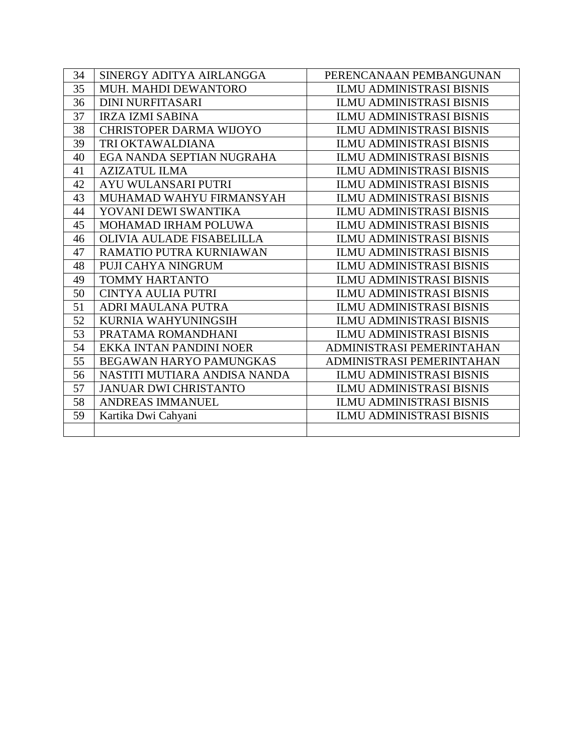| 34 | SINERGY ADITYA AIRLANGGA       | PERENCANAAN PEMBANGUNAN         |
|----|--------------------------------|---------------------------------|
| 35 | MUH. MAHDI DEWANTORO           | <b>ILMU ADMINISTRASI BISNIS</b> |
| 36 | <b>DINI NURFITASARI</b>        | <b>ILMU ADMINISTRASI BISNIS</b> |
| 37 | <b>IRZA IZMI SABINA</b>        | <b>ILMU ADMINISTRASI BISNIS</b> |
| 38 | <b>CHRISTOPER DARMA WIJOYO</b> | <b>ILMU ADMINISTRASI BISNIS</b> |
| 39 | TRI OKTAWALDIANA               | <b>ILMU ADMINISTRASI BISNIS</b> |
| 40 | EGA NANDA SEPTIAN NUGRAHA      | <b>ILMU ADMINISTRASI BISNIS</b> |
| 41 | <b>AZIZATUL ILMA</b>           | <b>ILMU ADMINISTRASI BISNIS</b> |
| 42 | AYU WULANSARI PUTRI            | <b>ILMU ADMINISTRASI BISNIS</b> |
| 43 | MUHAMAD WAHYU FIRMANSYAH       | <b>ILMU ADMINISTRASI BISNIS</b> |
| 44 | YOVANI DEWI SWANTIKA           | <b>ILMU ADMINISTRASI BISNIS</b> |
| 45 | MOHAMAD IRHAM POLUWA           | <b>ILMU ADMINISTRASI BISNIS</b> |
| 46 | OLIVIA AULADE FISABELILLA      | <b>ILMU ADMINISTRASI BISNIS</b> |
| 47 | RAMATIO PUTRA KURNIAWAN        | <b>ILMU ADMINISTRASI BISNIS</b> |
| 48 | PUJI CAHYA NINGRUM             | <b>ILMU ADMINISTRASI BISNIS</b> |
| 49 | <b>TOMMY HARTANTO</b>          | <b>ILMU ADMINISTRASI BISNIS</b> |
| 50 | <b>CINTYA AULIA PUTRI</b>      | <b>ILMU ADMINISTRASI BISNIS</b> |
| 51 | <b>ADRI MAULANA PUTRA</b>      | <b>ILMU ADMINISTRASI BISNIS</b> |
| 52 | KURNIA WAHYUNINGSIH            | <b>ILMU ADMINISTRASI BISNIS</b> |
| 53 | PRATAMA ROMANDHANI             | <b>ILMU ADMINISTRASI BISNIS</b> |
| 54 | EKKA INTAN PANDINI NOER        | ADMINISTRASI PEMERINTAHAN       |
| 55 | <b>BEGAWAN HARYO PAMUNGKAS</b> | ADMINISTRASI PEMERINTAHAN       |
| 56 | NASTITI MUTIARA ANDISA NANDA   | <b>ILMU ADMINISTRASI BISNIS</b> |
| 57 | <b>JANUAR DWI CHRISTANTO</b>   | <b>ILMU ADMINISTRASI BISNIS</b> |
| 58 | ANDREAS IMMANUEL               | <b>ILMU ADMINISTRASI BISNIS</b> |
| 59 | Kartika Dwi Cahyani            | <b>ILMU ADMINISTRASI BISNIS</b> |
|    |                                |                                 |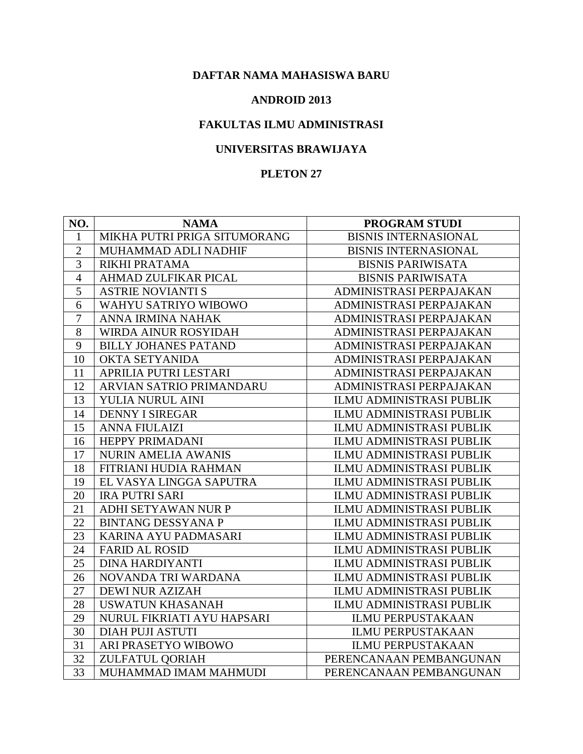#### **ANDROID 2013**

## **FAKULTAS ILMU ADMINISTRASI**

# **UNIVERSITAS BRAWIJAYA**

| NO.            | <b>NAMA</b>                  | PROGRAM STUDI                   |
|----------------|------------------------------|---------------------------------|
| $\mathbf{1}$   | MIKHA PUTRI PRIGA SITUMORANG | <b>BISNIS INTERNASIONAL</b>     |
| $\overline{2}$ | MUHAMMAD ADLI NADHIF         | <b>BISNIS INTERNASIONAL</b>     |
| 3              | RIKHI PRATAMA                | <b>BISNIS PARIWISATA</b>        |
| $\overline{4}$ | <b>AHMAD ZULFIKAR PICAL</b>  | <b>BISNIS PARIWISATA</b>        |
| 5              | <b>ASTRIE NOVIANTI S</b>     | ADMINISTRASI PERPAJAKAN         |
| 6              | WAHYU SATRIYO WIBOWO         | ADMINISTRASI PERPAJAKAN         |
| $\overline{7}$ | ANNA IRMINA NAHAK            | ADMINISTRASI PERPAJAKAN         |
| 8              | WIRDA AINUR ROSYIDAH         | ADMINISTRASI PERPAJAKAN         |
| 9              | <b>BILLY JOHANES PATAND</b>  | ADMINISTRASI PERPAJAKAN         |
| 10             | <b>OKTA SETYANIDA</b>        | ADMINISTRASI PERPAJAKAN         |
| 11             | APRILIA PUTRI LESTARI        | ADMINISTRASI PERPAJAKAN         |
| 12             | ARVIAN SATRIO PRIMANDARU     | ADMINISTRASI PERPAJAKAN         |
| 13             | YULIA NURUL AINI             | ILMU ADMINISTRASI PUBLIK        |
| 14             | <b>DENNY I SIREGAR</b>       | ILMU ADMINISTRASI PUBLIK        |
| 15             | <b>ANNA FIULAIZI</b>         | <b>ILMU ADMINISTRASI PUBLIK</b> |
| 16             | HEPPY PRIMADANI              | <b>ILMU ADMINISTRASI PUBLIK</b> |
| 17             | <b>NURIN AMELIA AWANIS</b>   | <b>ILMU ADMINISTRASI PUBLIK</b> |
| 18             | FITRIANI HUDIA RAHMAN        | ILMU ADMINISTRASI PUBLIK        |
| 19             | EL VASYA LINGGA SAPUTRA      | <b>ILMU ADMINISTRASI PUBLIK</b> |
| 20             | <b>IRA PUTRI SARI</b>        | ILMU ADMINISTRASI PUBLIK        |
| 21             | ADHI SETYAWAN NUR P          | ILMU ADMINISTRASI PUBLIK        |
| 22             | <b>BINTANG DESSYANA P</b>    | ILMU ADMINISTRASI PUBLIK        |
| 23             | KARINA AYU PADMASARI         | ILMU ADMINISTRASI PUBLIK        |
| 24             | <b>FARID AL ROSID</b>        | ILMU ADMINISTRASI PUBLIK        |
| 25             | <b>DINA HARDIYANTI</b>       | <b>ILMU ADMINISTRASI PUBLIK</b> |
| 26             | NOVANDA TRI WARDANA          | ILMU ADMINISTRASI PUBLIK        |
| 27             | <b>DEWI NUR AZIZAH</b>       | ILMU ADMINISTRASI PUBLIK        |
| 28             | <b>USWATUN KHASANAH</b>      | ILMU ADMINISTRASI PUBLIK        |
| 29             | NURUL FIKRIATI AYU HAPSARI   | <b>ILMU PERPUSTAKAAN</b>        |
| 30             | <b>DIAH PUJI ASTUTI</b>      | <b>ILMU PERPUSTAKAAN</b>        |
| 31             | ARI PRASETYO WIBOWO          | <b>ILMU PERPUSTAKAAN</b>        |
| 32             | ZULFATUL QORIAH              | PERENCANAAN PEMBANGUNAN         |
| 33             | MUHAMMAD IMAM MAHMUDI        | PERENCANAAN PEMBANGUNAN         |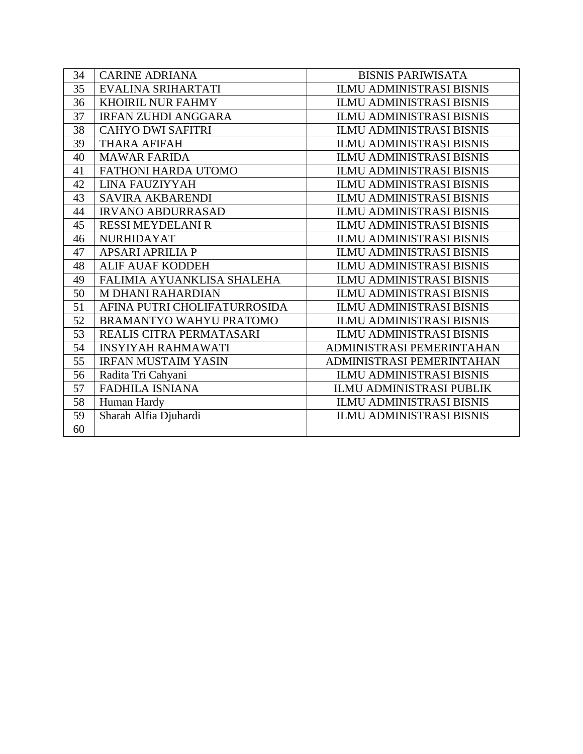| 34 | <b>CARINE ADRIANA</b>        | <b>BISNIS PARIWISATA</b>        |
|----|------------------------------|---------------------------------|
| 35 | EVALINA SRIHARTATI           | <b>ILMU ADMINISTRASI BISNIS</b> |
| 36 | <b>KHOIRIL NUR FAHMY</b>     | <b>ILMU ADMINISTRASI BISNIS</b> |
| 37 | <b>IRFAN ZUHDI ANGGARA</b>   | <b>ILMU ADMINISTRASI BISNIS</b> |
| 38 | <b>CAHYO DWI SAFITRI</b>     | <b>ILMU ADMINISTRASI BISNIS</b> |
| 39 | <b>THARA AFIFAH</b>          | <b>ILMU ADMINISTRASI BISNIS</b> |
| 40 | <b>MAWAR FARIDA</b>          | <b>ILMU ADMINISTRASI BISNIS</b> |
| 41 | FATHONI HARDA UTOMO          | <b>ILMU ADMINISTRASI BISNIS</b> |
| 42 | LINA FAUZIYYAH               | <b>ILMU ADMINISTRASI BISNIS</b> |
| 43 | <b>SAVIRA AKBARENDI</b>      | <b>ILMU ADMINISTRASI BISNIS</b> |
| 44 | <b>IRVANO ABDURRASAD</b>     | <b>ILMU ADMINISTRASI BISNIS</b> |
| 45 | <b>RESSI MEYDELANI R</b>     | <b>ILMU ADMINISTRASI BISNIS</b> |
| 46 | <b>NURHIDAYAT</b>            | <b>ILMU ADMINISTRASI BISNIS</b> |
| 47 | <b>APSARI APRILIA P</b>      | <b>ILMU ADMINISTRASI BISNIS</b> |
| 48 | <b>ALIF AUAF KODDEH</b>      | <b>ILMU ADMINISTRASI BISNIS</b> |
| 49 | FALIMIA AYUANKLISA SHALEHA   | <b>ILMU ADMINISTRASI BISNIS</b> |
| 50 | M DHANI RAHARDIAN            | <b>ILMU ADMINISTRASI BISNIS</b> |
| 51 | AFINA PUTRI CHOLIFATURROSIDA | <b>ILMU ADMINISTRASI BISNIS</b> |
| 52 | BRAMANTYO WAHYU PRATOMO      | <b>ILMU ADMINISTRASI BISNIS</b> |
| 53 | REALIS CITRA PERMATASARI     | <b>ILMU ADMINISTRASI BISNIS</b> |
| 54 | <b>INSYIYAH RAHMAWATI</b>    | ADMINISTRASI PEMERINTAHAN       |
| 55 | <b>IRFAN MUSTAIM YASIN</b>   | ADMINISTRASI PEMERINTAHAN       |
| 56 | Radita Tri Cahyani           | <b>ILMU ADMINISTRASI BISNIS</b> |
| 57 | <b>FADHILA ISNIANA</b>       | <b>ILMU ADMINISTRASI PUBLIK</b> |
| 58 | Human Hardy                  | <b>ILMU ADMINISTRASI BISNIS</b> |
| 59 | Sharah Alfia Djuhardi        | <b>ILMU ADMINISTRASI BISNIS</b> |
| 60 |                              |                                 |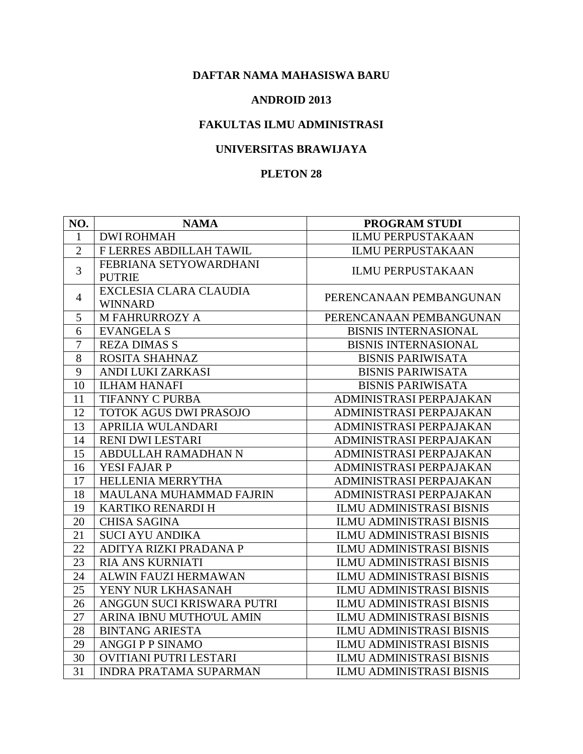#### **ANDROID 2013**

## **FAKULTAS ILMU ADMINISTRASI**

## **UNIVERSITAS BRAWIJAYA**

| NO.            | <b>NAMA</b>                              | PROGRAM STUDI                   |
|----------------|------------------------------------------|---------------------------------|
| $\mathbf{1}$   | <b>DWI ROHMAH</b>                        | <b>ILMU PERPUSTAKAAN</b>        |
| $\overline{2}$ | F LERRES ABDILLAH TAWIL                  | <b>ILMU PERPUSTAKAAN</b>        |
| 3              | FEBRIANA SETYOWARDHANI<br><b>PUTRIE</b>  | <b>ILMU PERPUSTAKAAN</b>        |
| $\overline{4}$ | EXCLESIA CLARA CLAUDIA<br><b>WINNARD</b> | PERENCANAAN PEMBANGUNAN         |
| 5              | <b>M FAHRURROZY A</b>                    | PERENCANAAN PEMBANGUNAN         |
| 6              | <b>EVANGELA S</b>                        | <b>BISNIS INTERNASIONAL</b>     |
| $\overline{7}$ | <b>REZA DIMAS S</b>                      | <b>BISNIS INTERNASIONAL</b>     |
| 8              | ROSITA SHAHNAZ                           | <b>BISNIS PARIWISATA</b>        |
| 9              | ANDI LUKI ZARKASI                        | <b>BISNIS PARIWISATA</b>        |
| 10             | <b>ILHAM HANAFI</b>                      | <b>BISNIS PARIWISATA</b>        |
| 11             | <b>TIFANNY C PURBA</b>                   | ADMINISTRASI PERPAJAKAN         |
| 12             | TOTOK AGUS DWI PRASOJO                   | ADMINISTRASI PERPAJAKAN         |
| 13             | APRILIA WULANDARI                        | ADMINISTRASI PERPAJAKAN         |
| 14             | <b>RENI DWI LESTARI</b>                  | ADMINISTRASI PERPAJAKAN         |
| 15             | ABDULLAH RAMADHAN N                      | ADMINISTRASI PERPAJAKAN         |
| 16             | YESI FAJAR P                             | ADMINISTRASI PERPAJAKAN         |
| 17             | HELLENIA MERRYTHA                        | ADMINISTRASI PERPAJAKAN         |
| 18             | MAULANA MUHAMMAD FAJRIN                  | ADMINISTRASI PERPAJAKAN         |
| 19             | KARTIKO RENARDI H                        | <b>ILMU ADMINISTRASI BISNIS</b> |
| 20             | <b>CHISA SAGINA</b>                      | <b>ILMU ADMINISTRASI BISNIS</b> |
| 21             | <b>SUCI AYU ANDIKA</b>                   | <b>ILMU ADMINISTRASI BISNIS</b> |
| 22             | ADITYA RIZKI PRADANA P                   | <b>ILMU ADMINISTRASI BISNIS</b> |
| 23             | <b>RIA ANS KURNIATI</b>                  | <b>ILMU ADMINISTRASI BISNIS</b> |
| 24             | ALWIN FAUZI HERMAWAN                     | <b>ILMU ADMINISTRASI BISNIS</b> |
| 25             | YENY NUR LKHASANAH                       | <b>ILMU ADMINISTRASI BISNIS</b> |
| 26             | ANGGUN SUCI KRISWARA PUTRI               | <b>ILMU ADMINISTRASI BISNIS</b> |
| 27             | ARINA IBNU MUTHO'UL AMIN                 | <b>ILMU ADMINISTRASI BISNIS</b> |
| 28             | <b>BINTANG ARIESTA</b>                   | <b>ILMU ADMINISTRASI BISNIS</b> |
| 29             | <b>ANGGI P P SINAMO</b>                  | <b>ILMU ADMINISTRASI BISNIS</b> |
| 30             | OVITIANI PUTRI LESTARI                   | <b>ILMU ADMINISTRASI BISNIS</b> |
| 31             | <b>INDRA PRATAMA SUPARMAN</b>            | <b>ILMU ADMINISTRASI BISNIS</b> |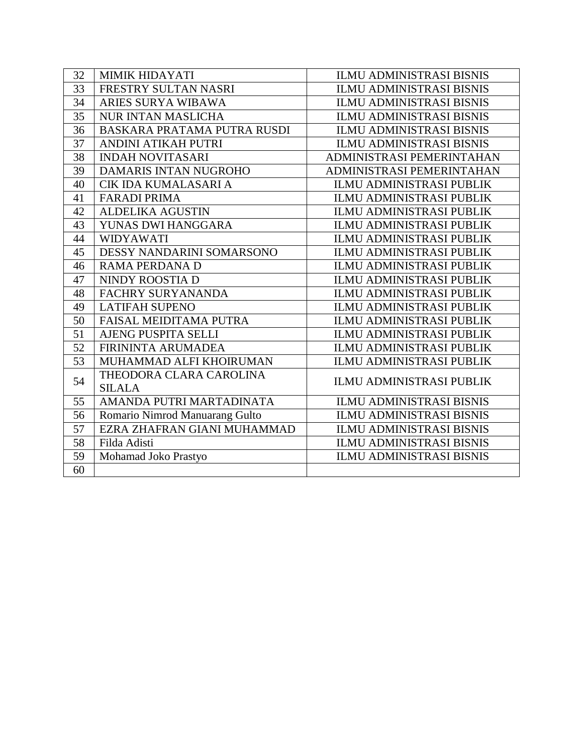| 32 | MIMIK HIDAYATI                     | <b>ILMU ADMINISTRASI BISNIS</b> |
|----|------------------------------------|---------------------------------|
| 33 | FRESTRY SULTAN NASRI               | <b>ILMU ADMINISTRASI BISNIS</b> |
| 34 | ARIES SURYA WIBAWA                 | <b>ILMU ADMINISTRASI BISNIS</b> |
| 35 | <b>NUR INTAN MASLICHA</b>          | <b>ILMU ADMINISTRASI BISNIS</b> |
| 36 | <b>BASKARA PRATAMA PUTRA RUSDI</b> | <b>ILMU ADMINISTRASI BISNIS</b> |
| 37 | ANDINI ATIKAH PUTRI                | <b>ILMU ADMINISTRASI BISNIS</b> |
| 38 | <b>INDAH NOVITASARI</b>            | ADMINISTRASI PEMERINTAHAN       |
| 39 | <b>DAMARIS INTAN NUGROHO</b>       | ADMINISTRASI PEMERINTAHAN       |
| 40 | CIK IDA KUMALASARI A               | <b>ILMU ADMINISTRASI PUBLIK</b> |
| 41 | <b>FARADI PRIMA</b>                | <b>ILMU ADMINISTRASI PUBLIK</b> |
| 42 | <b>ALDELIKA AGUSTIN</b>            | <b>ILMU ADMINISTRASI PUBLIK</b> |
| 43 | YUNAS DWI HANGGARA                 | <b>ILMU ADMINISTRASI PUBLIK</b> |
| 44 | <b>WIDYAWATI</b>                   | ILMU ADMINISTRASI PUBLIK        |
| 45 | DESSY NANDARINI SOMARSONO          | ILMU ADMINISTRASI PUBLIK        |
| 46 | <b>RAMA PERDANA D</b>              | <b>ILMU ADMINISTRASI PUBLIK</b> |
| 47 | NINDY ROOSTIA D                    | <b>ILMU ADMINISTRASI PUBLIK</b> |
| 48 | <b>FACHRY SURYANANDA</b>           | <b>ILMU ADMINISTRASI PUBLIK</b> |
| 49 | <b>LATIFAH SUPENO</b>              | <b>ILMU ADMINISTRASI PUBLIK</b> |
| 50 | <b>FAISAL MEIDITAMA PUTRA</b>      | <b>ILMU ADMINISTRASI PUBLIK</b> |
| 51 | <b>AJENG PUSPITA SELLI</b>         | <b>ILMU ADMINISTRASI PUBLIK</b> |
| 52 | <b>FIRININTA ARUMADEA</b>          | <b>ILMU ADMINISTRASI PUBLIK</b> |
| 53 | MUHAMMAD ALFI KHOIRUMAN            | <b>ILMU ADMINISTRASI PUBLIK</b> |
| 54 | THEODORA CLARA CAROLINA            | <b>ILMU ADMINISTRASI PUBLIK</b> |
|    | <b>SILALA</b>                      |                                 |
| 55 | AMANDA PUTRI MARTADINATA           | <b>ILMU ADMINISTRASI BISNIS</b> |
| 56 | Romario Nimrod Manuarang Gulto     | <b>ILMU ADMINISTRASI BISNIS</b> |
| 57 | EZRA ZHAFRAN GIANI MUHAMMAD        | <b>ILMU ADMINISTRASI BISNIS</b> |
| 58 | Filda Adisti                       | <b>ILMU ADMINISTRASI BISNIS</b> |
| 59 | Mohamad Joko Prastyo               | <b>ILMU ADMINISTRASI BISNIS</b> |
| 60 |                                    |                                 |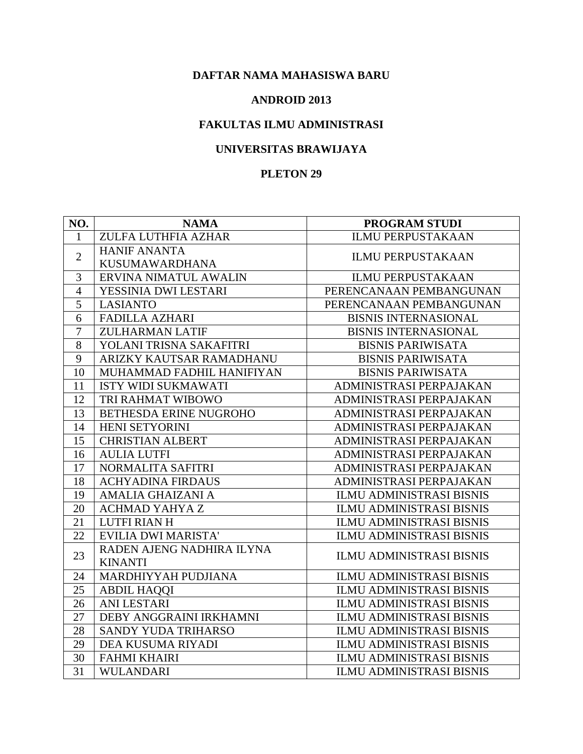#### **ANDROID 2013**

## **FAKULTAS ILMU ADMINISTRASI**

## **UNIVERSITAS BRAWIJAYA**

| NO.            | <b>NAMA</b>                | <b>PROGRAM STUDI</b>            |
|----------------|----------------------------|---------------------------------|
| $\mathbf{1}$   | ZULFA LUTHFIA AZHAR        | <b>ILMU PERPUSTAKAAN</b>        |
|                | <b>HANIF ANANTA</b>        | <b>ILMU PERPUSTAKAAN</b>        |
| $\mathbf{2}$   | <b>KUSUMAWARDHANA</b>      |                                 |
| 3              | ERVINA NIMATUL AWALIN      | <b>ILMU PERPUSTAKAAN</b>        |
| $\overline{4}$ | YESSINIA DWI LESTARI       | PERENCANAAN PEMBANGUNAN         |
| $\overline{5}$ | <b>LASIANTO</b>            | PERENCANAAN PEMBANGUNAN         |
| 6              | FADILLA AZHARI             | <b>BISNIS INTERNASIONAL</b>     |
| $\tau$         | <b>ZULHARMAN LATIF</b>     | <b>BISNIS INTERNASIONAL</b>     |
| 8              | YOLANI TRISNA SAKAFITRI    | <b>BISNIS PARIWISATA</b>        |
| 9              | ARIZKY KAUTSAR RAMADHANU   | <b>BISNIS PARIWISATA</b>        |
| 10             | MUHAMMAD FADHIL HANIFIYAN  | <b>BISNIS PARIWISATA</b>        |
| 11             | <b>ISTY WIDI SUKMAWATI</b> | ADMINISTRASI PERPAJAKAN         |
| 12             | TRI RAHMAT WIBOWO          | ADMINISTRASI PERPAJAKAN         |
| 13             | BETHESDA ERINE NUGROHO     | ADMINISTRASI PERPAJAKAN         |
| 14             | HENI SETYORINI             | ADMINISTRASI PERPAJAKAN         |
| 15             | <b>CHRISTIAN ALBERT</b>    | ADMINISTRASI PERPAJAKAN         |
| 16             | <b>AULIA LUTFI</b>         | ADMINISTRASI PERPAJAKAN         |
| 17             | NORMALITA SAFITRI          | ADMINISTRASI PERPAJAKAN         |
| 18             | <b>ACHYADINA FIRDAUS</b>   | ADMINISTRASI PERPAJAKAN         |
| 19             | <b>AMALIA GHAIZANI A</b>   | <b>ILMU ADMINISTRASI BISNIS</b> |
| 20             | <b>ACHMAD YAHYA Z</b>      | <b>ILMU ADMINISTRASI BISNIS</b> |
| 21             | <b>LUTFI RIAN H</b>        | <b>ILMU ADMINISTRASI BISNIS</b> |
| 22             | EVILIA DWI MARISTA'        | <b>ILMU ADMINISTRASI BISNIS</b> |
|                | RADEN AJENG NADHIRA ILYNA  |                                 |
| 23             | <b>KINANTI</b>             | <b>ILMU ADMINISTRASI BISNIS</b> |
| 24             | MARDHIYYAH PUDJIANA        | <b>ILMU ADMINISTRASI BISNIS</b> |
| 25             | <b>ABDIL HAQQI</b>         | <b>ILMU ADMINISTRASI BISNIS</b> |
| 26             | <b>ANI LESTARI</b>         | <b>ILMU ADMINISTRASI BISNIS</b> |
| 27             | DEBY ANGGRAINI IRKHAMNI    | <b>ILMU ADMINISTRASI BISNIS</b> |
| 28             | SANDY YUDA TRIHARSO        | <b>ILMU ADMINISTRASI BISNIS</b> |
| 29             | DEA KUSUMA RIYADI          | <b>ILMU ADMINISTRASI BISNIS</b> |
| 30             | <b>FAHMI KHAIRI</b>        | <b>ILMU ADMINISTRASI BISNIS</b> |
| 31             | <b>WULANDARI</b>           | <b>ILMU ADMINISTRASI BISNIS</b> |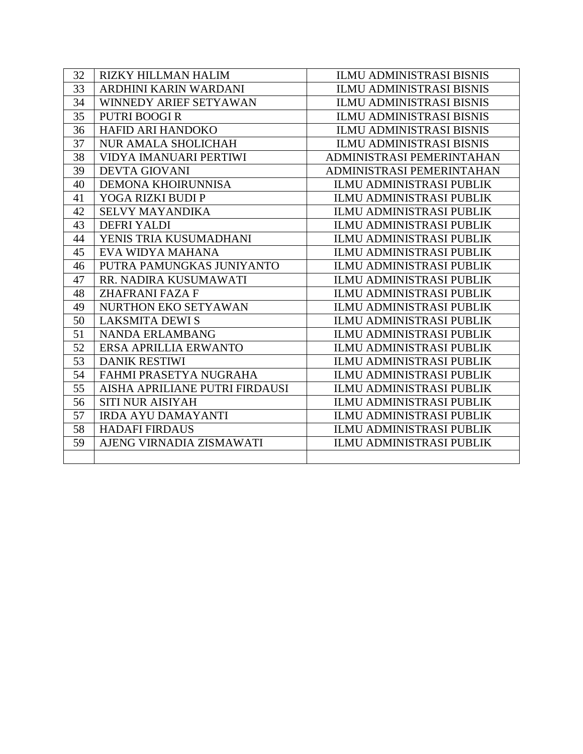| 32 | <b>RIZKY HILLMAN HALIM</b>     | <b>ILMU ADMINISTRASI BISNIS</b> |
|----|--------------------------------|---------------------------------|
| 33 | ARDHINI KARIN WARDANI          | <b>ILMU ADMINISTRASI BISNIS</b> |
| 34 | WINNEDY ARIEF SETYAWAN         | <b>ILMU ADMINISTRASI BISNIS</b> |
| 35 | <b>PUTRI BOOGIR</b>            | <b>ILMU ADMINISTRASI BISNIS</b> |
| 36 | HAFID ARI HANDOKO              | <b>ILMU ADMINISTRASI BISNIS</b> |
| 37 | <b>NUR AMALA SHOLICHAH</b>     | <b>ILMU ADMINISTRASI BISNIS</b> |
| 38 | VIDYA IMANUARI PERTIWI         | ADMINISTRASI PEMERINTAHAN       |
| 39 | <b>DEVTA GIOVANI</b>           | ADMINISTRASI PEMERINTAHAN       |
| 40 | DEMONA KHOIRUNNISA             | <b>ILMU ADMINISTRASI PUBLIK</b> |
| 41 | YOGA RIZKI BUDI P              | <b>ILMU ADMINISTRASI PUBLIK</b> |
| 42 | <b>SELVY MAYANDIKA</b>         | ILMU ADMINISTRASI PUBLIK        |
| 43 | <b>DEFRI YALDI</b>             | <b>ILMU ADMINISTRASI PUBLIK</b> |
| 44 | YENIS TRIA KUSUMADHANI         | <b>ILMU ADMINISTRASI PUBLIK</b> |
| 45 | EVA WIDYA MAHANA               | <b>ILMU ADMINISTRASI PUBLIK</b> |
| 46 | PUTRA PAMUNGKAS JUNIYANTO      | <b>ILMU ADMINISTRASI PUBLIK</b> |
| 47 | RR. NADIRA KUSUMAWATI          | ILMU ADMINISTRASI PUBLIK        |
| 48 | <b>ZHAFRANI FAZA F</b>         | <b>ILMU ADMINISTRASI PUBLIK</b> |
| 49 | NURTHON EKO SETYAWAN           | <b>ILMU ADMINISTRASI PUBLIK</b> |
| 50 | <b>LAKSMITA DEWIS</b>          | <b>ILMU ADMINISTRASI PUBLIK</b> |
| 51 | NANDA ERLAMBANG                | <b>ILMU ADMINISTRASI PUBLIK</b> |
| 52 | ERSA APRILLIA ERWANTO          | <b>ILMU ADMINISTRASI PUBLIK</b> |
| 53 | <b>DANIK RESTIWI</b>           | <b>ILMU ADMINISTRASI PUBLIK</b> |
| 54 | FAHMI PRASETYA NUGRAHA         | <b>ILMU ADMINISTRASI PUBLIK</b> |
| 55 | AISHA APRILIANE PUTRI FIRDAUSI | <b>ILMU ADMINISTRASI PUBLIK</b> |
| 56 | <b>SITI NUR AISIYAH</b>        | <b>ILMU ADMINISTRASI PUBLIK</b> |
| 57 | <b>IRDA AYU DAMAYANTI</b>      | <b>ILMU ADMINISTRASI PUBLIK</b> |
| 58 | <b>HADAFI FIRDAUS</b>          | <b>ILMU ADMINISTRASI PUBLIK</b> |
| 59 | AJENG VIRNADIA ZISMAWATI       | <b>ILMU ADMINISTRASI PUBLIK</b> |
|    |                                |                                 |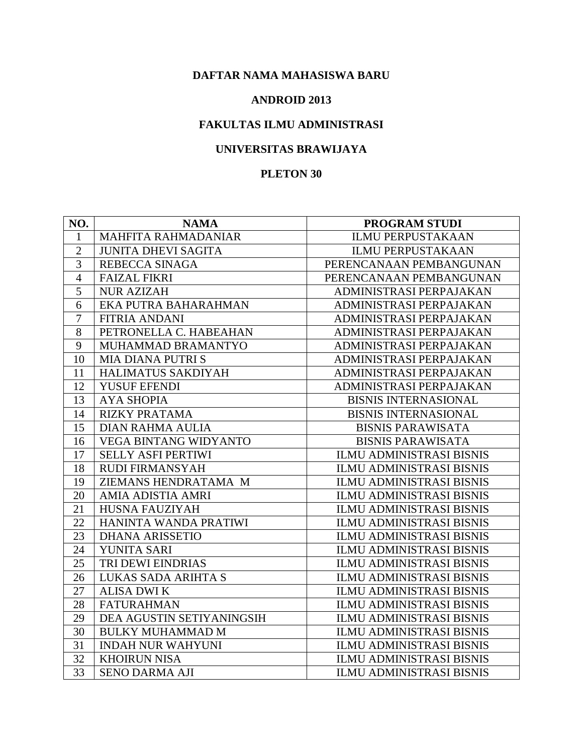#### **ANDROID 2013**

# **FAKULTAS ILMU ADMINISTRASI**

# **UNIVERSITAS BRAWIJAYA**

| NO.            | <b>NAMA</b>                  | PROGRAM STUDI                   |
|----------------|------------------------------|---------------------------------|
| $\mathbf{1}$   | <b>MAHFITA RAHMADANIAR</b>   | <b>ILMU PERPUSTAKAAN</b>        |
| $\overline{2}$ | <b>JUNITA DHEVI SAGITA</b>   | <b>ILMU PERPUSTAKAAN</b>        |
| 3              | <b>REBECCA SINAGA</b>        | PERENCANAAN PEMBANGUNAN         |
| $\overline{4}$ | <b>FAIZAL FIKRI</b>          | PERENCANAAN PEMBANGUNAN         |
| 5              | <b>NUR AZIZAH</b>            | ADMINISTRASI PERPAJAKAN         |
| 6              | EKA PUTRA BAHARAHMAN         | ADMINISTRASI PERPAJAKAN         |
| $\overline{7}$ | <b>FITRIA ANDANI</b>         | ADMINISTRASI PERPAJAKAN         |
| 8              | PETRONELLA C. HABEAHAN       | ADMINISTRASI PERPAJAKAN         |
| 9              | MUHAMMAD BRAMANTYO           | ADMINISTRASI PERPAJAKAN         |
| 10             | <b>MIA DIANA PUTRI S</b>     | ADMINISTRASI PERPAJAKAN         |
| 11             | HALIMATUS SAKDIYAH           | ADMINISTRASI PERPAJAKAN         |
| 12             | YUSUF EFENDI                 | ADMINISTRASI PERPAJAKAN         |
| 13             | <b>AYA SHOPIA</b>            | <b>BISNIS INTERNASIONAL</b>     |
| 14             | <b>RIZKY PRATAMA</b>         | <b>BISNIS INTERNASIONAL</b>     |
| 15             | <b>DIAN RAHMA AULIA</b>      | <b>BISNIS PARAWISATA</b>        |
| 16             | <b>VEGA BINTANG WIDYANTO</b> | <b>BISNIS PARAWISATA</b>        |
| 17             | SELLY ASFI PERTIWI           | <b>ILMU ADMINISTRASI BISNIS</b> |
| 18             | <b>RUDI FIRMANSYAH</b>       | <b>ILMU ADMINISTRASI BISNIS</b> |
| 19             | ZIEMANS HENDRATAMA M         | <b>ILMU ADMINISTRASI BISNIS</b> |
| 20             | AMIA ADISTIA AMRI            | <b>ILMU ADMINISTRASI BISNIS</b> |
| 21             | HUSNA FAUZIYAH               | <b>ILMU ADMINISTRASI BISNIS</b> |
| 22             | HANINTA WANDA PRATIWI        | <b>ILMU ADMINISTRASI BISNIS</b> |
| 23             | <b>DHANA ARISSETIO</b>       | <b>ILMU ADMINISTRASI BISNIS</b> |
| 24             | YUNITA SARI                  | <b>ILMU ADMINISTRASI BISNIS</b> |
| 25             | TRI DEWI EINDRIAS            | <b>ILMU ADMINISTRASI BISNIS</b> |
| 26             | LUKAS SADA ARIHTA S          | <b>ILMU ADMINISTRASI BISNIS</b> |
| 27             | <b>ALISA DWI K</b>           | <b>ILMU ADMINISTRASI BISNIS</b> |
| 28             | <b>FATURAHMAN</b>            | <b>ILMU ADMINISTRASI BISNIS</b> |
| 29             | DEA AGUSTIN SETIYANINGSIH    | <b>ILMU ADMINISTRASI BISNIS</b> |
| 30             | <b>BULKY MUHAMMAD M</b>      | <b>ILMU ADMINISTRASI BISNIS</b> |
| 31             | <b>INDAH NUR WAHYUNI</b>     | <b>ILMU ADMINISTRASI BISNIS</b> |
| 32             | <b>KHOIRUN NISA</b>          | <b>ILMU ADMINISTRASI BISNIS</b> |
| 33             | <b>SENO DARMA AJI</b>        | <b>ILMU ADMINISTRASI BISNIS</b> |